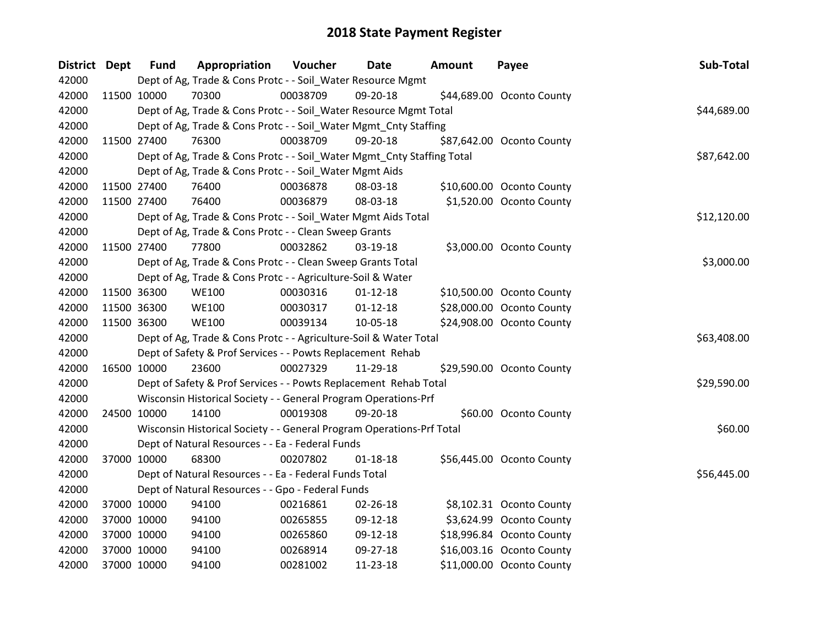| District Dept | <b>Fund</b> | Appropriation                                                          | Voucher  | Date           | Amount | Payee                     | Sub-Total   |
|---------------|-------------|------------------------------------------------------------------------|----------|----------------|--------|---------------------------|-------------|
| 42000         |             | Dept of Ag, Trade & Cons Protc - - Soil_Water Resource Mgmt            |          |                |        |                           |             |
| 42000         | 11500 10000 | 70300                                                                  | 00038709 | 09-20-18       |        | \$44,689.00 Oconto County |             |
| 42000         |             | Dept of Ag, Trade & Cons Protc - - Soil_Water Resource Mgmt Total      |          |                |        |                           | \$44,689.00 |
| 42000         |             | Dept of Ag, Trade & Cons Protc - - Soil_Water Mgmt_Cnty Staffing       |          |                |        |                           |             |
| 42000         | 11500 27400 | 76300                                                                  | 00038709 | 09-20-18       |        | \$87,642.00 Oconto County |             |
| 42000         |             | Dept of Ag, Trade & Cons Protc - - Soil_Water Mgmt_Cnty Staffing Total |          |                |        |                           | \$87,642.00 |
| 42000         |             | Dept of Ag, Trade & Cons Protc - - Soil_Water Mgmt Aids                |          |                |        |                           |             |
| 42000         | 11500 27400 | 76400                                                                  | 00036878 | 08-03-18       |        | \$10,600.00 Oconto County |             |
| 42000         | 11500 27400 | 76400                                                                  | 00036879 | 08-03-18       |        | \$1,520.00 Oconto County  |             |
| 42000         |             | Dept of Ag, Trade & Cons Protc - - Soil_Water Mgmt Aids Total          |          |                |        |                           | \$12,120.00 |
| 42000         |             | Dept of Ag, Trade & Cons Protc - - Clean Sweep Grants                  |          |                |        |                           |             |
| 42000         | 11500 27400 | 77800                                                                  | 00032862 | 03-19-18       |        | \$3,000.00 Oconto County  |             |
| 42000         |             | Dept of Ag, Trade & Cons Protc - - Clean Sweep Grants Total            |          |                |        |                           | \$3,000.00  |
| 42000         |             | Dept of Ag, Trade & Cons Protc - - Agriculture-Soil & Water            |          |                |        |                           |             |
| 42000         | 11500 36300 | <b>WE100</b>                                                           | 00030316 | $01 - 12 - 18$ |        | \$10,500.00 Oconto County |             |
| 42000         | 11500 36300 | <b>WE100</b>                                                           | 00030317 | $01 - 12 - 18$ |        | \$28,000.00 Oconto County |             |
| 42000         | 11500 36300 | <b>WE100</b>                                                           | 00039134 | 10-05-18       |        | \$24,908.00 Oconto County |             |
| 42000         |             | Dept of Ag, Trade & Cons Protc - - Agriculture-Soil & Water Total      |          |                |        |                           | \$63,408.00 |
| 42000         |             | Dept of Safety & Prof Services - - Powts Replacement Rehab             |          |                |        |                           |             |
| 42000         | 16500 10000 | 23600                                                                  | 00027329 | 11-29-18       |        | \$29,590.00 Oconto County |             |
| 42000         |             | Dept of Safety & Prof Services - - Powts Replacement Rehab Total       |          |                |        |                           | \$29,590.00 |
| 42000         |             | Wisconsin Historical Society - - General Program Operations-Prf        |          |                |        |                           |             |
| 42000         | 24500 10000 | 14100                                                                  | 00019308 | 09-20-18       |        | \$60.00 Oconto County     |             |
| 42000         |             | Wisconsin Historical Society - - General Program Operations-Prf Total  |          |                |        |                           | \$60.00     |
| 42000         |             | Dept of Natural Resources - - Ea - Federal Funds                       |          |                |        |                           |             |
| 42000         | 37000 10000 | 68300                                                                  | 00207802 | $01 - 18 - 18$ |        | \$56,445.00 Oconto County |             |
| 42000         |             | Dept of Natural Resources - - Ea - Federal Funds Total                 |          |                |        |                           | \$56,445.00 |
| 42000         |             | Dept of Natural Resources - - Gpo - Federal Funds                      |          |                |        |                           |             |
| 42000         | 37000 10000 | 94100                                                                  | 00216861 | 02-26-18       |        | \$8,102.31 Oconto County  |             |
| 42000         | 37000 10000 | 94100                                                                  | 00265855 | 09-12-18       |        | \$3,624.99 Oconto County  |             |
| 42000         | 37000 10000 | 94100                                                                  | 00265860 | 09-12-18       |        | \$18,996.84 Oconto County |             |
| 42000         | 37000 10000 | 94100                                                                  | 00268914 | 09-27-18       |        | \$16,003.16 Oconto County |             |
| 42000         | 37000 10000 | 94100                                                                  | 00281002 | 11-23-18       |        | \$11,000.00 Oconto County |             |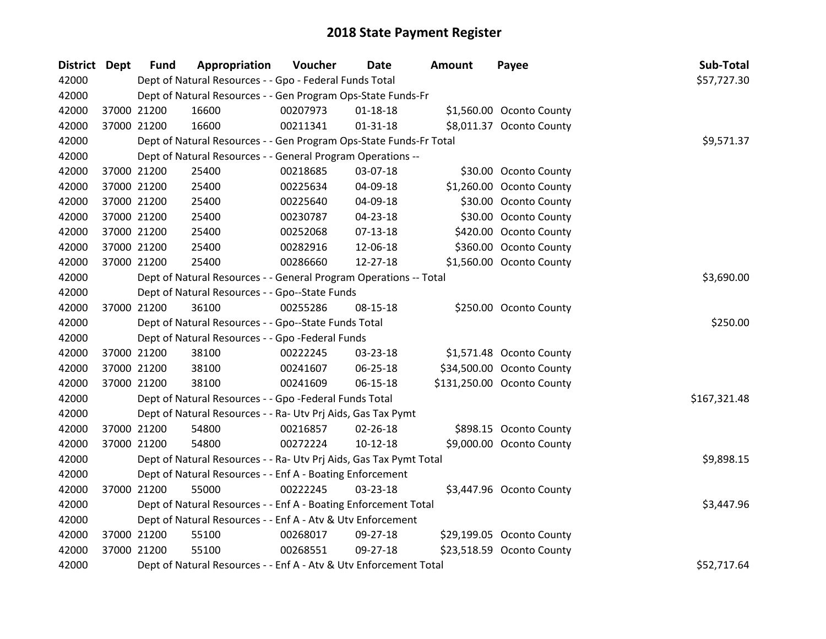| District Dept | <b>Fund</b> | Appropriation                                                      | <b>Voucher</b> | Date           | <b>Amount</b> | Payee                      | Sub-Total    |
|---------------|-------------|--------------------------------------------------------------------|----------------|----------------|---------------|----------------------------|--------------|
| 42000         |             | Dept of Natural Resources - - Gpo - Federal Funds Total            |                |                |               |                            | \$57,727.30  |
| 42000         |             | Dept of Natural Resources - - Gen Program Ops-State Funds-Fr       |                |                |               |                            |              |
| 42000         | 37000 21200 | 16600                                                              | 00207973       | $01 - 18 - 18$ |               | \$1,560.00 Oconto County   |              |
| 42000         | 37000 21200 | 16600                                                              | 00211341       | $01 - 31 - 18$ |               | \$8,011.37 Oconto County   |              |
| 42000         |             | Dept of Natural Resources - - Gen Program Ops-State Funds-Fr Total |                |                |               |                            | \$9,571.37   |
| 42000         |             | Dept of Natural Resources - - General Program Operations --        |                |                |               |                            |              |
| 42000         | 37000 21200 | 25400                                                              | 00218685       | 03-07-18       |               | \$30.00 Oconto County      |              |
| 42000         | 37000 21200 | 25400                                                              | 00225634       | 04-09-18       |               | \$1,260.00 Oconto County   |              |
| 42000         | 37000 21200 | 25400                                                              | 00225640       | 04-09-18       |               | \$30.00 Oconto County      |              |
| 42000         | 37000 21200 | 25400                                                              | 00230787       | 04-23-18       |               | \$30.00 Oconto County      |              |
| 42000         | 37000 21200 | 25400                                                              | 00252068       | $07-13-18$     |               | \$420.00 Oconto County     |              |
| 42000         | 37000 21200 | 25400                                                              | 00282916       | 12-06-18       |               | \$360.00 Oconto County     |              |
| 42000         | 37000 21200 | 25400                                                              | 00286660       | 12-27-18       |               | \$1,560.00 Oconto County   |              |
| 42000         |             | Dept of Natural Resources - - General Program Operations -- Total  |                |                |               |                            | \$3,690.00   |
| 42000         |             | Dept of Natural Resources - - Gpo--State Funds                     |                |                |               |                            |              |
| 42000         | 37000 21200 | 36100                                                              | 00255286       | 08-15-18       |               | \$250.00 Oconto County     |              |
| 42000         |             | Dept of Natural Resources - - Gpo--State Funds Total               |                |                |               |                            | \$250.00     |
| 42000         |             | Dept of Natural Resources - - Gpo -Federal Funds                   |                |                |               |                            |              |
| 42000         | 37000 21200 | 38100                                                              | 00222245       | 03-23-18       |               | \$1,571.48 Oconto County   |              |
| 42000         | 37000 21200 | 38100                                                              | 00241607       | 06-25-18       |               | \$34,500.00 Oconto County  |              |
| 42000         | 37000 21200 | 38100                                                              | 00241609       | 06-15-18       |               | \$131,250.00 Oconto County |              |
| 42000         |             | Dept of Natural Resources - - Gpo -Federal Funds Total             |                |                |               |                            | \$167,321.48 |
| 42000         |             | Dept of Natural Resources - - Ra- Utv Prj Aids, Gas Tax Pymt       |                |                |               |                            |              |
| 42000         | 37000 21200 | 54800                                                              | 00216857       | 02-26-18       |               | \$898.15 Oconto County     |              |
| 42000         | 37000 21200 | 54800                                                              | 00272224       | $10-12-18$     |               | \$9,000.00 Oconto County   |              |
| 42000         |             | Dept of Natural Resources - - Ra- Utv Prj Aids, Gas Tax Pymt Total |                |                |               |                            | \$9,898.15   |
| 42000         |             | Dept of Natural Resources - - Enf A - Boating Enforcement          |                |                |               |                            |              |
| 42000         | 37000 21200 | 55000                                                              | 00222245       | 03-23-18       |               | \$3,447.96 Oconto County   |              |
| 42000         |             | Dept of Natural Resources - - Enf A - Boating Enforcement Total    |                |                |               |                            | \$3,447.96   |
| 42000         |             | Dept of Natural Resources - - Enf A - Atv & Utv Enforcement        |                |                |               |                            |              |
| 42000         | 37000 21200 | 55100                                                              | 00268017       | 09-27-18       |               | \$29,199.05 Oconto County  |              |
| 42000         | 37000 21200 | 55100                                                              | 00268551       | 09-27-18       |               | \$23,518.59 Oconto County  |              |
| 42000         |             | Dept of Natural Resources - - Enf A - Atv & Utv Enforcement Total  |                |                |               |                            | \$52,717.64  |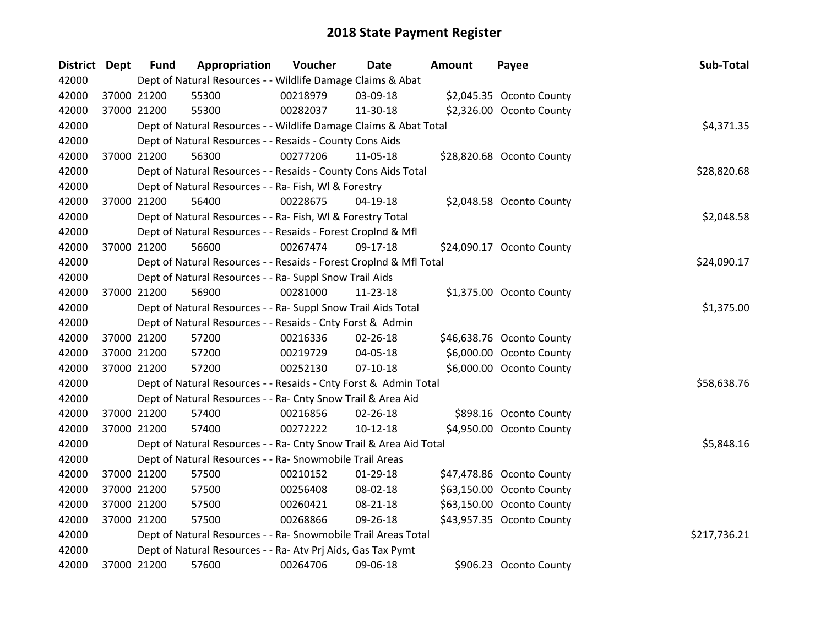| <b>District Dept</b> | <b>Fund</b> | Appropriation                                                      | Voucher  | <b>Date</b>    | <b>Amount</b> | Payee                     | Sub-Total    |
|----------------------|-------------|--------------------------------------------------------------------|----------|----------------|---------------|---------------------------|--------------|
| 42000                |             | Dept of Natural Resources - - Wildlife Damage Claims & Abat        |          |                |               |                           |              |
| 42000                | 37000 21200 | 55300                                                              | 00218979 | 03-09-18       |               | \$2,045.35 Oconto County  |              |
| 42000                | 37000 21200 | 55300                                                              | 00282037 | 11-30-18       |               | \$2,326.00 Oconto County  |              |
| 42000                |             | Dept of Natural Resources - - Wildlife Damage Claims & Abat Total  |          |                |               |                           | \$4,371.35   |
| 42000                |             | Dept of Natural Resources - - Resaids - County Cons Aids           |          |                |               |                           |              |
| 42000                | 37000 21200 | 56300                                                              | 00277206 | 11-05-18       |               | \$28,820.68 Oconto County |              |
| 42000                |             | Dept of Natural Resources - - Resaids - County Cons Aids Total     |          |                |               |                           | \$28,820.68  |
| 42000                |             | Dept of Natural Resources - - Ra- Fish, WI & Forestry              |          |                |               |                           |              |
| 42000                | 37000 21200 | 56400                                                              | 00228675 | 04-19-18       |               | \$2,048.58 Oconto County  |              |
| 42000                |             | Dept of Natural Resources - - Ra- Fish, WI & Forestry Total        |          |                |               |                           | \$2,048.58   |
| 42000                |             | Dept of Natural Resources - - Resaids - Forest Croplnd & Mfl       |          |                |               |                           |              |
| 42000                | 37000 21200 | 56600                                                              | 00267474 | 09-17-18       |               | \$24,090.17 Oconto County |              |
| 42000                |             | Dept of Natural Resources - - Resaids - Forest CropInd & Mfl Total |          |                |               |                           | \$24,090.17  |
| 42000                |             | Dept of Natural Resources - - Ra- Suppl Snow Trail Aids            |          |                |               |                           |              |
| 42000                | 37000 21200 | 56900                                                              | 00281000 | 11-23-18       |               | \$1,375.00 Oconto County  |              |
| 42000                |             | Dept of Natural Resources - - Ra- Suppl Snow Trail Aids Total      |          |                |               |                           | \$1,375.00   |
| 42000                |             | Dept of Natural Resources - - Resaids - Cnty Forst & Admin         |          |                |               |                           |              |
| 42000                | 37000 21200 | 57200                                                              | 00216336 | $02 - 26 - 18$ |               | \$46,638.76 Oconto County |              |
| 42000                | 37000 21200 | 57200                                                              | 00219729 | 04-05-18       |               | \$6,000.00 Oconto County  |              |
| 42000                | 37000 21200 | 57200                                                              | 00252130 | $07 - 10 - 18$ |               | \$6,000.00 Oconto County  |              |
| 42000                |             | Dept of Natural Resources - - Resaids - Cnty Forst & Admin Total   |          |                |               |                           | \$58,638.76  |
| 42000                |             | Dept of Natural Resources - - Ra- Cnty Snow Trail & Area Aid       |          |                |               |                           |              |
| 42000                | 37000 21200 | 57400                                                              | 00216856 | $02 - 26 - 18$ |               | \$898.16 Oconto County    |              |
| 42000                | 37000 21200 | 57400                                                              | 00272222 | $10-12-18$     |               | \$4,950.00 Oconto County  |              |
| 42000                |             | Dept of Natural Resources - - Ra- Cnty Snow Trail & Area Aid Total |          |                |               |                           | \$5,848.16   |
| 42000                |             | Dept of Natural Resources - - Ra- Snowmobile Trail Areas           |          |                |               |                           |              |
| 42000                | 37000 21200 | 57500                                                              | 00210152 | 01-29-18       |               | \$47,478.86 Oconto County |              |
| 42000                | 37000 21200 | 57500                                                              | 00256408 | 08-02-18       |               | \$63,150.00 Oconto County |              |
| 42000                | 37000 21200 | 57500                                                              | 00260421 | 08-21-18       |               | \$63,150.00 Oconto County |              |
| 42000                | 37000 21200 | 57500                                                              | 00268866 | 09-26-18       |               | \$43,957.35 Oconto County |              |
| 42000                |             | Dept of Natural Resources - - Ra- Snowmobile Trail Areas Total     |          |                |               |                           | \$217,736.21 |
| 42000                |             | Dept of Natural Resources - - Ra- Atv Prj Aids, Gas Tax Pymt       |          |                |               |                           |              |
| 42000                | 37000 21200 | 57600                                                              | 00264706 | 09-06-18       |               | \$906.23 Oconto County    |              |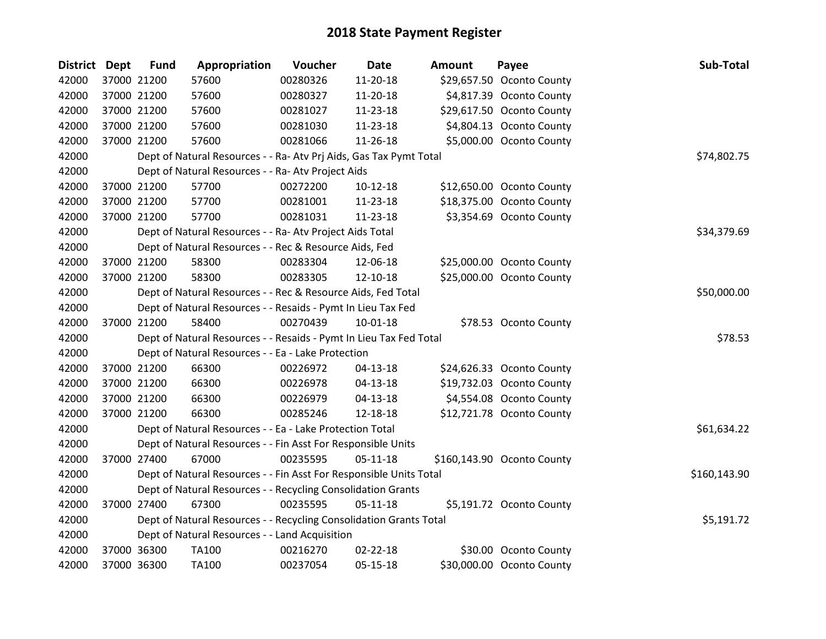| District Dept | <b>Fund</b> | Appropriation                                                      | Voucher  | <b>Date</b>    | <b>Amount</b> | Payee                      | Sub-Total    |
|---------------|-------------|--------------------------------------------------------------------|----------|----------------|---------------|----------------------------|--------------|
| 42000         | 37000 21200 | 57600                                                              | 00280326 | 11-20-18       |               | \$29,657.50 Oconto County  |              |
| 42000         | 37000 21200 | 57600                                                              | 00280327 | 11-20-18       |               | \$4,817.39 Oconto County   |              |
| 42000         | 37000 21200 | 57600                                                              | 00281027 | 11-23-18       |               | \$29,617.50 Oconto County  |              |
| 42000         | 37000 21200 | 57600                                                              | 00281030 | 11-23-18       |               | \$4,804.13 Oconto County   |              |
| 42000         | 37000 21200 | 57600                                                              | 00281066 | 11-26-18       |               | \$5,000.00 Oconto County   |              |
| 42000         |             | Dept of Natural Resources - - Ra- Atv Prj Aids, Gas Tax Pymt Total |          |                |               |                            | \$74,802.75  |
| 42000         |             | Dept of Natural Resources - - Ra- Atv Project Aids                 |          |                |               |                            |              |
| 42000         | 37000 21200 | 57700                                                              | 00272200 | $10-12-18$     |               | \$12,650.00 Oconto County  |              |
| 42000         | 37000 21200 | 57700                                                              | 00281001 | 11-23-18       |               | \$18,375.00 Oconto County  |              |
| 42000         | 37000 21200 | 57700                                                              | 00281031 | 11-23-18       |               | \$3,354.69 Oconto County   |              |
| 42000         |             | Dept of Natural Resources - - Ra- Atv Project Aids Total           |          |                |               |                            | \$34,379.69  |
| 42000         |             | Dept of Natural Resources - - Rec & Resource Aids, Fed             |          |                |               |                            |              |
| 42000         | 37000 21200 | 58300                                                              | 00283304 | 12-06-18       |               | \$25,000.00 Oconto County  |              |
| 42000         | 37000 21200 | 58300                                                              | 00283305 | 12-10-18       |               | \$25,000.00 Oconto County  |              |
| 42000         |             | Dept of Natural Resources - - Rec & Resource Aids, Fed Total       |          |                |               |                            | \$50,000.00  |
| 42000         |             | Dept of Natural Resources - - Resaids - Pymt In Lieu Tax Fed       |          |                |               |                            |              |
| 42000         | 37000 21200 | 58400                                                              | 00270439 | 10-01-18       |               | \$78.53 Oconto County      |              |
| 42000         |             | Dept of Natural Resources - - Resaids - Pymt In Lieu Tax Fed Total |          |                |               |                            | \$78.53      |
| 42000         |             | Dept of Natural Resources - - Ea - Lake Protection                 |          |                |               |                            |              |
| 42000         | 37000 21200 | 66300                                                              | 00226972 | $04 - 13 - 18$ |               | \$24,626.33 Oconto County  |              |
| 42000         | 37000 21200 | 66300                                                              | 00226978 | $04 - 13 - 18$ |               | \$19,732.03 Oconto County  |              |
| 42000         | 37000 21200 | 66300                                                              | 00226979 | 04-13-18       |               | \$4,554.08 Oconto County   |              |
| 42000         | 37000 21200 | 66300                                                              | 00285246 | 12-18-18       |               | \$12,721.78 Oconto County  |              |
| 42000         |             | Dept of Natural Resources - - Ea - Lake Protection Total           |          |                |               |                            | \$61,634.22  |
| 42000         |             | Dept of Natural Resources - - Fin Asst For Responsible Units       |          |                |               |                            |              |
| 42000         | 37000 27400 | 67000                                                              | 00235595 | 05-11-18       |               | \$160,143.90 Oconto County |              |
| 42000         |             | Dept of Natural Resources - - Fin Asst For Responsible Units Total |          |                |               |                            | \$160,143.90 |
| 42000         |             | Dept of Natural Resources - - Recycling Consolidation Grants       |          |                |               |                            |              |
| 42000         | 37000 27400 | 67300                                                              | 00235595 | $05 - 11 - 18$ |               | \$5,191.72 Oconto County   |              |
| 42000         |             | Dept of Natural Resources - - Recycling Consolidation Grants Total |          |                |               |                            | \$5,191.72   |
| 42000         |             | Dept of Natural Resources - - Land Acquisition                     |          |                |               |                            |              |
| 42000         | 37000 36300 | <b>TA100</b>                                                       | 00216270 | $02 - 22 - 18$ |               | \$30.00 Oconto County      |              |
| 42000         | 37000 36300 | <b>TA100</b>                                                       | 00237054 | 05-15-18       |               | \$30,000.00 Oconto County  |              |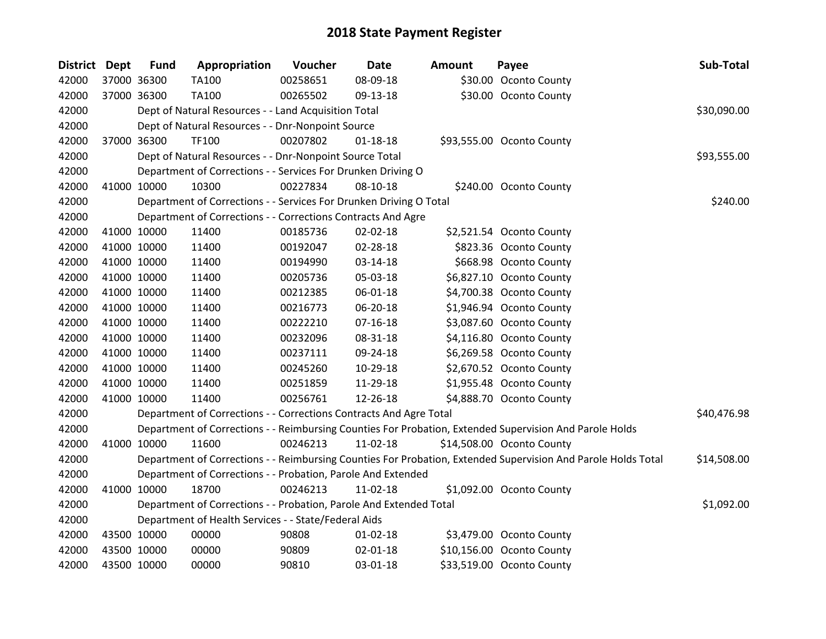| <b>District</b> | <b>Dept</b> | <b>Fund</b> | Appropriation                                                      | Voucher  | <b>Date</b>    | <b>Amount</b> | Payee                                                                                                         | Sub-Total   |
|-----------------|-------------|-------------|--------------------------------------------------------------------|----------|----------------|---------------|---------------------------------------------------------------------------------------------------------------|-------------|
| 42000           |             | 37000 36300 | <b>TA100</b>                                                       | 00258651 | 08-09-18       |               | \$30.00 Oconto County                                                                                         |             |
| 42000           |             | 37000 36300 | <b>TA100</b>                                                       | 00265502 | 09-13-18       |               | \$30.00 Oconto County                                                                                         |             |
| 42000           |             |             | Dept of Natural Resources - - Land Acquisition Total               |          |                |               |                                                                                                               | \$30,090.00 |
| 42000           |             |             | Dept of Natural Resources - - Dnr-Nonpoint Source                  |          |                |               |                                                                                                               |             |
| 42000           |             | 37000 36300 | <b>TF100</b>                                                       | 00207802 | $01 - 18 - 18$ |               | \$93,555.00 Oconto County                                                                                     |             |
| 42000           |             |             | Dept of Natural Resources - - Dnr-Nonpoint Source Total            |          |                |               |                                                                                                               | \$93,555.00 |
| 42000           |             |             | Department of Corrections - - Services For Drunken Driving O       |          |                |               |                                                                                                               |             |
| 42000           |             | 41000 10000 | 10300                                                              | 00227834 | 08-10-18       |               | \$240.00 Oconto County                                                                                        |             |
| 42000           |             |             | Department of Corrections - - Services For Drunken Driving O Total |          |                |               |                                                                                                               | \$240.00    |
| 42000           |             |             | Department of Corrections - - Corrections Contracts And Agre       |          |                |               |                                                                                                               |             |
| 42000           |             | 41000 10000 | 11400                                                              | 00185736 | $02 - 02 - 18$ |               | \$2,521.54 Oconto County                                                                                      |             |
| 42000           |             | 41000 10000 | 11400                                                              | 00192047 | 02-28-18       |               | \$823.36 Oconto County                                                                                        |             |
| 42000           |             | 41000 10000 | 11400                                                              | 00194990 | 03-14-18       |               | \$668.98 Oconto County                                                                                        |             |
| 42000           |             | 41000 10000 | 11400                                                              | 00205736 | 05-03-18       |               | \$6,827.10 Oconto County                                                                                      |             |
| 42000           |             | 41000 10000 | 11400                                                              | 00212385 | 06-01-18       |               | \$4,700.38 Oconto County                                                                                      |             |
| 42000           |             | 41000 10000 | 11400                                                              | 00216773 | 06-20-18       |               | \$1,946.94 Oconto County                                                                                      |             |
| 42000           |             | 41000 10000 | 11400                                                              | 00222210 | $07 - 16 - 18$ |               | \$3,087.60 Oconto County                                                                                      |             |
| 42000           |             | 41000 10000 | 11400                                                              | 00232096 | 08-31-18       |               | \$4,116.80 Oconto County                                                                                      |             |
| 42000           |             | 41000 10000 | 11400                                                              | 00237111 | 09-24-18       |               | \$6,269.58 Oconto County                                                                                      |             |
| 42000           |             | 41000 10000 | 11400                                                              | 00245260 | 10-29-18       |               | \$2,670.52 Oconto County                                                                                      |             |
| 42000           |             | 41000 10000 | 11400                                                              | 00251859 | 11-29-18       |               | \$1,955.48 Oconto County                                                                                      |             |
| 42000           |             | 41000 10000 | 11400                                                              | 00256761 | 12-26-18       |               | \$4,888.70 Oconto County                                                                                      |             |
| 42000           |             |             | Department of Corrections - - Corrections Contracts And Agre Total |          |                |               |                                                                                                               | \$40,476.98 |
| 42000           |             |             |                                                                    |          |                |               | Department of Corrections - - Reimbursing Counties For Probation, Extended Supervision And Parole Holds       |             |
| 42000           |             | 41000 10000 | 11600                                                              | 00246213 | 11-02-18       |               | \$14,508.00 Oconto County                                                                                     |             |
| 42000           |             |             |                                                                    |          |                |               | Department of Corrections - - Reimbursing Counties For Probation, Extended Supervision And Parole Holds Total | \$14,508.00 |
| 42000           |             |             | Department of Corrections - - Probation, Parole And Extended       |          |                |               |                                                                                                               |             |
| 42000           |             | 41000 10000 | 18700                                                              | 00246213 | $11-02-18$     |               | \$1,092.00 Oconto County                                                                                      |             |
| 42000           |             |             | Department of Corrections - - Probation, Parole And Extended Total |          |                |               |                                                                                                               | \$1,092.00  |
| 42000           |             |             | Department of Health Services - - State/Federal Aids               |          |                |               |                                                                                                               |             |
| 42000           |             | 43500 10000 | 00000                                                              | 90808    | $01 - 02 - 18$ |               | \$3,479.00 Oconto County                                                                                      |             |
| 42000           |             | 43500 10000 | 00000                                                              | 90809    | $02 - 01 - 18$ |               | \$10,156.00 Oconto County                                                                                     |             |
| 42000           |             | 43500 10000 | 00000                                                              | 90810    | 03-01-18       |               | \$33,519.00 Oconto County                                                                                     |             |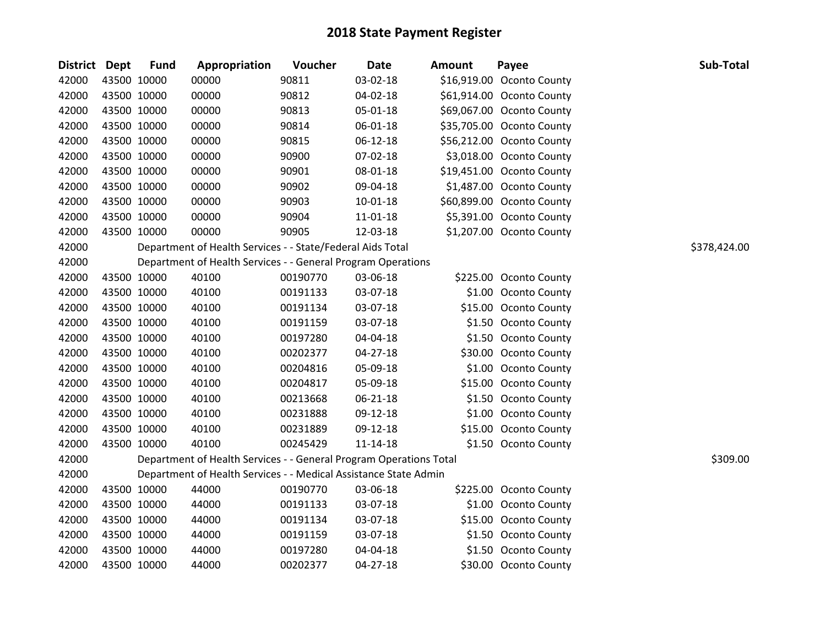| District Dept |             | <b>Fund</b> | Appropriation                                                      | Voucher  | <b>Date</b>    | <b>Amount</b> | Payee                     | Sub-Total    |
|---------------|-------------|-------------|--------------------------------------------------------------------|----------|----------------|---------------|---------------------------|--------------|
| 42000         |             | 43500 10000 | 00000                                                              | 90811    | 03-02-18       |               | \$16,919.00 Oconto County |              |
| 42000         | 43500 10000 |             | 00000                                                              | 90812    | 04-02-18       |               | \$61,914.00 Oconto County |              |
| 42000         |             | 43500 10000 | 00000                                                              | 90813    | 05-01-18       |               | \$69,067.00 Oconto County |              |
| 42000         | 43500 10000 |             | 00000                                                              | 90814    | 06-01-18       |               | \$35,705.00 Oconto County |              |
| 42000         | 43500 10000 |             | 00000                                                              | 90815    | 06-12-18       |               | \$56,212.00 Oconto County |              |
| 42000         | 43500 10000 |             | 00000                                                              | 90900    | 07-02-18       |               | \$3,018.00 Oconto County  |              |
| 42000         | 43500 10000 |             | 00000                                                              | 90901    | 08-01-18       |               | \$19,451.00 Oconto County |              |
| 42000         |             | 43500 10000 | 00000                                                              | 90902    | 09-04-18       |               | \$1,487.00 Oconto County  |              |
| 42000         | 43500 10000 |             | 00000                                                              | 90903    | $10 - 01 - 18$ |               | \$60,899.00 Oconto County |              |
| 42000         | 43500 10000 |             | 00000                                                              | 90904    | $11 - 01 - 18$ |               | \$5,391.00 Oconto County  |              |
| 42000         | 43500 10000 |             | 00000                                                              | 90905    | 12-03-18       |               | \$1,207.00 Oconto County  |              |
| 42000         |             |             | Department of Health Services - - State/Federal Aids Total         |          |                |               |                           | \$378,424.00 |
| 42000         |             |             | Department of Health Services - - General Program Operations       |          |                |               |                           |              |
| 42000         |             | 43500 10000 | 40100                                                              | 00190770 | 03-06-18       |               | \$225.00 Oconto County    |              |
| 42000         | 43500 10000 |             | 40100                                                              | 00191133 | 03-07-18       |               | \$1.00 Oconto County      |              |
| 42000         | 43500 10000 |             | 40100                                                              | 00191134 | 03-07-18       |               | \$15.00 Oconto County     |              |
| 42000         | 43500 10000 |             | 40100                                                              | 00191159 | 03-07-18       |               | \$1.50 Oconto County      |              |
| 42000         |             | 43500 10000 | 40100                                                              | 00197280 | 04-04-18       |               | \$1.50 Oconto County      |              |
| 42000         | 43500 10000 |             | 40100                                                              | 00202377 | 04-27-18       |               | \$30.00 Oconto County     |              |
| 42000         |             | 43500 10000 | 40100                                                              | 00204816 | 05-09-18       |               | \$1.00 Oconto County      |              |
| 42000         | 43500 10000 |             | 40100                                                              | 00204817 | 05-09-18       |               | \$15.00 Oconto County     |              |
| 42000         | 43500 10000 |             | 40100                                                              | 00213668 | 06-21-18       |               | \$1.50 Oconto County      |              |
| 42000         | 43500 10000 |             | 40100                                                              | 00231888 | 09-12-18       |               | \$1.00 Oconto County      |              |
| 42000         | 43500 10000 |             | 40100                                                              | 00231889 | 09-12-18       |               | \$15.00 Oconto County     |              |
| 42000         | 43500 10000 |             | 40100                                                              | 00245429 | $11 - 14 - 18$ |               | \$1.50 Oconto County      |              |
| 42000         |             |             | Department of Health Services - - General Program Operations Total |          |                |               |                           | \$309.00     |
| 42000         |             |             | Department of Health Services - - Medical Assistance State Admin   |          |                |               |                           |              |
| 42000         | 43500 10000 |             | 44000                                                              | 00190770 | 03-06-18       |               | \$225.00 Oconto County    |              |
| 42000         |             | 43500 10000 | 44000                                                              | 00191133 | 03-07-18       |               | \$1.00 Oconto County      |              |
| 42000         |             | 43500 10000 | 44000                                                              | 00191134 | 03-07-18       |               | \$15.00 Oconto County     |              |
| 42000         | 43500 10000 |             | 44000                                                              | 00191159 | 03-07-18       |               | \$1.50 Oconto County      |              |
| 42000         | 43500 10000 |             | 44000                                                              | 00197280 | 04-04-18       |               | \$1.50 Oconto County      |              |
| 42000         | 43500 10000 |             | 44000                                                              | 00202377 | 04-27-18       |               | \$30.00 Oconto County     |              |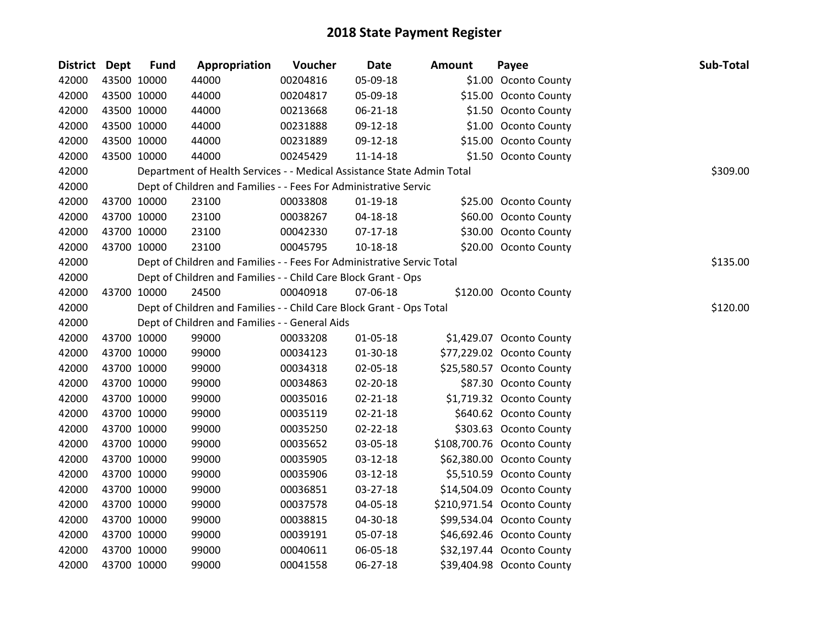| District Dept | <b>Fund</b> | Appropriation                                                          | Voucher  | <b>Date</b>    | <b>Amount</b> | Payee                      | Sub-Total |
|---------------|-------------|------------------------------------------------------------------------|----------|----------------|---------------|----------------------------|-----------|
| 42000         | 43500 10000 | 44000                                                                  | 00204816 | 05-09-18       |               | \$1.00 Oconto County       |           |
| 42000         | 43500 10000 | 44000                                                                  | 00204817 | 05-09-18       |               | \$15.00 Oconto County      |           |
| 42000         | 43500 10000 | 44000                                                                  | 00213668 | 06-21-18       |               | \$1.50 Oconto County       |           |
| 42000         | 43500 10000 | 44000                                                                  | 00231888 | 09-12-18       |               | \$1.00 Oconto County       |           |
| 42000         | 43500 10000 | 44000                                                                  | 00231889 | 09-12-18       |               | \$15.00 Oconto County      |           |
| 42000         | 43500 10000 | 44000                                                                  | 00245429 | $11 - 14 - 18$ |               | \$1.50 Oconto County       |           |
| 42000         |             | Department of Health Services - - Medical Assistance State Admin Total |          |                |               |                            | \$309.00  |
| 42000         |             | Dept of Children and Families - - Fees For Administrative Servic       |          |                |               |                            |           |
| 42000         | 43700 10000 | 23100                                                                  | 00033808 | $01-19-18$     |               | \$25.00 Oconto County      |           |
| 42000         | 43700 10000 | 23100                                                                  | 00038267 | $04 - 18 - 18$ |               | \$60.00 Oconto County      |           |
| 42000         | 43700 10000 | 23100                                                                  | 00042330 | $07-17-18$     |               | \$30.00 Oconto County      |           |
| 42000         | 43700 10000 | 23100                                                                  | 00045795 | 10-18-18       |               | \$20.00 Oconto County      |           |
| 42000         |             | Dept of Children and Families - - Fees For Administrative Servic Total |          |                |               |                            | \$135.00  |
| 42000         |             | Dept of Children and Families - - Child Care Block Grant - Ops         |          |                |               |                            |           |
| 42000         | 43700 10000 | 24500                                                                  | 00040918 | 07-06-18       |               | \$120.00 Oconto County     |           |
| 42000         |             | Dept of Children and Families - - Child Care Block Grant - Ops Total   |          |                |               |                            | \$120.00  |
| 42000         |             | Dept of Children and Families - - General Aids                         |          |                |               |                            |           |
| 42000         | 43700 10000 | 99000                                                                  | 00033208 | $01 - 05 - 18$ |               | \$1,429.07 Oconto County   |           |
| 42000         | 43700 10000 | 99000                                                                  | 00034123 | 01-30-18       |               | \$77,229.02 Oconto County  |           |
| 42000         | 43700 10000 | 99000                                                                  | 00034318 | 02-05-18       |               | \$25,580.57 Oconto County  |           |
| 42000         | 43700 10000 | 99000                                                                  | 00034863 | $02 - 20 - 18$ |               | \$87.30 Oconto County      |           |
| 42000         | 43700 10000 | 99000                                                                  | 00035016 | $02 - 21 - 18$ |               | \$1,719.32 Oconto County   |           |
| 42000         | 43700 10000 | 99000                                                                  | 00035119 | $02 - 21 - 18$ |               | \$640.62 Oconto County     |           |
| 42000         | 43700 10000 | 99000                                                                  | 00035250 | 02-22-18       |               | \$303.63 Oconto County     |           |
| 42000         | 43700 10000 | 99000                                                                  | 00035652 | 03-05-18       |               | \$108,700.76 Oconto County |           |
| 42000         | 43700 10000 | 99000                                                                  | 00035905 | 03-12-18       |               | \$62,380.00 Oconto County  |           |
| 42000         | 43700 10000 | 99000                                                                  | 00035906 | 03-12-18       |               | \$5,510.59 Oconto County   |           |
| 42000         | 43700 10000 | 99000                                                                  | 00036851 | 03-27-18       |               | \$14,504.09 Oconto County  |           |
| 42000         | 43700 10000 | 99000                                                                  | 00037578 | 04-05-18       |               | \$210,971.54 Oconto County |           |
| 42000         | 43700 10000 | 99000                                                                  | 00038815 | 04-30-18       |               | \$99,534.04 Oconto County  |           |
| 42000         | 43700 10000 | 99000                                                                  | 00039191 | 05-07-18       |               | \$46,692.46 Oconto County  |           |
| 42000         | 43700 10000 | 99000                                                                  | 00040611 | 06-05-18       |               | \$32,197.44 Oconto County  |           |
| 42000         | 43700 10000 | 99000                                                                  | 00041558 | $06 - 27 - 18$ |               | \$39,404.98 Oconto County  |           |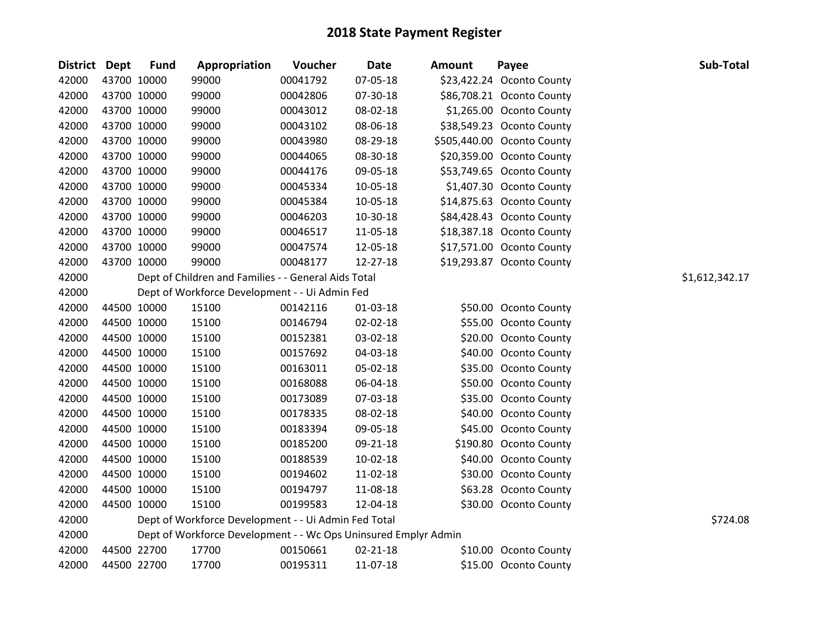| District Dept |             | <b>Fund</b> | Appropriation                                                   | Voucher  | <b>Date</b>    | <b>Amount</b> | Payee                      | Sub-Total      |
|---------------|-------------|-------------|-----------------------------------------------------------------|----------|----------------|---------------|----------------------------|----------------|
| 42000         | 43700 10000 |             | 99000                                                           | 00041792 | 07-05-18       |               | \$23,422.24 Oconto County  |                |
| 42000         | 43700 10000 |             | 99000                                                           | 00042806 | 07-30-18       |               | \$86,708.21 Oconto County  |                |
| 42000         | 43700 10000 |             | 99000                                                           | 00043012 | 08-02-18       |               | \$1,265.00 Oconto County   |                |
| 42000         | 43700 10000 |             | 99000                                                           | 00043102 | 08-06-18       |               | \$38,549.23 Oconto County  |                |
| 42000         | 43700 10000 |             | 99000                                                           | 00043980 | 08-29-18       |               | \$505,440.00 Oconto County |                |
| 42000         | 43700 10000 |             | 99000                                                           | 00044065 | 08-30-18       |               | \$20,359.00 Oconto County  |                |
| 42000         | 43700 10000 |             | 99000                                                           | 00044176 | 09-05-18       |               | \$53,749.65 Oconto County  |                |
| 42000         | 43700 10000 |             | 99000                                                           | 00045334 | 10-05-18       |               | \$1,407.30 Oconto County   |                |
| 42000         | 43700 10000 |             | 99000                                                           | 00045384 | 10-05-18       |               | \$14,875.63 Oconto County  |                |
| 42000         | 43700 10000 |             | 99000                                                           | 00046203 | 10-30-18       |               | \$84,428.43 Oconto County  |                |
| 42000         | 43700 10000 |             | 99000                                                           | 00046517 | 11-05-18       |               | \$18,387.18 Oconto County  |                |
| 42000         | 43700 10000 |             | 99000                                                           | 00047574 | 12-05-18       |               | \$17,571.00 Oconto County  |                |
| 42000         | 43700 10000 |             | 99000                                                           | 00048177 | 12-27-18       |               | \$19,293.87 Oconto County  |                |
| 42000         |             |             | Dept of Children and Families - - General Aids Total            |          |                |               |                            | \$1,612,342.17 |
| 42000         |             |             | Dept of Workforce Development - - Ui Admin Fed                  |          |                |               |                            |                |
| 42000         | 44500 10000 |             | 15100                                                           | 00142116 | 01-03-18       |               | \$50.00 Oconto County      |                |
| 42000         | 44500 10000 |             | 15100                                                           | 00146794 | $02 - 02 - 18$ |               | \$55.00 Oconto County      |                |
| 42000         | 44500 10000 |             | 15100                                                           | 00152381 | 03-02-18       |               | \$20.00 Oconto County      |                |
| 42000         | 44500 10000 |             | 15100                                                           | 00157692 | 04-03-18       |               | \$40.00 Oconto County      |                |
| 42000         | 44500 10000 |             | 15100                                                           | 00163011 | 05-02-18       |               | \$35.00 Oconto County      |                |
| 42000         |             | 44500 10000 | 15100                                                           | 00168088 | 06-04-18       |               | \$50.00 Oconto County      |                |
| 42000         | 44500 10000 |             | 15100                                                           | 00173089 | 07-03-18       |               | \$35.00 Oconto County      |                |
| 42000         | 44500 10000 |             | 15100                                                           | 00178335 | 08-02-18       |               | \$40.00 Oconto County      |                |
| 42000         | 44500 10000 |             | 15100                                                           | 00183394 | 09-05-18       |               | \$45.00 Oconto County      |                |
| 42000         | 44500 10000 |             | 15100                                                           | 00185200 | 09-21-18       |               | \$190.80 Oconto County     |                |
| 42000         | 44500 10000 |             | 15100                                                           | 00188539 | $10-02-18$     |               | \$40.00 Oconto County      |                |
| 42000         | 44500 10000 |             | 15100                                                           | 00194602 | 11-02-18       |               | \$30.00 Oconto County      |                |
| 42000         | 44500 10000 |             | 15100                                                           | 00194797 | 11-08-18       |               | \$63.28 Oconto County      |                |
| 42000         | 44500 10000 |             | 15100                                                           | 00199583 | 12-04-18       |               | \$30.00 Oconto County      |                |
| 42000         |             |             | Dept of Workforce Development - - Ui Admin Fed Total            |          |                |               |                            | \$724.08       |
| 42000         |             |             | Dept of Workforce Development - - Wc Ops Uninsured Emplyr Admin |          |                |               |                            |                |
| 42000         | 44500 22700 |             | 17700                                                           | 00150661 | $02 - 21 - 18$ |               | \$10.00 Oconto County      |                |
| 42000         | 44500 22700 |             | 17700                                                           | 00195311 | 11-07-18       |               | \$15.00 Oconto County      |                |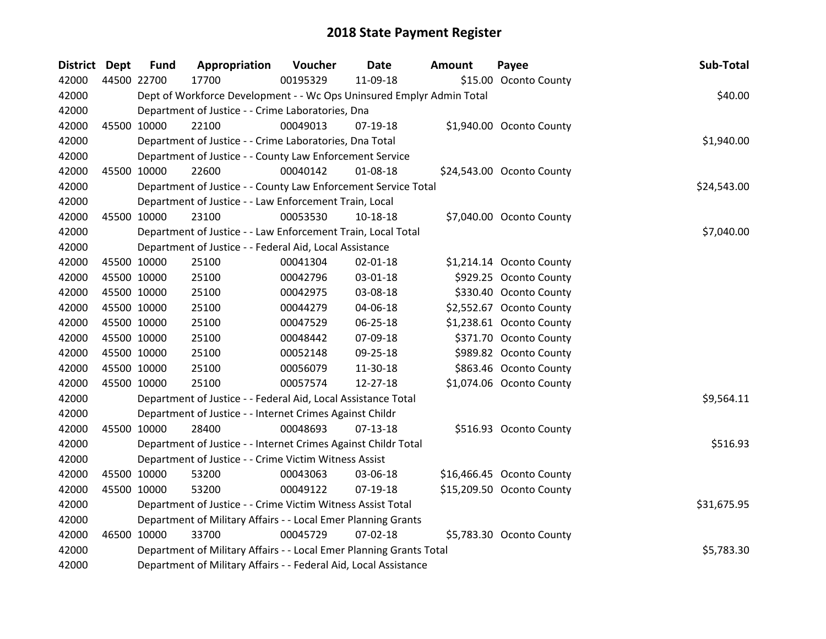| District Dept |             | <b>Fund</b> | Appropriation                                                         | Voucher  | <b>Date</b>    | <b>Amount</b> | Payee                     | Sub-Total   |
|---------------|-------------|-------------|-----------------------------------------------------------------------|----------|----------------|---------------|---------------------------|-------------|
| 42000         |             | 44500 22700 | 17700                                                                 | 00195329 | 11-09-18       |               | \$15.00 Oconto County     |             |
| 42000         |             |             | Dept of Workforce Development - - Wc Ops Uninsured Emplyr Admin Total |          |                |               |                           | \$40.00     |
| 42000         |             |             | Department of Justice - - Crime Laboratories, Dna                     |          |                |               |                           |             |
| 42000         | 45500 10000 |             | 22100                                                                 | 00049013 | 07-19-18       |               | \$1,940.00 Oconto County  |             |
| 42000         |             |             | Department of Justice - - Crime Laboratories, Dna Total               |          |                |               |                           | \$1,940.00  |
| 42000         |             |             | Department of Justice - - County Law Enforcement Service              |          |                |               |                           |             |
| 42000         |             | 45500 10000 | 22600                                                                 | 00040142 | 01-08-18       |               | \$24,543.00 Oconto County |             |
| 42000         |             |             | Department of Justice - - County Law Enforcement Service Total        |          |                |               |                           | \$24,543.00 |
| 42000         |             |             | Department of Justice - - Law Enforcement Train, Local                |          |                |               |                           |             |
| 42000         |             | 45500 10000 | 23100                                                                 | 00053530 | $10-18-18$     |               | \$7,040.00 Oconto County  |             |
| 42000         |             |             | Department of Justice - - Law Enforcement Train, Local Total          |          |                |               |                           | \$7,040.00  |
| 42000         |             |             | Department of Justice - - Federal Aid, Local Assistance               |          |                |               |                           |             |
| 42000         | 45500 10000 |             | 25100                                                                 | 00041304 | $02 - 01 - 18$ |               | \$1,214.14 Oconto County  |             |
| 42000         | 45500 10000 |             | 25100                                                                 | 00042796 | 03-01-18       |               | \$929.25 Oconto County    |             |
| 42000         | 45500 10000 |             | 25100                                                                 | 00042975 | 03-08-18       |               | \$330.40 Oconto County    |             |
| 42000         |             | 45500 10000 | 25100                                                                 | 00044279 | 04-06-18       |               | \$2,552.67 Oconto County  |             |
| 42000         |             | 45500 10000 | 25100                                                                 | 00047529 | 06-25-18       |               | \$1,238.61 Oconto County  |             |
| 42000         | 45500 10000 |             | 25100                                                                 | 00048442 | 07-09-18       |               | \$371.70 Oconto County    |             |
| 42000         | 45500 10000 |             | 25100                                                                 | 00052148 | 09-25-18       |               | \$989.82 Oconto County    |             |
| 42000         |             | 45500 10000 | 25100                                                                 | 00056079 | 11-30-18       |               | \$863.46 Oconto County    |             |
| 42000         |             | 45500 10000 | 25100                                                                 | 00057574 | 12-27-18       |               | \$1,074.06 Oconto County  |             |
| 42000         |             |             | Department of Justice - - Federal Aid, Local Assistance Total         |          |                |               |                           | \$9,564.11  |
| 42000         |             |             | Department of Justice - - Internet Crimes Against Childr              |          |                |               |                           |             |
| 42000         |             | 45500 10000 | 28400                                                                 | 00048693 | $07-13-18$     |               | \$516.93 Oconto County    |             |
| 42000         |             |             | Department of Justice - - Internet Crimes Against Childr Total        |          |                |               |                           | \$516.93    |
| 42000         |             |             | Department of Justice - - Crime Victim Witness Assist                 |          |                |               |                           |             |
| 42000         | 45500 10000 |             | 53200                                                                 | 00043063 | 03-06-18       |               | \$16,466.45 Oconto County |             |
| 42000         |             | 45500 10000 | 53200                                                                 | 00049122 | 07-19-18       |               | \$15,209.50 Oconto County |             |
| 42000         |             |             | Department of Justice - - Crime Victim Witness Assist Total           |          |                |               |                           | \$31,675.95 |
| 42000         |             |             | Department of Military Affairs - - Local Emer Planning Grants         |          |                |               |                           |             |
| 42000         |             | 46500 10000 | 33700                                                                 | 00045729 | 07-02-18       |               | \$5,783.30 Oconto County  |             |
| 42000         |             |             | Department of Military Affairs - - Local Emer Planning Grants Total   |          |                |               |                           | \$5,783.30  |
| 42000         |             |             | Department of Military Affairs - - Federal Aid, Local Assistance      |          |                |               |                           |             |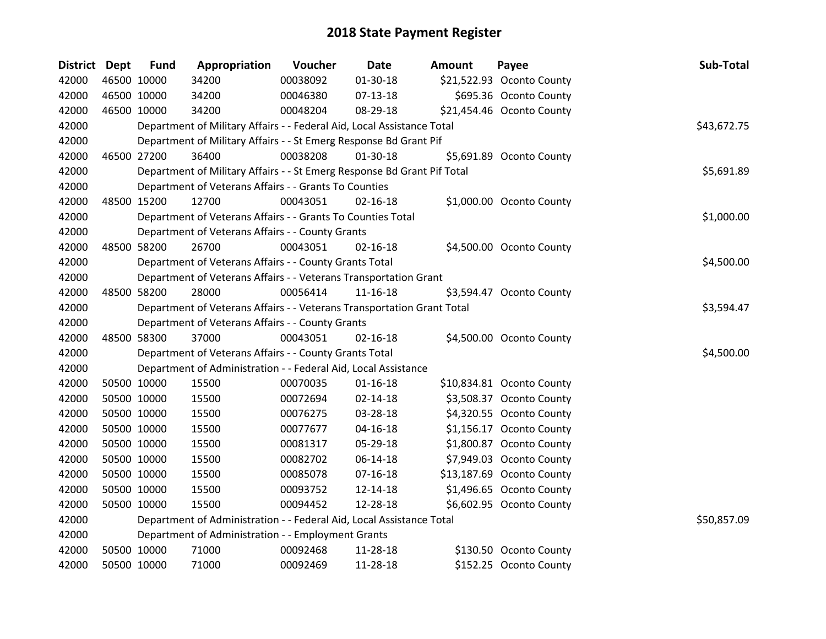| <b>District</b> | <b>Dept</b> | <b>Fund</b> | Appropriation                                                           | Voucher  | <b>Date</b>    | <b>Amount</b> | Payee                     | Sub-Total   |
|-----------------|-------------|-------------|-------------------------------------------------------------------------|----------|----------------|---------------|---------------------------|-------------|
| 42000           |             | 46500 10000 | 34200                                                                   | 00038092 | 01-30-18       |               | \$21,522.93 Oconto County |             |
| 42000           |             | 46500 10000 | 34200                                                                   | 00046380 | $07 - 13 - 18$ |               | \$695.36 Oconto County    |             |
| 42000           |             | 46500 10000 | 34200                                                                   | 00048204 | 08-29-18       |               | \$21,454.46 Oconto County |             |
| 42000           |             |             | Department of Military Affairs - - Federal Aid, Local Assistance Total  |          |                |               |                           | \$43,672.75 |
| 42000           |             |             | Department of Military Affairs - - St Emerg Response Bd Grant Pif       |          |                |               |                           |             |
| 42000           |             | 46500 27200 | 36400                                                                   | 00038208 | $01-30-18$     |               | \$5,691.89 Oconto County  |             |
| 42000           |             |             | Department of Military Affairs - - St Emerg Response Bd Grant Pif Total |          |                |               |                           | \$5,691.89  |
| 42000           |             |             | Department of Veterans Affairs - - Grants To Counties                   |          |                |               |                           |             |
| 42000           |             | 48500 15200 | 12700                                                                   | 00043051 | $02 - 16 - 18$ |               | \$1,000.00 Oconto County  |             |
| 42000           |             |             | Department of Veterans Affairs - - Grants To Counties Total             |          |                |               |                           | \$1,000.00  |
| 42000           |             |             | Department of Veterans Affairs - - County Grants                        |          |                |               |                           |             |
| 42000           |             | 48500 58200 | 26700                                                                   | 00043051 | $02 - 16 - 18$ |               | \$4,500.00 Oconto County  |             |
| 42000           |             |             | Department of Veterans Affairs - - County Grants Total                  |          |                |               |                           | \$4,500.00  |
| 42000           |             |             | Department of Veterans Affairs - - Veterans Transportation Grant        |          |                |               |                           |             |
| 42000           |             | 48500 58200 | 28000                                                                   | 00056414 | 11-16-18       |               | \$3,594.47 Oconto County  |             |
| 42000           |             |             | Department of Veterans Affairs - - Veterans Transportation Grant Total  |          |                |               |                           | \$3,594.47  |
| 42000           |             |             | Department of Veterans Affairs - - County Grants                        |          |                |               |                           |             |
| 42000           |             | 48500 58300 | 37000                                                                   | 00043051 | $02 - 16 - 18$ |               | \$4,500.00 Oconto County  |             |
| 42000           |             |             | Department of Veterans Affairs - - County Grants Total                  |          |                |               |                           | \$4,500.00  |
| 42000           |             |             | Department of Administration - - Federal Aid, Local Assistance          |          |                |               |                           |             |
| 42000           |             | 50500 10000 | 15500                                                                   | 00070035 | $01 - 16 - 18$ |               | \$10,834.81 Oconto County |             |
| 42000           |             | 50500 10000 | 15500                                                                   | 00072694 | $02 - 14 - 18$ |               | \$3,508.37 Oconto County  |             |
| 42000           |             | 50500 10000 | 15500                                                                   | 00076275 | 03-28-18       |               | \$4,320.55 Oconto County  |             |
| 42000           |             | 50500 10000 | 15500                                                                   | 00077677 | $04 - 16 - 18$ |               | \$1,156.17 Oconto County  |             |
| 42000           |             | 50500 10000 | 15500                                                                   | 00081317 | 05-29-18       |               | \$1,800.87 Oconto County  |             |
| 42000           |             | 50500 10000 | 15500                                                                   | 00082702 | 06-14-18       |               | \$7,949.03 Oconto County  |             |
| 42000           |             | 50500 10000 | 15500                                                                   | 00085078 | $07 - 16 - 18$ |               | \$13,187.69 Oconto County |             |
| 42000           |             | 50500 10000 | 15500                                                                   | 00093752 | 12-14-18       |               | \$1,496.65 Oconto County  |             |
| 42000           |             | 50500 10000 | 15500                                                                   | 00094452 | 12-28-18       |               | \$6,602.95 Oconto County  |             |
| 42000           |             |             | Department of Administration - - Federal Aid, Local Assistance Total    |          |                |               |                           | \$50,857.09 |
| 42000           |             |             | Department of Administration - - Employment Grants                      |          |                |               |                           |             |
| 42000           |             | 50500 10000 | 71000                                                                   | 00092468 | 11-28-18       |               | \$130.50 Oconto County    |             |
| 42000           |             | 50500 10000 | 71000                                                                   | 00092469 | 11-28-18       |               | \$152.25 Oconto County    |             |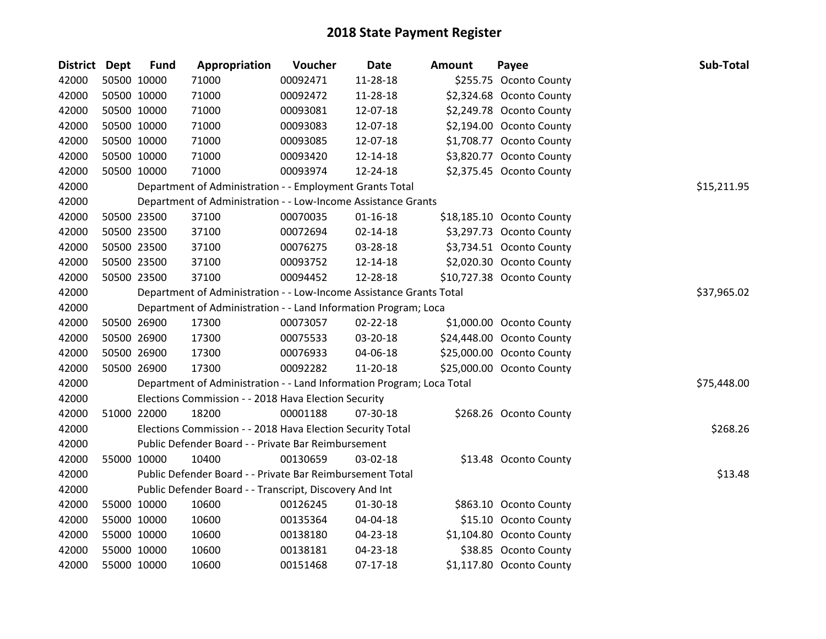| District Dept |             | <b>Fund</b> | Appropriation                                                         | Voucher  | <b>Date</b>    | <b>Amount</b> | Payee                     | Sub-Total   |
|---------------|-------------|-------------|-----------------------------------------------------------------------|----------|----------------|---------------|---------------------------|-------------|
| 42000         |             | 50500 10000 | 71000                                                                 | 00092471 | 11-28-18       |               | \$255.75 Oconto County    |             |
| 42000         |             | 50500 10000 | 71000                                                                 | 00092472 | 11-28-18       |               | \$2,324.68 Oconto County  |             |
| 42000         |             | 50500 10000 | 71000                                                                 | 00093081 | 12-07-18       |               | \$2,249.78 Oconto County  |             |
| 42000         |             | 50500 10000 | 71000                                                                 | 00093083 | 12-07-18       |               | \$2,194.00 Oconto County  |             |
| 42000         |             | 50500 10000 | 71000                                                                 | 00093085 | 12-07-18       |               | \$1,708.77 Oconto County  |             |
| 42000         |             | 50500 10000 | 71000                                                                 | 00093420 | 12-14-18       |               | \$3,820.77 Oconto County  |             |
| 42000         |             | 50500 10000 | 71000                                                                 | 00093974 | 12-24-18       |               | \$2,375.45 Oconto County  |             |
| 42000         |             |             | Department of Administration - - Employment Grants Total              |          |                |               |                           | \$15,211.95 |
| 42000         |             |             | Department of Administration - - Low-Income Assistance Grants         |          |                |               |                           |             |
| 42000         |             | 50500 23500 | 37100                                                                 | 00070035 | $01 - 16 - 18$ |               | \$18,185.10 Oconto County |             |
| 42000         |             | 50500 23500 | 37100                                                                 | 00072694 | $02 - 14 - 18$ |               | \$3,297.73 Oconto County  |             |
| 42000         |             | 50500 23500 | 37100                                                                 | 00076275 | 03-28-18       |               | \$3,734.51 Oconto County  |             |
| 42000         |             | 50500 23500 | 37100                                                                 | 00093752 | 12-14-18       |               | \$2,020.30 Oconto County  |             |
| 42000         | 50500 23500 |             | 37100                                                                 | 00094452 | 12-28-18       |               | \$10,727.38 Oconto County |             |
| 42000         |             |             | Department of Administration - - Low-Income Assistance Grants Total   |          |                |               |                           | \$37,965.02 |
| 42000         |             |             | Department of Administration - - Land Information Program; Loca       |          |                |               |                           |             |
| 42000         |             | 50500 26900 | 17300                                                                 | 00073057 | 02-22-18       |               | \$1,000.00 Oconto County  |             |
| 42000         |             | 50500 26900 | 17300                                                                 | 00075533 | 03-20-18       |               | \$24,448.00 Oconto County |             |
| 42000         |             | 50500 26900 | 17300                                                                 | 00076933 | 04-06-18       |               | \$25,000.00 Oconto County |             |
| 42000         |             | 50500 26900 | 17300                                                                 | 00092282 | 11-20-18       |               | \$25,000.00 Oconto County |             |
| 42000         |             |             | Department of Administration - - Land Information Program; Loca Total |          |                |               |                           | \$75,448.00 |
| 42000         |             |             | Elections Commission - - 2018 Hava Election Security                  |          |                |               |                           |             |
| 42000         |             | 51000 22000 | 18200                                                                 | 00001188 | 07-30-18       |               | \$268.26 Oconto County    |             |
| 42000         |             |             | Elections Commission - - 2018 Hava Election Security Total            |          |                |               |                           | \$268.26    |
| 42000         |             |             | Public Defender Board - - Private Bar Reimbursement                   |          |                |               |                           |             |
| 42000         | 55000 10000 |             | 10400                                                                 | 00130659 | 03-02-18       |               | \$13.48 Oconto County     |             |
| 42000         |             |             | Public Defender Board - - Private Bar Reimbursement Total             |          |                |               |                           | \$13.48     |
| 42000         |             |             | Public Defender Board - - Transcript, Discovery And Int               |          |                |               |                           |             |
| 42000         |             | 55000 10000 | 10600                                                                 | 00126245 | 01-30-18       |               | \$863.10 Oconto County    |             |
| 42000         |             | 55000 10000 | 10600                                                                 | 00135364 | 04-04-18       |               | \$15.10 Oconto County     |             |
| 42000         |             | 55000 10000 | 10600                                                                 | 00138180 | 04-23-18       |               | \$1,104.80 Oconto County  |             |
| 42000         | 55000 10000 |             | 10600                                                                 | 00138181 | 04-23-18       |               | \$38.85 Oconto County     |             |
| 42000         | 55000 10000 |             | 10600                                                                 | 00151468 | $07-17-18$     |               | \$1,117.80 Oconto County  |             |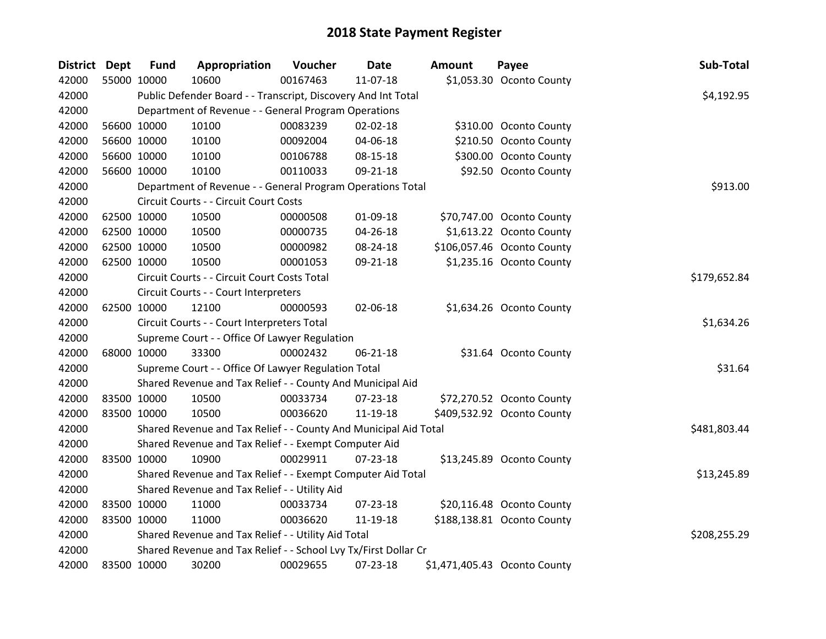| <b>District</b> | <b>Dept</b> | <b>Fund</b> | Appropriation                                                    | Voucher  | <b>Date</b>    | <b>Amount</b> | Payee                        | Sub-Total    |
|-----------------|-------------|-------------|------------------------------------------------------------------|----------|----------------|---------------|------------------------------|--------------|
| 42000           |             | 55000 10000 | 10600                                                            | 00167463 | 11-07-18       |               | \$1,053.30 Oconto County     |              |
| 42000           |             |             | Public Defender Board - - Transcript, Discovery And Int Total    |          |                |               |                              | \$4,192.95   |
| 42000           |             |             | Department of Revenue - - General Program Operations             |          |                |               |                              |              |
| 42000           |             | 56600 10000 | 10100                                                            | 00083239 | 02-02-18       |               | \$310.00 Oconto County       |              |
| 42000           |             | 56600 10000 | 10100                                                            | 00092004 | 04-06-18       |               | \$210.50 Oconto County       |              |
| 42000           |             | 56600 10000 | 10100                                                            | 00106788 | 08-15-18       |               | \$300.00 Oconto County       |              |
| 42000           |             | 56600 10000 | 10100                                                            | 00110033 | 09-21-18       |               | \$92.50 Oconto County        |              |
| 42000           |             |             | Department of Revenue - - General Program Operations Total       |          |                |               |                              | \$913.00     |
| 42000           |             |             | Circuit Courts - - Circuit Court Costs                           |          |                |               |                              |              |
| 42000           |             | 62500 10000 | 10500                                                            | 00000508 | 01-09-18       |               | \$70,747.00 Oconto County    |              |
| 42000           |             | 62500 10000 | 10500                                                            | 00000735 | 04-26-18       |               | \$1,613.22 Oconto County     |              |
| 42000           |             | 62500 10000 | 10500                                                            | 00000982 | 08-24-18       |               | \$106,057.46 Oconto County   |              |
| 42000           | 62500 10000 |             | 10500                                                            | 00001053 | 09-21-18       |               | \$1,235.16 Oconto County     |              |
| 42000           |             |             | Circuit Courts - - Circuit Court Costs Total                     |          |                |               |                              | \$179,652.84 |
| 42000           |             |             | Circuit Courts - - Court Interpreters                            |          |                |               |                              |              |
| 42000           |             | 62500 10000 | 12100                                                            | 00000593 | 02-06-18       |               | \$1,634.26 Oconto County     |              |
| 42000           |             |             | Circuit Courts - - Court Interpreters Total                      |          |                |               |                              | \$1,634.26   |
| 42000           |             |             | Supreme Court - - Office Of Lawyer Regulation                    |          |                |               |                              |              |
| 42000           |             | 68000 10000 | 33300                                                            | 00002432 | $06 - 21 - 18$ |               | \$31.64 Oconto County        |              |
| 42000           |             |             | Supreme Court - - Office Of Lawyer Regulation Total              |          |                |               |                              | \$31.64      |
| 42000           |             |             | Shared Revenue and Tax Relief - - County And Municipal Aid       |          |                |               |                              |              |
| 42000           |             | 83500 10000 | 10500                                                            | 00033734 | 07-23-18       |               | \$72,270.52 Oconto County    |              |
| 42000           |             | 83500 10000 | 10500                                                            | 00036620 | 11-19-18       |               | \$409,532.92 Oconto County   |              |
| 42000           |             |             | Shared Revenue and Tax Relief - - County And Municipal Aid Total |          |                |               |                              | \$481,803.44 |
| 42000           |             |             | Shared Revenue and Tax Relief - - Exempt Computer Aid            |          |                |               |                              |              |
| 42000           | 83500 10000 |             | 10900                                                            | 00029911 | 07-23-18       |               | \$13,245.89 Oconto County    |              |
| 42000           |             |             | Shared Revenue and Tax Relief - - Exempt Computer Aid Total      |          |                |               |                              | \$13,245.89  |
| 42000           |             |             | Shared Revenue and Tax Relief - - Utility Aid                    |          |                |               |                              |              |
| 42000           |             | 83500 10000 | 11000                                                            | 00033734 | 07-23-18       |               | \$20,116.48 Oconto County    |              |
| 42000           | 83500 10000 |             | 11000                                                            | 00036620 | 11-19-18       |               | \$188,138.81 Oconto County   |              |
| 42000           |             |             | Shared Revenue and Tax Relief - - Utility Aid Total              |          |                |               |                              | \$208,255.29 |
| 42000           |             |             | Shared Revenue and Tax Relief - - School Lvy Tx/First Dollar Cr  |          |                |               |                              |              |
| 42000           |             | 83500 10000 | 30200                                                            | 00029655 | 07-23-18       |               | \$1,471,405.43 Oconto County |              |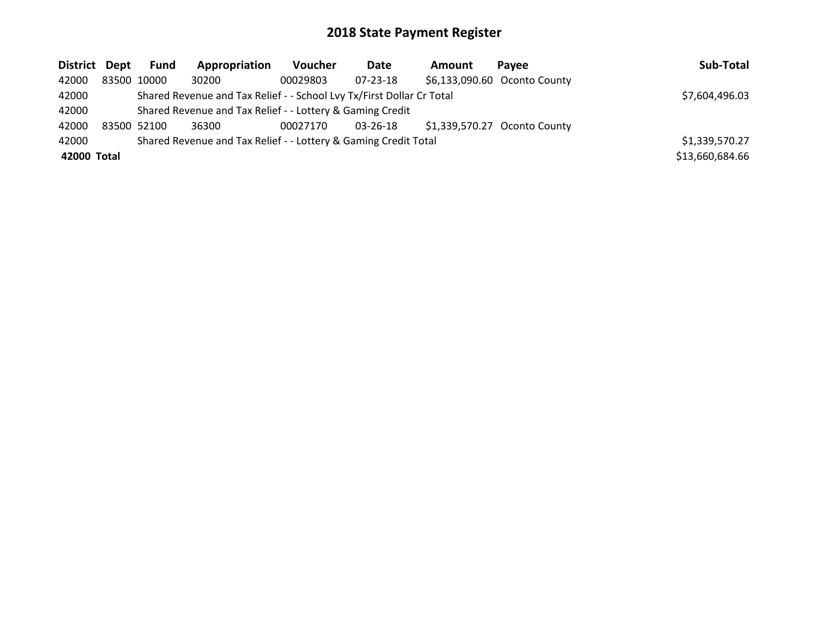| District Dept | Fund        | Appropriation                                                         | <b>Voucher</b> | Date           | <b>Amount</b> | <b>Pavee</b>                 | Sub-Total       |
|---------------|-------------|-----------------------------------------------------------------------|----------------|----------------|---------------|------------------------------|-----------------|
| 42000         | 83500 10000 | 30200                                                                 | 00029803       | $07 - 23 - 18$ |               | \$6,133,090.60 Oconto County |                 |
| 42000         |             | Shared Revenue and Tax Relief - - School Lvy Tx/First Dollar Cr Total |                |                |               |                              | \$7,604,496.03  |
| 42000         |             | Shared Revenue and Tax Relief - - Lottery & Gaming Credit             |                |                |               |                              |                 |
| 42000         | 83500 52100 | 36300                                                                 | 00027170       | 03-26-18       |               | \$1,339,570.27 Oconto County |                 |
| 42000         |             | Shared Revenue and Tax Relief - - Lottery & Gaming Credit Total       |                |                |               |                              | \$1,339,570.27  |
| 42000 Total   |             |                                                                       |                |                |               |                              | \$13,660,684.66 |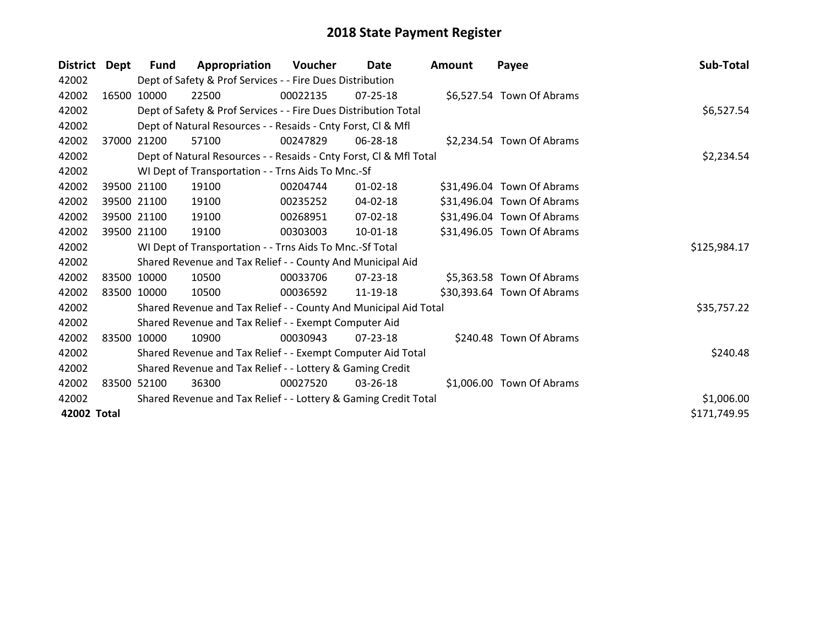| <b>District</b> | Dept  | Fund        | Appropriation                                                      | Voucher    | Date           | <b>Amount</b> | Payee                      | Sub-Total    |
|-----------------|-------|-------------|--------------------------------------------------------------------|------------|----------------|---------------|----------------------------|--------------|
| 42002           |       |             | Dept of Safety & Prof Services - - Fire Dues Distribution          |            |                |               |                            |              |
| 42002           |       | 16500 10000 | 22500                                                              | 00022135   | $07 - 25 - 18$ |               | \$6,527.54 Town Of Abrams  |              |
| 42002           |       |             | Dept of Safety & Prof Services - - Fire Dues Distribution Total    | \$6,527.54 |                |               |                            |              |
| 42002           |       |             | Dept of Natural Resources - - Resaids - Cnty Forst, CI & Mfl       |            |                |               |                            |              |
| 42002           |       | 37000 21200 | 57100                                                              | 00247829   | $06 - 28 - 18$ |               | \$2,234.54 Town Of Abrams  |              |
| 42002           |       |             | Dept of Natural Resources - - Resaids - Cnty Forst, Cl & Mfl Total |            |                |               |                            | \$2,234.54   |
| 42002           |       |             | WI Dept of Transportation - - Trns Aids To Mnc.-Sf                 |            |                |               |                            |              |
| 42002           |       | 39500 21100 | 19100                                                              | 00204744   | $01 - 02 - 18$ |               | \$31,496.04 Town Of Abrams |              |
| 42002           |       | 39500 21100 | 19100                                                              | 00235252   | $04 - 02 - 18$ |               | \$31,496.04 Town Of Abrams |              |
| 42002           |       | 39500 21100 | 19100                                                              | 00268951   | $07-02-18$     |               | \$31,496.04 Town Of Abrams |              |
| 42002           |       | 39500 21100 | 19100                                                              | 00303003   | 10-01-18       |               | \$31,496.05 Town Of Abrams |              |
| 42002           |       |             | WI Dept of Transportation - - Trns Aids To Mnc.-Sf Total           |            |                |               |                            | \$125,984.17 |
| 42002           |       |             | Shared Revenue and Tax Relief - - County And Municipal Aid         |            |                |               |                            |              |
| 42002           |       | 83500 10000 | 10500                                                              | 00033706   | 07-23-18       |               | \$5,363.58 Town Of Abrams  |              |
| 42002           |       | 83500 10000 | 10500                                                              | 00036592   | 11-19-18       |               | \$30,393.64 Town Of Abrams |              |
| 42002           |       |             | Shared Revenue and Tax Relief - - County And Municipal Aid Total   |            |                |               |                            | \$35,757.22  |
| 42002           |       |             | Shared Revenue and Tax Relief - - Exempt Computer Aid              |            |                |               |                            |              |
| 42002           | 83500 | 10000       | 10900                                                              | 00030943   | 07-23-18       |               | \$240.48 Town Of Abrams    |              |
| 42002           |       |             | Shared Revenue and Tax Relief - - Exempt Computer Aid Total        |            |                |               |                            | \$240.48     |
| 42002           |       |             | Shared Revenue and Tax Relief - - Lottery & Gaming Credit          |            |                |               |                            |              |
| 42002           |       | 83500 52100 | 36300                                                              | 00027520   | 03-26-18       |               | \$1,006.00 Town Of Abrams  |              |
| 42002           |       |             | Shared Revenue and Tax Relief - - Lottery & Gaming Credit Total    |            |                |               |                            | \$1,006.00   |
| 42002 Total     |       |             |                                                                    |            |                |               |                            | \$171,749.95 |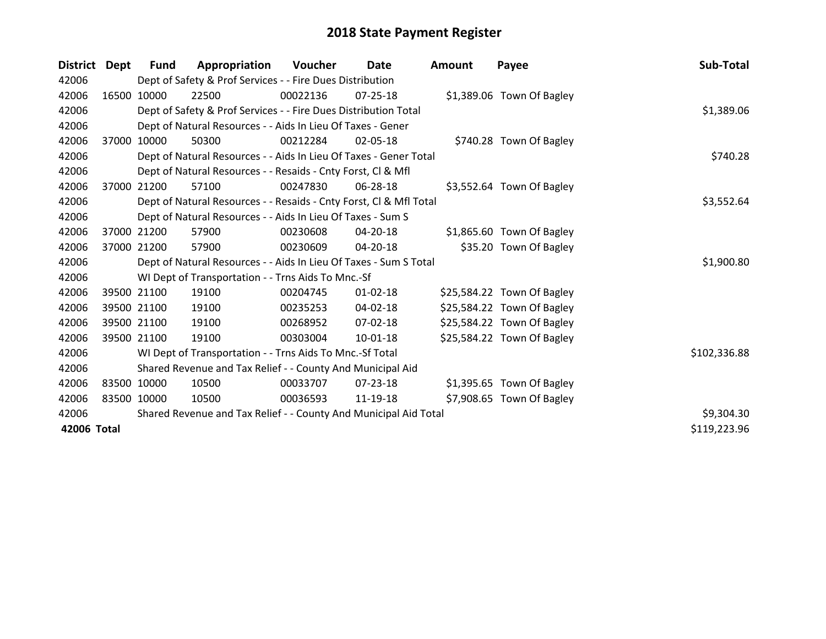| <b>District</b> | Dept  | <b>Fund</b> | Appropriation                                                      | <b>Voucher</b> | Date           | <b>Amount</b> | Payee                      | Sub-Total    |
|-----------------|-------|-------------|--------------------------------------------------------------------|----------------|----------------|---------------|----------------------------|--------------|
| 42006           |       |             | Dept of Safety & Prof Services - - Fire Dues Distribution          |                |                |               |                            |              |
| 42006           |       | 16500 10000 | 22500                                                              | 00022136       | 07-25-18       |               | \$1,389.06 Town Of Bagley  |              |
| 42006           |       |             | Dept of Safety & Prof Services - - Fire Dues Distribution Total    |                |                |               |                            | \$1,389.06   |
| 42006           |       |             | Dept of Natural Resources - - Aids In Lieu Of Taxes - Gener        |                |                |               |                            |              |
| 42006           | 37000 | 10000       | 50300                                                              | 00212284       | 02-05-18       |               | \$740.28 Town Of Bagley    |              |
| 42006           |       |             | Dept of Natural Resources - - Aids In Lieu Of Taxes - Gener Total  |                |                |               |                            | \$740.28     |
| 42006           |       |             | Dept of Natural Resources - - Resaids - Cnty Forst, CI & Mfl       |                |                |               |                            |              |
| 42006           | 37000 | 21200       | 57100                                                              | 00247830       | 06-28-18       |               | \$3,552.64 Town Of Bagley  |              |
| 42006           |       |             | Dept of Natural Resources - - Resaids - Cnty Forst, CI & Mfl Total |                |                |               |                            | \$3,552.64   |
| 42006           |       |             | Dept of Natural Resources - - Aids In Lieu Of Taxes - Sum S        |                |                |               |                            |              |
| 42006           |       | 37000 21200 | 57900                                                              | 00230608       | 04-20-18       |               | \$1,865.60 Town Of Bagley  |              |
| 42006           |       | 37000 21200 | 57900                                                              | 00230609       | 04-20-18       |               | \$35.20 Town Of Bagley     |              |
| 42006           |       |             | Dept of Natural Resources - - Aids In Lieu Of Taxes - Sum S Total  |                |                |               |                            | \$1,900.80   |
| 42006           |       |             | WI Dept of Transportation - - Trns Aids To Mnc.-Sf                 |                |                |               |                            |              |
| 42006           |       | 39500 21100 | 19100                                                              | 00204745       | $01 - 02 - 18$ |               | \$25,584.22 Town Of Bagley |              |
| 42006           |       | 39500 21100 | 19100                                                              | 00235253       | 04-02-18       |               | \$25,584.22 Town Of Bagley |              |
| 42006           |       | 39500 21100 | 19100                                                              | 00268952       | 07-02-18       |               | \$25,584.22 Town Of Bagley |              |
| 42006           |       | 39500 21100 | 19100                                                              | 00303004       | $10 - 01 - 18$ |               | \$25,584.22 Town Of Bagley |              |
| 42006           |       |             | WI Dept of Transportation - - Trns Aids To Mnc.-Sf Total           |                |                |               |                            | \$102,336.88 |
| 42006           |       |             | Shared Revenue and Tax Relief - - County And Municipal Aid         |                |                |               |                            |              |
| 42006           |       | 83500 10000 | 10500                                                              | 00033707       | 07-23-18       |               | \$1,395.65 Town Of Bagley  |              |
| 42006           |       | 83500 10000 | 10500                                                              | 00036593       | 11-19-18       |               | \$7,908.65 Town Of Bagley  |              |
| 42006           |       |             | Shared Revenue and Tax Relief - - County And Municipal Aid Total   |                |                |               |                            | \$9,304.30   |
| 42006 Total     |       |             |                                                                    |                |                |               |                            | \$119,223.96 |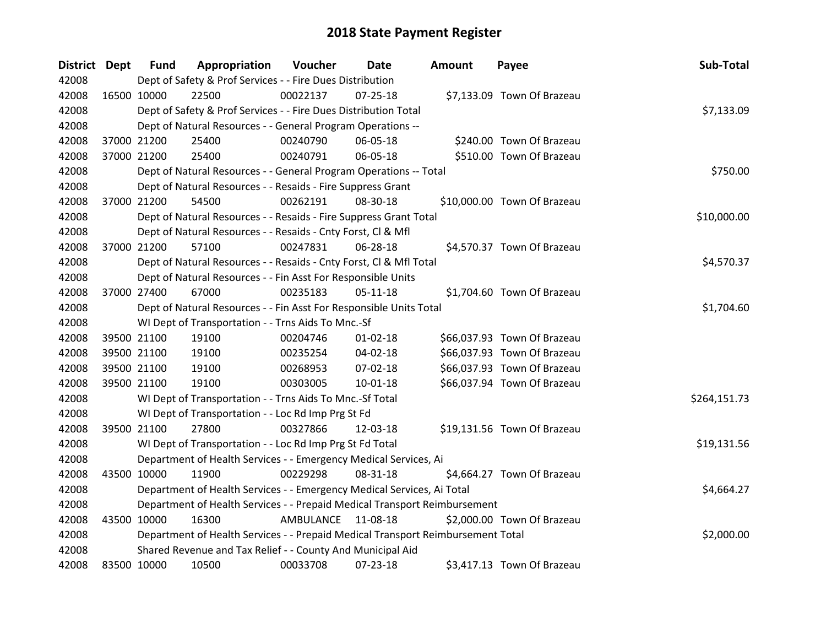| District Dept | <b>Fund</b> | Appropriation                                                                   | <b>Voucher</b> | Date           | <b>Amount</b> | Payee                       | Sub-Total    |
|---------------|-------------|---------------------------------------------------------------------------------|----------------|----------------|---------------|-----------------------------|--------------|
| 42008         |             | Dept of Safety & Prof Services - - Fire Dues Distribution                       |                |                |               |                             |              |
| 42008         | 16500 10000 | 22500                                                                           | 00022137       | $07 - 25 - 18$ |               | \$7,133.09 Town Of Brazeau  |              |
| 42008         |             | Dept of Safety & Prof Services - - Fire Dues Distribution Total                 |                |                |               |                             | \$7,133.09   |
| 42008         |             | Dept of Natural Resources - - General Program Operations --                     |                |                |               |                             |              |
| 42008         | 37000 21200 | 25400                                                                           | 00240790       | 06-05-18       |               | \$240.00 Town Of Brazeau    |              |
| 42008         | 37000 21200 | 25400                                                                           | 00240791       | 06-05-18       |               | \$510.00 Town Of Brazeau    |              |
| 42008         |             | Dept of Natural Resources - - General Program Operations -- Total               |                |                |               |                             | \$750.00     |
| 42008         |             | Dept of Natural Resources - - Resaids - Fire Suppress Grant                     |                |                |               |                             |              |
| 42008         | 37000 21200 | 54500                                                                           | 00262191       | 08-30-18       |               | \$10,000.00 Town Of Brazeau |              |
| 42008         |             | Dept of Natural Resources - - Resaids - Fire Suppress Grant Total               |                |                |               |                             | \$10,000.00  |
| 42008         |             | Dept of Natural Resources - - Resaids - Cnty Forst, CI & Mfl                    |                |                |               |                             |              |
| 42008         | 37000 21200 | 57100                                                                           | 00247831       | 06-28-18       |               | \$4,570.37 Town Of Brazeau  |              |
| 42008         |             | Dept of Natural Resources - - Resaids - Cnty Forst, Cl & Mfl Total              |                |                |               |                             | \$4,570.37   |
| 42008         |             | Dept of Natural Resources - - Fin Asst For Responsible Units                    |                |                |               |                             |              |
| 42008         | 37000 27400 | 67000                                                                           | 00235183       | $05 - 11 - 18$ |               | \$1,704.60 Town Of Brazeau  |              |
| 42008         |             | Dept of Natural Resources - - Fin Asst For Responsible Units Total              |                |                |               |                             | \$1,704.60   |
| 42008         |             | WI Dept of Transportation - - Trns Aids To Mnc.-Sf                              |                |                |               |                             |              |
| 42008         | 39500 21100 | 19100                                                                           | 00204746       | $01 - 02 - 18$ |               | \$66,037.93 Town Of Brazeau |              |
| 42008         | 39500 21100 | 19100                                                                           | 00235254       | 04-02-18       |               | \$66,037.93 Town Of Brazeau |              |
| 42008         | 39500 21100 | 19100                                                                           | 00268953       | 07-02-18       |               | \$66,037.93 Town Of Brazeau |              |
| 42008         | 39500 21100 | 19100                                                                           | 00303005       | 10-01-18       |               | \$66,037.94 Town Of Brazeau |              |
| 42008         |             | WI Dept of Transportation - - Trns Aids To Mnc.-Sf Total                        |                |                |               |                             | \$264,151.73 |
| 42008         |             | WI Dept of Transportation - - Loc Rd Imp Prg St Fd                              |                |                |               |                             |              |
| 42008         | 39500 21100 | 27800                                                                           | 00327866       | 12-03-18       |               | \$19,131.56 Town Of Brazeau |              |
| 42008         |             | WI Dept of Transportation - - Loc Rd Imp Prg St Fd Total                        |                |                |               |                             | \$19,131.56  |
| 42008         |             | Department of Health Services - - Emergency Medical Services, Ai                |                |                |               |                             |              |
| 42008         | 43500 10000 | 11900                                                                           | 00229298       | 08-31-18       |               | \$4,664.27 Town Of Brazeau  |              |
| 42008         |             | Department of Health Services - - Emergency Medical Services, Ai Total          |                |                |               |                             | \$4,664.27   |
| 42008         |             | Department of Health Services - - Prepaid Medical Transport Reimbursement       |                |                |               |                             |              |
| 42008         | 43500 10000 | 16300                                                                           | AMBULANCE      | 11-08-18       |               | \$2,000.00 Town Of Brazeau  |              |
| 42008         |             | Department of Health Services - - Prepaid Medical Transport Reimbursement Total |                |                |               |                             | \$2,000.00   |
| 42008         |             | Shared Revenue and Tax Relief - - County And Municipal Aid                      |                |                |               |                             |              |
| 42008         | 83500 10000 | 10500                                                                           | 00033708       | 07-23-18       |               | \$3,417.13 Town Of Brazeau  |              |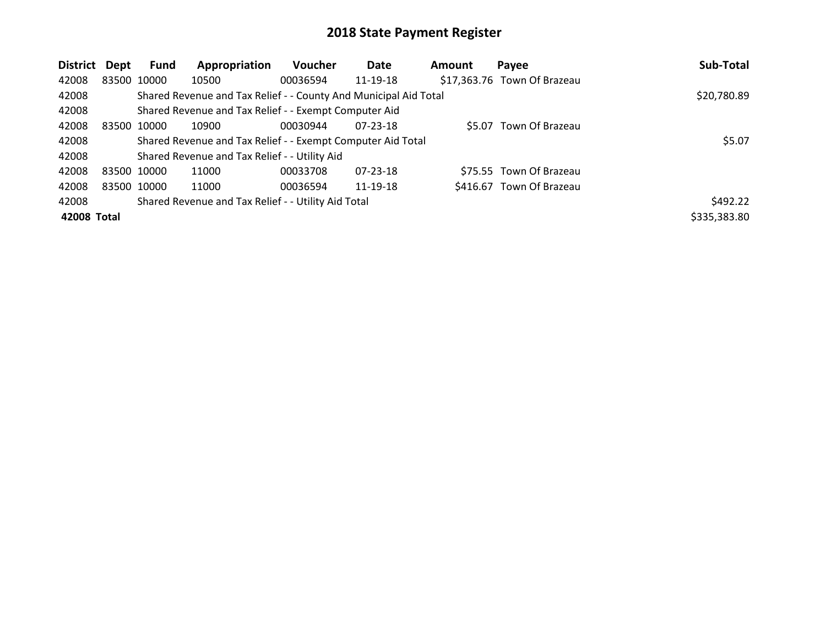| <b>District</b> | Dept        | Fund        | Appropriation                                                    | Voucher  | Date           | Amount | Payee                       | Sub-Total    |
|-----------------|-------------|-------------|------------------------------------------------------------------|----------|----------------|--------|-----------------------------|--------------|
| 42008           |             | 83500 10000 | 10500                                                            | 00036594 | 11-19-18       |        | \$17,363.76 Town Of Brazeau |              |
| 42008           |             |             | Shared Revenue and Tax Relief - - County And Municipal Aid Total |          |                |        |                             | \$20,780.89  |
| 42008           |             |             | Shared Revenue and Tax Relief - - Exempt Computer Aid            |          |                |        |                             |              |
| 42008           | 83500 10000 |             | 10900                                                            | 00030944 | $07 - 23 - 18$ |        | \$5.07 Town Of Brazeau      |              |
| 42008           |             |             | Shared Revenue and Tax Relief - - Exempt Computer Aid Total      |          |                |        |                             | \$5.07       |
| 42008           |             |             | Shared Revenue and Tax Relief - - Utility Aid                    |          |                |        |                             |              |
| 42008           | 83500 10000 |             | 11000                                                            | 00033708 | $07 - 23 - 18$ |        | \$75.55 Town Of Brazeau     |              |
| 42008           |             | 83500 10000 | 11000                                                            | 00036594 | 11-19-18       |        | \$416.67 Town Of Brazeau    |              |
| 42008           |             |             | Shared Revenue and Tax Relief - - Utility Aid Total              |          |                |        |                             | \$492.22     |
| 42008 Total     |             |             |                                                                  |          |                |        |                             | \$335,383.80 |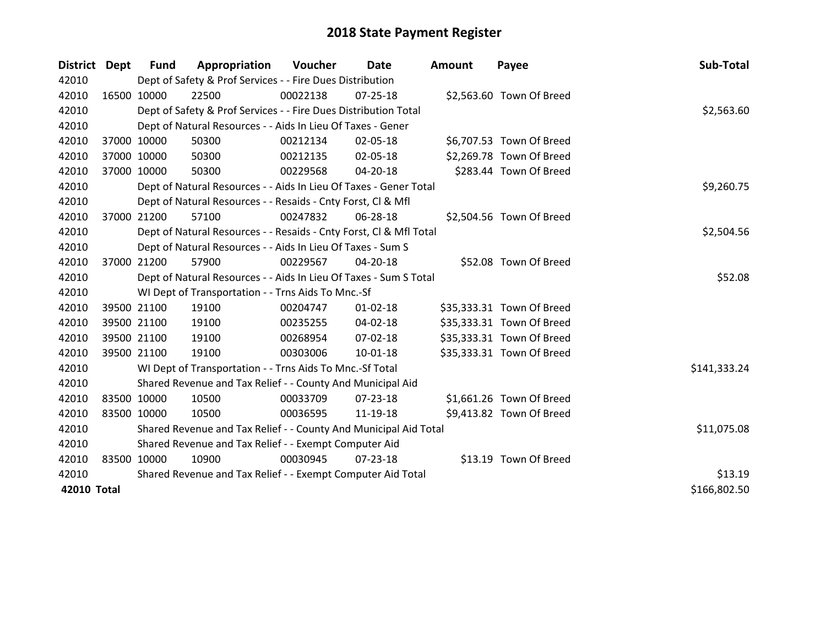| District Dept |             | Fund        | Appropriation                                                      | <b>Voucher</b> | Date           | <b>Amount</b> | Payee                     | Sub-Total    |
|---------------|-------------|-------------|--------------------------------------------------------------------|----------------|----------------|---------------|---------------------------|--------------|
| 42010         |             |             | Dept of Safety & Prof Services - - Fire Dues Distribution          |                |                |               |                           |              |
| 42010         | 16500 10000 |             | 22500                                                              | 00022138       | 07-25-18       |               | \$2,563.60 Town Of Breed  |              |
| 42010         |             |             | Dept of Safety & Prof Services - - Fire Dues Distribution Total    |                |                |               |                           | \$2,563.60   |
| 42010         |             |             | Dept of Natural Resources - - Aids In Lieu Of Taxes - Gener        |                |                |               |                           |              |
| 42010         |             | 37000 10000 | 50300                                                              | 00212134       | 02-05-18       |               | \$6,707.53 Town Of Breed  |              |
| 42010         |             | 37000 10000 | 50300                                                              | 00212135       | 02-05-18       |               | \$2,269.78 Town Of Breed  |              |
| 42010         |             | 37000 10000 | 50300                                                              | 00229568       | 04-20-18       |               | \$283.44 Town Of Breed    |              |
| 42010         |             |             | Dept of Natural Resources - - Aids In Lieu Of Taxes - Gener Total  | \$9,260.75     |                |               |                           |              |
| 42010         |             |             | Dept of Natural Resources - - Resaids - Cnty Forst, CI & Mfl       |                |                |               |                           |              |
| 42010         |             | 37000 21200 | 57100                                                              | 00247832       | 06-28-18       |               | \$2,504.56 Town Of Breed  |              |
| 42010         |             |             | Dept of Natural Resources - - Resaids - Cnty Forst, Cl & Mfl Total |                |                |               |                           | \$2,504.56   |
| 42010         |             |             | Dept of Natural Resources - - Aids In Lieu Of Taxes - Sum S        |                |                |               |                           |              |
| 42010         |             | 37000 21200 | 57900                                                              | 00229567       | 04-20-18       |               | \$52.08 Town Of Breed     |              |
| 42010         |             |             | Dept of Natural Resources - - Aids In Lieu Of Taxes - Sum S Total  |                |                |               |                           | \$52.08      |
| 42010         |             |             | WI Dept of Transportation - - Trns Aids To Mnc.-Sf                 |                |                |               |                           |              |
| 42010         |             | 39500 21100 | 19100                                                              | 00204747       | $01 - 02 - 18$ |               | \$35,333.31 Town Of Breed |              |
| 42010         |             | 39500 21100 | 19100                                                              | 00235255       | 04-02-18       |               | \$35,333.31 Town Of Breed |              |
| 42010         |             | 39500 21100 | 19100                                                              | 00268954       | 07-02-18       |               | \$35,333.31 Town Of Breed |              |
| 42010         |             | 39500 21100 | 19100                                                              | 00303006       | 10-01-18       |               | \$35,333.31 Town Of Breed |              |
| 42010         |             |             | WI Dept of Transportation - - Trns Aids To Mnc.-Sf Total           |                |                |               |                           | \$141,333.24 |
| 42010         |             |             | Shared Revenue and Tax Relief - - County And Municipal Aid         |                |                |               |                           |              |
| 42010         | 83500 10000 |             | 10500                                                              | 00033709       | 07-23-18       |               | \$1,661.26 Town Of Breed  |              |
| 42010         |             | 83500 10000 | 10500                                                              | 00036595       | 11-19-18       |               | \$9,413.82 Town Of Breed  |              |
| 42010         |             |             | Shared Revenue and Tax Relief - - County And Municipal Aid Total   |                |                |               |                           | \$11,075.08  |
| 42010         |             |             | Shared Revenue and Tax Relief - - Exempt Computer Aid              |                |                |               |                           |              |
| 42010         |             | 83500 10000 | 10900                                                              | 00030945       | $07 - 23 - 18$ |               | \$13.19 Town Of Breed     |              |
| 42010         |             |             | Shared Revenue and Tax Relief - - Exempt Computer Aid Total        |                |                |               |                           | \$13.19      |
| 42010 Total   |             |             |                                                                    |                |                |               |                           | \$166,802.50 |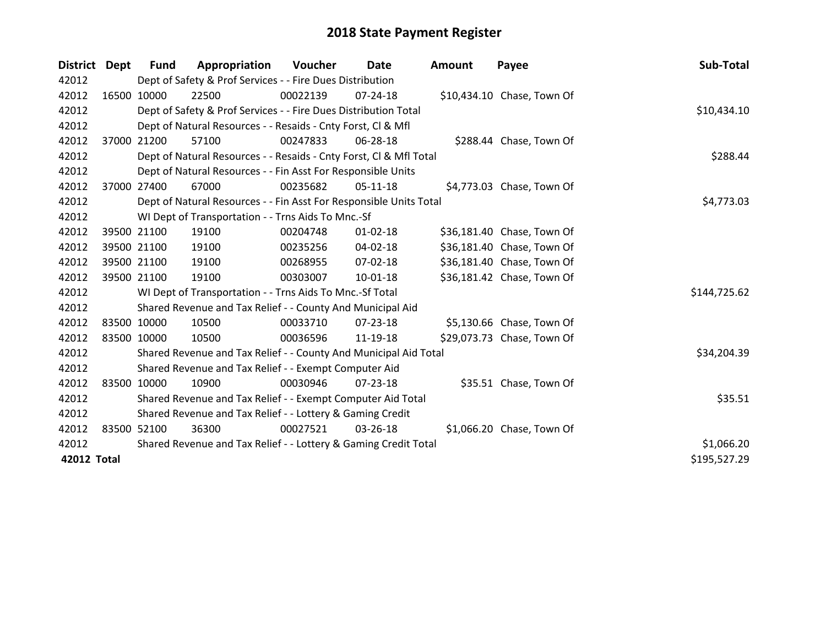| District Dept |             | <b>Fund</b> | Appropriation                                                      | Voucher  | Date           | <b>Amount</b> | Payee                      | Sub-Total    |
|---------------|-------------|-------------|--------------------------------------------------------------------|----------|----------------|---------------|----------------------------|--------------|
| 42012         |             |             | Dept of Safety & Prof Services - - Fire Dues Distribution          |          |                |               |                            |              |
| 42012         | 16500 10000 |             | 22500                                                              | 00022139 | $07 - 24 - 18$ |               | \$10,434.10 Chase, Town Of |              |
| 42012         |             |             | Dept of Safety & Prof Services - - Fire Dues Distribution Total    |          |                |               |                            | \$10,434.10  |
| 42012         |             |             | Dept of Natural Resources - - Resaids - Cnty Forst, CI & Mfl       |          |                |               |                            |              |
| 42012         | 37000 21200 |             | 57100                                                              | 00247833 | 06-28-18       |               | \$288.44 Chase, Town Of    |              |
| 42012         |             |             | Dept of Natural Resources - - Resaids - Cnty Forst, Cl & Mfl Total |          |                |               |                            | \$288.44     |
| 42012         |             |             | Dept of Natural Resources - - Fin Asst For Responsible Units       |          |                |               |                            |              |
| 42012         | 37000       | 27400       | 67000                                                              | 00235682 | $05-11-18$     |               | \$4,773.03 Chase, Town Of  |              |
| 42012         |             |             | Dept of Natural Resources - - Fin Asst For Responsible Units Total |          |                |               |                            | \$4,773.03   |
| 42012         |             |             | WI Dept of Transportation - - Trns Aids To Mnc.-Sf                 |          |                |               |                            |              |
| 42012         |             | 39500 21100 | 19100                                                              | 00204748 | $01 - 02 - 18$ |               | \$36,181.40 Chase, Town Of |              |
| 42012         |             | 39500 21100 | 19100                                                              | 00235256 | 04-02-18       |               | \$36,181.40 Chase, Town Of |              |
| 42012         |             | 39500 21100 | 19100                                                              | 00268955 | 07-02-18       |               | \$36,181.40 Chase, Town Of |              |
| 42012         |             | 39500 21100 | 19100                                                              | 00303007 | 10-01-18       |               | \$36,181.42 Chase, Town Of |              |
| 42012         |             |             | WI Dept of Transportation - - Trns Aids To Mnc.-Sf Total           |          |                |               |                            | \$144,725.62 |
| 42012         |             |             | Shared Revenue and Tax Relief - - County And Municipal Aid         |          |                |               |                            |              |
| 42012         | 83500 10000 |             | 10500                                                              | 00033710 | $07 - 23 - 18$ |               | \$5,130.66 Chase, Town Of  |              |
| 42012         | 83500 10000 |             | 10500                                                              | 00036596 | 11-19-18       |               | \$29,073.73 Chase, Town Of |              |
| 42012         |             |             | Shared Revenue and Tax Relief - - County And Municipal Aid Total   |          |                |               |                            | \$34,204.39  |
| 42012         |             |             | Shared Revenue and Tax Relief - - Exempt Computer Aid              |          |                |               |                            |              |
| 42012         | 83500 10000 |             | 10900                                                              | 00030946 | $07 - 23 - 18$ |               | \$35.51 Chase, Town Of     |              |
| 42012         |             |             | Shared Revenue and Tax Relief - - Exempt Computer Aid Total        |          |                |               |                            | \$35.51      |
| 42012         |             |             | Shared Revenue and Tax Relief - - Lottery & Gaming Credit          |          |                |               |                            |              |
| 42012         |             | 83500 52100 | 36300                                                              | 00027521 | 03-26-18       |               | \$1,066.20 Chase, Town Of  |              |
| 42012         |             |             | Shared Revenue and Tax Relief - - Lottery & Gaming Credit Total    |          |                |               |                            | \$1,066.20   |
| 42012 Total   |             |             |                                                                    |          |                |               |                            | \$195,527.29 |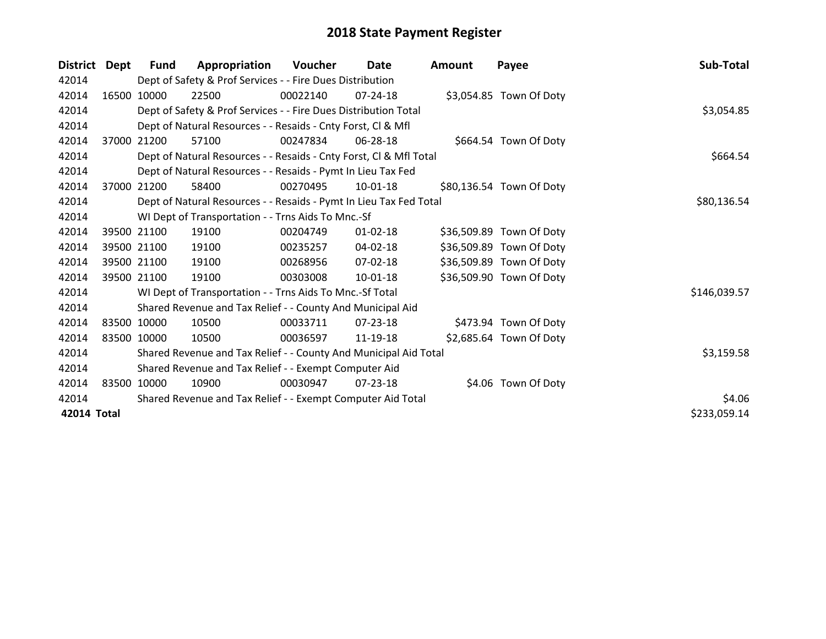| <b>District</b> | Dept  | <b>Fund</b> | Appropriation                                                      | Voucher  | Date           | <b>Amount</b> | Payee                    | Sub-Total    |
|-----------------|-------|-------------|--------------------------------------------------------------------|----------|----------------|---------------|--------------------------|--------------|
| 42014           |       |             | Dept of Safety & Prof Services - - Fire Dues Distribution          |          |                |               |                          |              |
| 42014           |       | 16500 10000 | 22500                                                              | 00022140 | $07 - 24 - 18$ |               | \$3,054.85 Town Of Doty  |              |
| 42014           |       |             | Dept of Safety & Prof Services - - Fire Dues Distribution Total    |          |                |               |                          | \$3,054.85   |
| 42014           |       |             | Dept of Natural Resources - - Resaids - Cnty Forst, CI & Mfl       |          |                |               |                          |              |
| 42014           | 37000 | 21200       | 57100                                                              | 00247834 | $06 - 28 - 18$ |               | \$664.54 Town Of Doty    |              |
| 42014           |       |             | Dept of Natural Resources - - Resaids - Cnty Forst, Cl & Mfl Total |          |                |               |                          | \$664.54     |
| 42014           |       |             | Dept of Natural Resources - - Resaids - Pymt In Lieu Tax Fed       |          |                |               |                          |              |
| 42014           | 37000 | 21200       | 58400                                                              | 00270495 | 10-01-18       |               | \$80,136.54 Town Of Doty |              |
| 42014           |       |             | Dept of Natural Resources - - Resaids - Pymt In Lieu Tax Fed Total |          |                |               |                          | \$80,136.54  |
| 42014           |       |             | WI Dept of Transportation - - Trns Aids To Mnc.-Sf                 |          |                |               |                          |              |
| 42014           |       | 39500 21100 | 19100                                                              | 00204749 | $01 - 02 - 18$ |               | \$36,509.89 Town Of Doty |              |
| 42014           |       | 39500 21100 | 19100                                                              | 00235257 | $04 - 02 - 18$ |               | \$36,509.89 Town Of Doty |              |
| 42014           |       | 39500 21100 | 19100                                                              | 00268956 | 07-02-18       |               | \$36,509.89 Town Of Doty |              |
| 42014           |       | 39500 21100 | 19100                                                              | 00303008 | 10-01-18       |               | \$36,509.90 Town Of Doty |              |
| 42014           |       |             | WI Dept of Transportation - - Trns Aids To Mnc.-Sf Total           |          |                |               |                          | \$146,039.57 |
| 42014           |       |             | Shared Revenue and Tax Relief - - County And Municipal Aid         |          |                |               |                          |              |
| 42014           |       | 83500 10000 | 10500                                                              | 00033711 | $07 - 23 - 18$ |               | \$473.94 Town Of Doty    |              |
| 42014           |       | 83500 10000 | 10500                                                              | 00036597 | 11-19-18       |               | \$2,685.64 Town Of Doty  |              |
| 42014           |       |             | Shared Revenue and Tax Relief - - County And Municipal Aid Total   |          |                |               |                          | \$3,159.58   |
| 42014           |       |             | Shared Revenue and Tax Relief - - Exempt Computer Aid              |          |                |               |                          |              |
| 42014           |       | 83500 10000 | 10900                                                              | 00030947 | $07 - 23 - 18$ |               | \$4.06 Town Of Doty      |              |
| 42014           |       |             | Shared Revenue and Tax Relief - - Exempt Computer Aid Total        |          |                |               |                          | \$4.06       |
| 42014 Total     |       |             |                                                                    |          |                |               |                          | \$233,059.14 |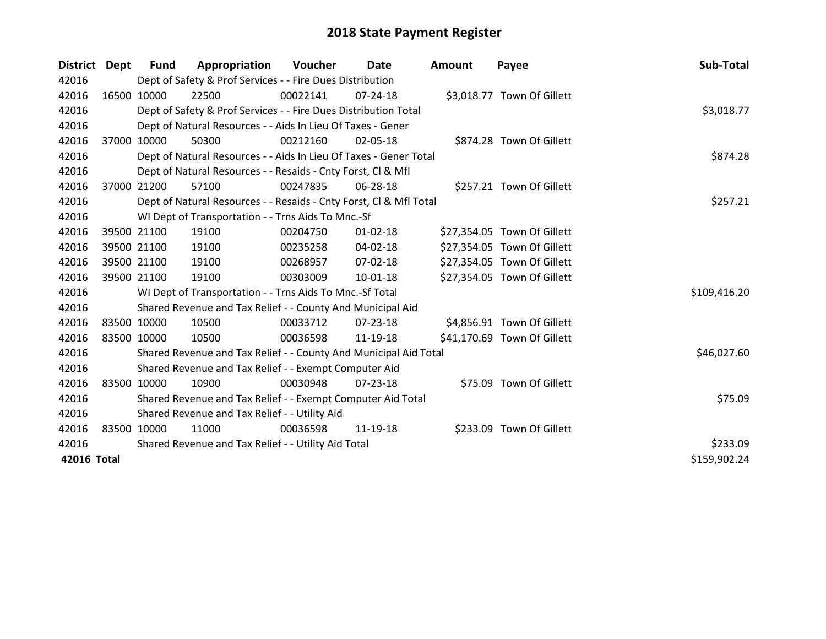| District Dept |             | <b>Fund</b> | Appropriation                                                      | Voucher  | Date           | Amount | Payee                       | Sub-Total    |
|---------------|-------------|-------------|--------------------------------------------------------------------|----------|----------------|--------|-----------------------------|--------------|
| 42016         |             |             | Dept of Safety & Prof Services - - Fire Dues Distribution          |          |                |        |                             |              |
| 42016         | 16500 10000 |             | 22500                                                              | 00022141 | $07 - 24 - 18$ |        | \$3,018.77 Town Of Gillett  |              |
| 42016         |             |             | Dept of Safety & Prof Services - - Fire Dues Distribution Total    |          |                |        |                             | \$3,018.77   |
| 42016         |             |             | Dept of Natural Resources - - Aids In Lieu Of Taxes - Gener        |          |                |        |                             |              |
| 42016         |             | 37000 10000 | 50300                                                              | 00212160 | 02-05-18       |        | \$874.28 Town Of Gillett    |              |
| 42016         |             |             | Dept of Natural Resources - - Aids In Lieu Of Taxes - Gener Total  |          |                |        |                             | \$874.28     |
| 42016         |             |             | Dept of Natural Resources - - Resaids - Cnty Forst, CI & Mfl       |          |                |        |                             |              |
| 42016         | 37000       | 21200       | 57100                                                              | 00247835 | 06-28-18       |        | \$257.21 Town Of Gillett    |              |
| 42016         |             |             | Dept of Natural Resources - - Resaids - Cnty Forst, Cl & Mfl Total |          |                |        |                             | \$257.21     |
| 42016         |             |             | WI Dept of Transportation - - Trns Aids To Mnc.-Sf                 |          |                |        |                             |              |
| 42016         |             | 39500 21100 | 19100                                                              | 00204750 | $01 - 02 - 18$ |        | \$27,354.05 Town Of Gillett |              |
| 42016         |             | 39500 21100 | 19100                                                              | 00235258 | 04-02-18       |        | \$27,354.05 Town Of Gillett |              |
| 42016         |             | 39500 21100 | 19100                                                              | 00268957 | 07-02-18       |        | \$27,354.05 Town Of Gillett |              |
| 42016         |             | 39500 21100 | 19100                                                              | 00303009 | 10-01-18       |        | \$27,354.05 Town Of Gillett |              |
| 42016         |             |             | WI Dept of Transportation - - Trns Aids To Mnc.-Sf Total           |          |                |        |                             | \$109,416.20 |
| 42016         |             |             | Shared Revenue and Tax Relief - - County And Municipal Aid         |          |                |        |                             |              |
| 42016         |             | 83500 10000 | 10500                                                              | 00033712 | $07 - 23 - 18$ |        | \$4,856.91 Town Of Gillett  |              |
| 42016         | 83500 10000 |             | 10500                                                              | 00036598 | 11-19-18       |        | \$41,170.69 Town Of Gillett |              |
| 42016         |             |             | Shared Revenue and Tax Relief - - County And Municipal Aid Total   |          |                |        |                             | \$46,027.60  |
| 42016         |             |             | Shared Revenue and Tax Relief - - Exempt Computer Aid              |          |                |        |                             |              |
| 42016         |             | 83500 10000 | 10900                                                              | 00030948 | $07 - 23 - 18$ |        | \$75.09 Town Of Gillett     |              |
| 42016         |             |             | Shared Revenue and Tax Relief - - Exempt Computer Aid Total        |          |                |        |                             | \$75.09      |
| 42016         |             |             | Shared Revenue and Tax Relief - - Utility Aid                      |          |                |        |                             |              |
| 42016         |             | 83500 10000 | 11000                                                              | 00036598 | 11-19-18       |        | \$233.09 Town Of Gillett    |              |
| 42016         |             | \$233.09    |                                                                    |          |                |        |                             |              |
| 42016 Total   |             |             |                                                                    |          |                |        |                             | \$159,902.24 |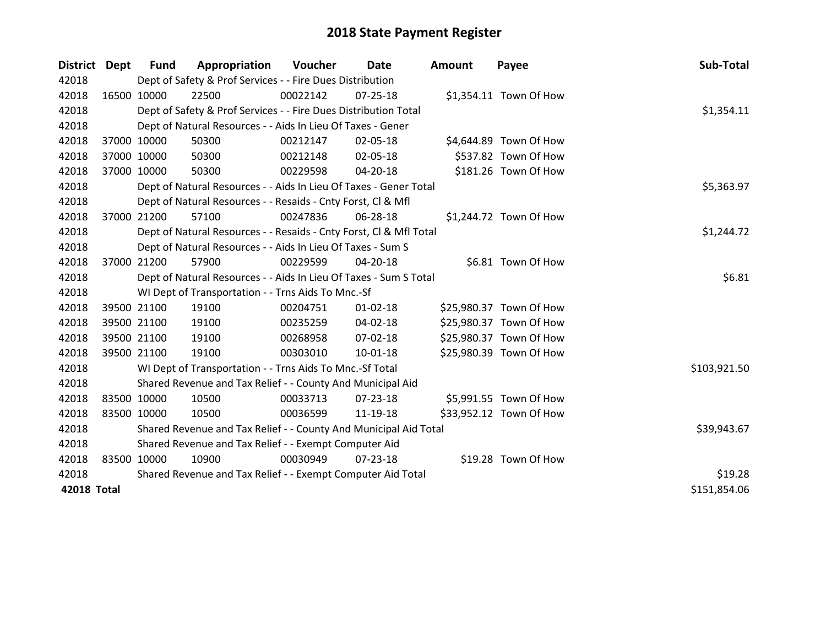| District Dept      |             | <b>Fund</b>                                                 | Appropriation                                                      | Voucher    | Date           | <b>Amount</b> | Payee                   | Sub-Total    |
|--------------------|-------------|-------------------------------------------------------------|--------------------------------------------------------------------|------------|----------------|---------------|-------------------------|--------------|
| 42018              |             |                                                             | Dept of Safety & Prof Services - - Fire Dues Distribution          |            |                |               |                         |              |
| 42018              |             | 16500 10000                                                 | 22500                                                              | 00022142   | 07-25-18       |               | \$1,354.11 Town Of How  |              |
| 42018              |             |                                                             | Dept of Safety & Prof Services - - Fire Dues Distribution Total    |            |                |               |                         | \$1,354.11   |
| 42018              |             |                                                             | Dept of Natural Resources - - Aids In Lieu Of Taxes - Gener        |            |                |               |                         |              |
| 42018              |             | 37000 10000                                                 | 50300                                                              | 00212147   | 02-05-18       |               | \$4,644.89 Town Of How  |              |
| 42018              |             | 37000 10000                                                 | 50300                                                              | 00212148   | 02-05-18       |               | \$537.82 Town Of How    |              |
| 42018              |             | 37000 10000                                                 | 50300                                                              | 00229598   | 04-20-18       |               | \$181.26 Town Of How    |              |
| 42018              |             |                                                             | Dept of Natural Resources - - Aids In Lieu Of Taxes - Gener Total  | \$5,363.97 |                |               |                         |              |
| 42018              |             |                                                             | Dept of Natural Resources - - Resaids - Cnty Forst, CI & Mfl       |            |                |               |                         |              |
| 42018              |             | 37000 21200                                                 | 57100                                                              | 00247836   | 06-28-18       |               | \$1,244.72 Town Of How  |              |
| 42018              |             |                                                             | Dept of Natural Resources - - Resaids - Cnty Forst, CI & Mfl Total |            |                |               |                         | \$1,244.72   |
| 42018              |             |                                                             | Dept of Natural Resources - - Aids In Lieu Of Taxes - Sum S        |            |                |               |                         |              |
| 42018              |             | 37000 21200                                                 | 57900                                                              | 00229599   | 04-20-18       |               | \$6.81 Town Of How      |              |
| 42018              |             |                                                             | Dept of Natural Resources - - Aids In Lieu Of Taxes - Sum S Total  |            |                |               |                         | \$6.81       |
| 42018              |             |                                                             | WI Dept of Transportation - - Trns Aids To Mnc.-Sf                 |            |                |               |                         |              |
| 42018              |             | 39500 21100                                                 | 19100                                                              | 00204751   | $01 - 02 - 18$ |               | \$25,980.37 Town Of How |              |
| 42018              |             | 39500 21100                                                 | 19100                                                              | 00235259   | 04-02-18       |               | \$25,980.37 Town Of How |              |
| 42018              |             | 39500 21100                                                 | 19100                                                              | 00268958   | 07-02-18       |               | \$25,980.37 Town Of How |              |
| 42018              |             | 39500 21100                                                 | 19100                                                              | 00303010   | 10-01-18       |               | \$25,980.39 Town Of How |              |
| 42018              |             |                                                             | WI Dept of Transportation - - Trns Aids To Mnc.-Sf Total           |            |                |               |                         | \$103,921.50 |
| 42018              |             |                                                             | Shared Revenue and Tax Relief - - County And Municipal Aid         |            |                |               |                         |              |
| 42018              |             | 83500 10000                                                 | 10500                                                              | 00033713   | 07-23-18       |               | \$5,991.55 Town Of How  |              |
| 42018              |             | 83500 10000                                                 | 10500                                                              | 00036599   | 11-19-18       |               | \$33,952.12 Town Of How |              |
| 42018              |             |                                                             | Shared Revenue and Tax Relief - - County And Municipal Aid Total   |            |                |               |                         | \$39,943.67  |
| 42018              |             |                                                             | Shared Revenue and Tax Relief - - Exempt Computer Aid              |            |                |               |                         |              |
| 42018              | 83500 10000 |                                                             | 10900                                                              | 00030949   | $07 - 23 - 18$ |               | \$19.28 Town Of How     |              |
| 42018              |             | Shared Revenue and Tax Relief - - Exempt Computer Aid Total | \$19.28                                                            |            |                |               |                         |              |
| <b>42018 Total</b> |             |                                                             |                                                                    |            |                |               |                         | \$151,854.06 |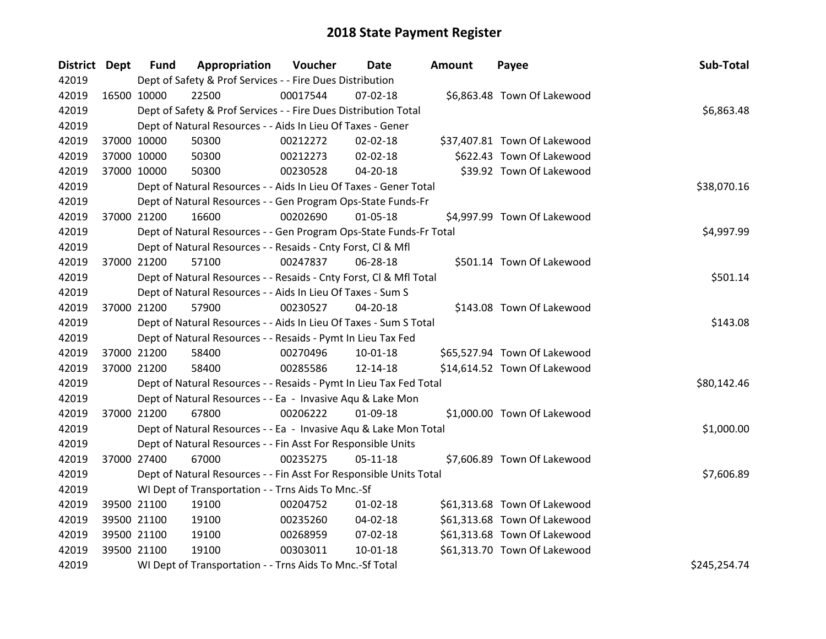| District Dept | <b>Fund</b> | Appropriation                                                      | Voucher  | Date           | Amount | Payee                        | Sub-Total    |
|---------------|-------------|--------------------------------------------------------------------|----------|----------------|--------|------------------------------|--------------|
| 42019         |             | Dept of Safety & Prof Services - - Fire Dues Distribution          |          |                |        |                              |              |
| 42019         | 16500 10000 | 22500                                                              | 00017544 | $07 - 02 - 18$ |        | \$6,863.48 Town Of Lakewood  |              |
| 42019         |             | Dept of Safety & Prof Services - - Fire Dues Distribution Total    |          |                |        |                              | \$6,863.48   |
| 42019         |             | Dept of Natural Resources - - Aids In Lieu Of Taxes - Gener        |          |                |        |                              |              |
| 42019         | 37000 10000 | 50300                                                              | 00212272 | 02-02-18       |        | \$37,407.81 Town Of Lakewood |              |
| 42019         | 37000 10000 | 50300                                                              | 00212273 | $02 - 02 - 18$ |        | \$622.43 Town Of Lakewood    |              |
| 42019         | 37000 10000 | 50300                                                              | 00230528 | 04-20-18       |        | \$39.92 Town Of Lakewood     |              |
| 42019         |             | Dept of Natural Resources - - Aids In Lieu Of Taxes - Gener Total  |          |                |        |                              | \$38,070.16  |
| 42019         |             | Dept of Natural Resources - - Gen Program Ops-State Funds-Fr       |          |                |        |                              |              |
| 42019         | 37000 21200 | 16600                                                              | 00202690 | $01 - 05 - 18$ |        | \$4,997.99 Town Of Lakewood  |              |
| 42019         |             | Dept of Natural Resources - - Gen Program Ops-State Funds-Fr Total |          |                |        |                              | \$4,997.99   |
| 42019         |             | Dept of Natural Resources - - Resaids - Cnty Forst, CI & Mfl       |          |                |        |                              |              |
| 42019         | 37000 21200 | 57100                                                              | 00247837 | 06-28-18       |        | \$501.14 Town Of Lakewood    |              |
| 42019         |             | Dept of Natural Resources - - Resaids - Cnty Forst, Cl & Mfl Total |          |                |        |                              | \$501.14     |
| 42019         |             | Dept of Natural Resources - - Aids In Lieu Of Taxes - Sum S        |          |                |        |                              |              |
| 42019         | 37000 21200 | 57900                                                              | 00230527 | $04 - 20 - 18$ |        | \$143.08 Town Of Lakewood    |              |
| 42019         |             | Dept of Natural Resources - - Aids In Lieu Of Taxes - Sum S Total  |          |                |        |                              | \$143.08     |
| 42019         |             | Dept of Natural Resources - - Resaids - Pymt In Lieu Tax Fed       |          |                |        |                              |              |
| 42019         | 37000 21200 | 58400                                                              | 00270496 | $10-01-18$     |        | \$65,527.94 Town Of Lakewood |              |
| 42019         | 37000 21200 | 58400                                                              | 00285586 | 12-14-18       |        | \$14,614.52 Town Of Lakewood |              |
| 42019         |             | Dept of Natural Resources - - Resaids - Pymt In Lieu Tax Fed Total |          |                |        |                              | \$80,142.46  |
| 42019         |             | Dept of Natural Resources - - Ea - Invasive Aqu & Lake Mon         |          |                |        |                              |              |
| 42019         | 37000 21200 | 67800                                                              | 00206222 | 01-09-18       |        | \$1,000.00 Town Of Lakewood  |              |
| 42019         |             | Dept of Natural Resources - - Ea - Invasive Aqu & Lake Mon Total   |          |                |        |                              | \$1,000.00   |
| 42019         |             | Dept of Natural Resources - - Fin Asst For Responsible Units       |          |                |        |                              |              |
| 42019         | 37000 27400 | 67000                                                              | 00235275 | $05 - 11 - 18$ |        | \$7,606.89 Town Of Lakewood  |              |
| 42019         |             | Dept of Natural Resources - - Fin Asst For Responsible Units Total |          |                |        |                              | \$7,606.89   |
| 42019         |             | WI Dept of Transportation - - Trns Aids To Mnc.-Sf                 |          |                |        |                              |              |
| 42019         | 39500 21100 | 19100                                                              | 00204752 | $01 - 02 - 18$ |        | \$61,313.68 Town Of Lakewood |              |
| 42019         | 39500 21100 | 19100                                                              | 00235260 | 04-02-18       |        | \$61,313.68 Town Of Lakewood |              |
| 42019         | 39500 21100 | 19100                                                              | 00268959 | 07-02-18       |        | \$61,313.68 Town Of Lakewood |              |
| 42019         | 39500 21100 | 19100                                                              | 00303011 | 10-01-18       |        | \$61,313.70 Town Of Lakewood |              |
| 42019         |             | WI Dept of Transportation - - Trns Aids To Mnc.-Sf Total           |          |                |        |                              | \$245,254.74 |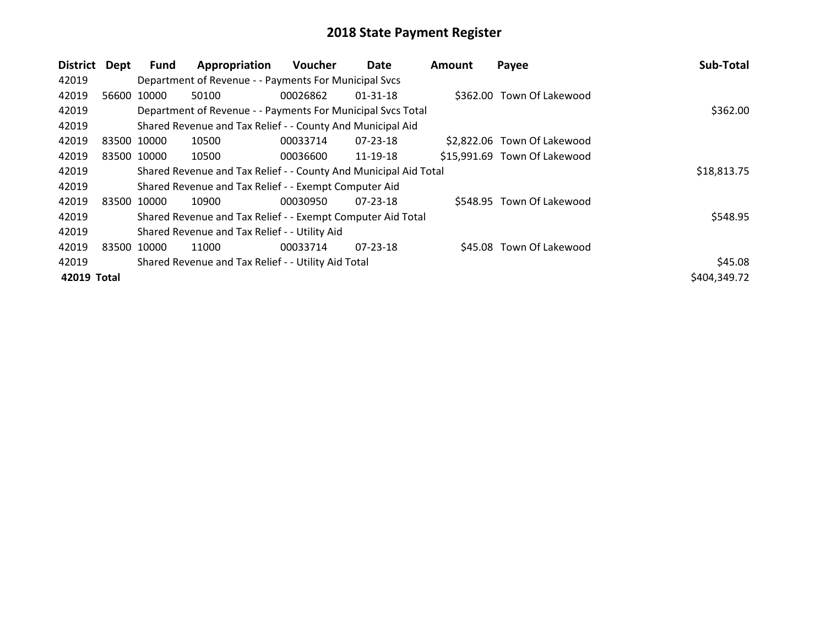| <b>District</b> | Dept  | <b>Fund</b> | Appropriation                                                    | <b>Voucher</b> | Date           | <b>Amount</b> | Payee                        | Sub-Total    |
|-----------------|-------|-------------|------------------------------------------------------------------|----------------|----------------|---------------|------------------------------|--------------|
| 42019           |       |             | Department of Revenue - - Payments For Municipal Svcs            |                |                |               |                              |              |
| 42019           |       | 56600 10000 | 50100                                                            | 00026862       | $01 - 31 - 18$ |               | \$362.00 Town Of Lakewood    |              |
| 42019           |       |             | Department of Revenue - - Payments For Municipal Svcs Total      |                |                |               |                              | \$362.00     |
| 42019           |       |             | Shared Revenue and Tax Relief - - County And Municipal Aid       |                |                |               |                              |              |
| 42019           |       | 83500 10000 | 10500                                                            | 00033714       | 07-23-18       |               | \$2.822.06 Town Of Lakewood  |              |
| 42019           |       | 83500 10000 | 10500                                                            | 00036600       | 11-19-18       |               | \$15,991.69 Town Of Lakewood |              |
| 42019           |       |             | Shared Revenue and Tax Relief - - County And Municipal Aid Total |                |                |               |                              | \$18,813.75  |
| 42019           |       |             | Shared Revenue and Tax Relief - - Exempt Computer Aid            |                |                |               |                              |              |
| 42019           |       | 83500 10000 | 10900                                                            | 00030950       | $07 - 23 - 18$ |               | \$548.95 Town Of Lakewood    |              |
| 42019           |       |             | Shared Revenue and Tax Relief - - Exempt Computer Aid Total      |                |                |               |                              | \$548.95     |
| 42019           |       |             | Shared Revenue and Tax Relief - - Utility Aid                    |                |                |               |                              |              |
| 42019           | 83500 | 10000       | 11000                                                            | 00033714       | $07 - 23 - 18$ |               | \$45.08 Town Of Lakewood     |              |
| 42019           |       |             | Shared Revenue and Tax Relief - - Utility Aid Total              |                |                |               |                              | \$45.08      |
| 42019 Total     |       |             |                                                                  |                |                |               |                              | \$404,349.72 |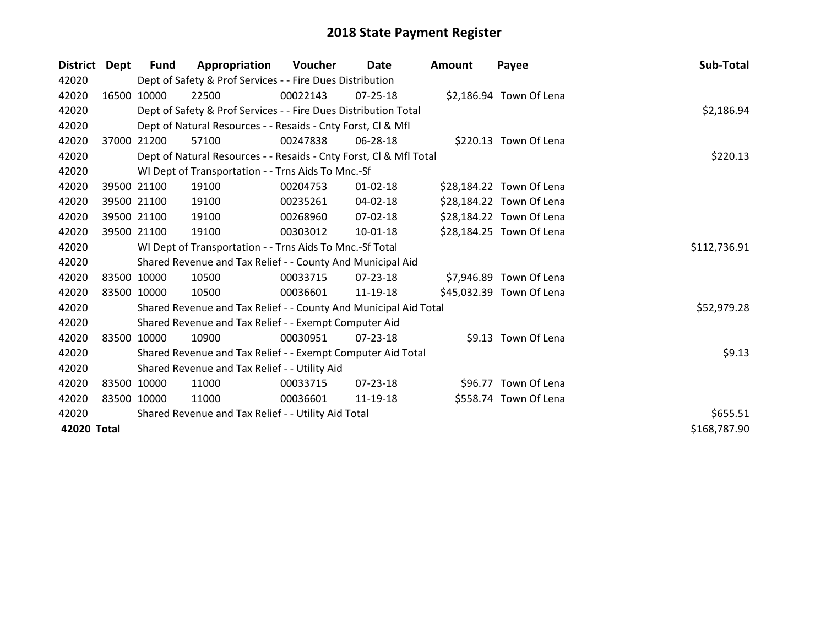| <b>District</b> | Dept  | Fund        | Appropriation                                                      | <b>Voucher</b> | <b>Date</b>    | Amount | Payee                    | Sub-Total    |
|-----------------|-------|-------------|--------------------------------------------------------------------|----------------|----------------|--------|--------------------------|--------------|
| 42020           |       |             | Dept of Safety & Prof Services - - Fire Dues Distribution          |                |                |        |                          |              |
| 42020           |       | 16500 10000 | 22500                                                              | 00022143       | $07 - 25 - 18$ |        | \$2,186.94 Town Of Lena  |              |
| 42020           |       |             | Dept of Safety & Prof Services - - Fire Dues Distribution Total    | \$2,186.94     |                |        |                          |              |
| 42020           |       |             | Dept of Natural Resources - - Resaids - Cnty Forst, Cl & Mfl       |                |                |        |                          |              |
| 42020           | 37000 | 21200       | 57100                                                              | 00247838       | 06-28-18       |        | \$220.13 Town Of Lena    |              |
| 42020           |       |             | Dept of Natural Resources - - Resaids - Cnty Forst, Cl & Mfl Total |                |                |        |                          | \$220.13     |
| 42020           |       |             | WI Dept of Transportation - - Trns Aids To Mnc.-Sf                 |                |                |        |                          |              |
| 42020           |       | 39500 21100 | 19100                                                              | 00204753       | $01 - 02 - 18$ |        | \$28,184.22 Town Of Lena |              |
| 42020           |       | 39500 21100 | 19100                                                              | 00235261       | 04-02-18       |        | \$28,184.22 Town Of Lena |              |
| 42020           |       | 39500 21100 | 19100                                                              | 00268960       | $07 - 02 - 18$ |        | \$28,184.22 Town Of Lena |              |
| 42020           |       | 39500 21100 | 19100                                                              | 00303012       | $10-01-18$     |        | \$28,184.25 Town Of Lena |              |
| 42020           |       |             | WI Dept of Transportation - - Trns Aids To Mnc.-Sf Total           |                |                |        |                          | \$112,736.91 |
| 42020           |       |             | Shared Revenue and Tax Relief - - County And Municipal Aid         |                |                |        |                          |              |
| 42020           |       | 83500 10000 | 10500                                                              | 00033715       | 07-23-18       |        | \$7,946.89 Town Of Lena  |              |
| 42020           |       | 83500 10000 | 10500                                                              | 00036601       | 11-19-18       |        | \$45,032.39 Town Of Lena |              |
| 42020           |       |             | Shared Revenue and Tax Relief - - County And Municipal Aid Total   |                |                |        |                          | \$52,979.28  |
| 42020           |       |             | Shared Revenue and Tax Relief - - Exempt Computer Aid              |                |                |        |                          |              |
| 42020           |       | 83500 10000 | 10900                                                              | 00030951       | 07-23-18       |        | \$9.13 Town Of Lena      |              |
| 42020           |       |             | Shared Revenue and Tax Relief - - Exempt Computer Aid Total        |                |                |        |                          | \$9.13       |
| 42020           |       |             | Shared Revenue and Tax Relief - - Utility Aid                      |                |                |        |                          |              |
| 42020           |       | 83500 10000 | 11000                                                              | 00033715       | $07 - 23 - 18$ |        | \$96.77 Town Of Lena     |              |
| 42020           |       | 83500 10000 | 11000                                                              | 00036601       | 11-19-18       |        | \$558.74 Town Of Lena    |              |
| 42020           |       |             | Shared Revenue and Tax Relief - - Utility Aid Total                |                |                |        |                          | \$655.51     |
| 42020 Total     |       |             |                                                                    |                |                |        |                          | \$168,787.90 |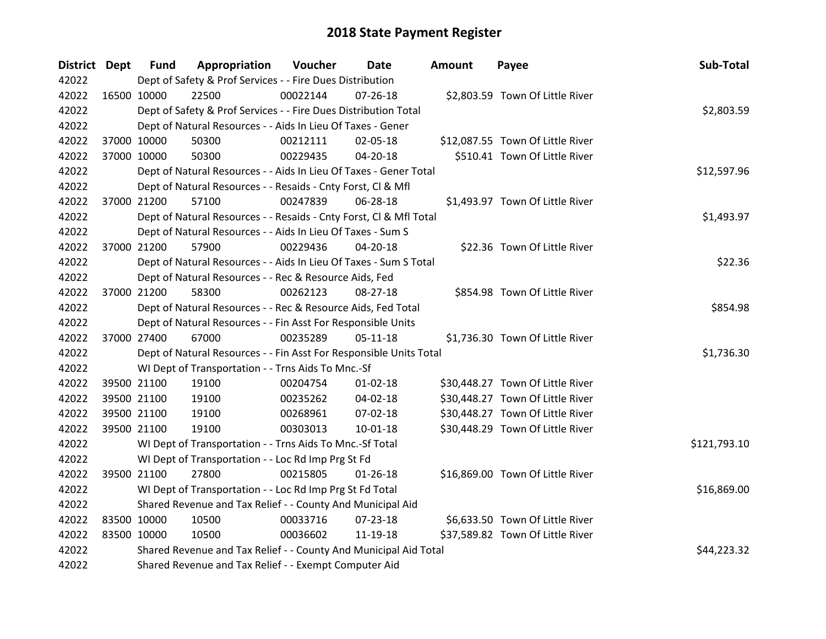| District Dept | <b>Fund</b>                                                | Appropriation                                                      | Voucher  | Date           | Amount | Payee                            | Sub-Total    |  |
|---------------|------------------------------------------------------------|--------------------------------------------------------------------|----------|----------------|--------|----------------------------------|--------------|--|
| 42022         |                                                            | Dept of Safety & Prof Services - - Fire Dues Distribution          |          |                |        |                                  |              |  |
| 42022         | 16500 10000                                                | 22500                                                              | 00022144 | $07 - 26 - 18$ |        | \$2,803.59 Town Of Little River  |              |  |
| 42022         |                                                            | Dept of Safety & Prof Services - - Fire Dues Distribution Total    |          |                |        |                                  | \$2,803.59   |  |
| 42022         |                                                            | Dept of Natural Resources - - Aids In Lieu Of Taxes - Gener        |          |                |        |                                  |              |  |
| 42022         | 37000 10000                                                | 50300                                                              | 00212111 | 02-05-18       |        | \$12,087.55 Town Of Little River |              |  |
| 42022         | 37000 10000                                                | 50300                                                              | 00229435 | $04 - 20 - 18$ |        | \$510.41 Town Of Little River    |              |  |
| 42022         |                                                            | Dept of Natural Resources - - Aids In Lieu Of Taxes - Gener Total  |          |                |        |                                  | \$12,597.96  |  |
| 42022         |                                                            | Dept of Natural Resources - - Resaids - Cnty Forst, Cl & Mfl       |          |                |        |                                  |              |  |
| 42022         | 37000 21200                                                | 57100                                                              | 00247839 | 06-28-18       |        | \$1,493.97 Town Of Little River  |              |  |
| 42022         |                                                            | Dept of Natural Resources - - Resaids - Cnty Forst, CI & Mfl Total |          |                |        |                                  | \$1,493.97   |  |
| 42022         |                                                            | Dept of Natural Resources - - Aids In Lieu Of Taxes - Sum S        |          |                |        |                                  |              |  |
| 42022         | 37000 21200                                                | 57900                                                              | 00229436 | 04-20-18       |        | \$22.36 Town Of Little River     |              |  |
| 42022         |                                                            | Dept of Natural Resources - - Aids In Lieu Of Taxes - Sum S Total  |          |                |        |                                  | \$22.36      |  |
| 42022         |                                                            | Dept of Natural Resources - - Rec & Resource Aids, Fed             |          |                |        |                                  |              |  |
| 42022         | 37000 21200                                                | 58300                                                              | 00262123 | $08 - 27 - 18$ |        | \$854.98 Town Of Little River    |              |  |
| 42022         |                                                            | Dept of Natural Resources - - Rec & Resource Aids, Fed Total       |          |                |        |                                  | \$854.98     |  |
| 42022         |                                                            | Dept of Natural Resources - - Fin Asst For Responsible Units       |          |                |        |                                  |              |  |
| 42022         | 37000 27400                                                | 67000                                                              | 00235289 | $05 - 11 - 18$ |        | \$1,736.30 Town Of Little River  |              |  |
| 42022         |                                                            | Dept of Natural Resources - - Fin Asst For Responsible Units Total |          |                |        |                                  | \$1,736.30   |  |
| 42022         |                                                            | WI Dept of Transportation - - Trns Aids To Mnc.-Sf                 |          |                |        |                                  |              |  |
| 42022         | 39500 21100                                                | 19100                                                              | 00204754 | $01 - 02 - 18$ |        | \$30,448.27 Town Of Little River |              |  |
| 42022         | 39500 21100                                                | 19100                                                              | 00235262 | 04-02-18       |        | \$30,448.27 Town Of Little River |              |  |
| 42022         | 39500 21100                                                | 19100                                                              | 00268961 | 07-02-18       |        | \$30,448.27 Town Of Little River |              |  |
| 42022         | 39500 21100                                                | 19100                                                              | 00303013 | 10-01-18       |        | \$30,448.29 Town Of Little River |              |  |
| 42022         |                                                            | WI Dept of Transportation - - Trns Aids To Mnc.-Sf Total           |          |                |        |                                  | \$121,793.10 |  |
| 42022         |                                                            | WI Dept of Transportation - - Loc Rd Imp Prg St Fd                 |          |                |        |                                  |              |  |
| 42022         | 39500 21100                                                | 27800                                                              | 00215805 | $01 - 26 - 18$ |        | \$16,869.00 Town Of Little River |              |  |
| 42022         |                                                            | WI Dept of Transportation - - Loc Rd Imp Prg St Fd Total           |          |                |        |                                  | \$16,869.00  |  |
| 42022         | Shared Revenue and Tax Relief - - County And Municipal Aid |                                                                    |          |                |        |                                  |              |  |
| 42022         | 83500 10000                                                | 10500                                                              | 00033716 | $07 - 23 - 18$ |        | \$6,633.50 Town Of Little River  |              |  |
| 42022         | 83500 10000                                                | 10500                                                              | 00036602 | 11-19-18       |        | \$37,589.82 Town Of Little River |              |  |
| 42022         |                                                            | Shared Revenue and Tax Relief - - County And Municipal Aid Total   |          |                |        |                                  | \$44,223.32  |  |
| 42022         |                                                            | Shared Revenue and Tax Relief - - Exempt Computer Aid              |          |                |        |                                  |              |  |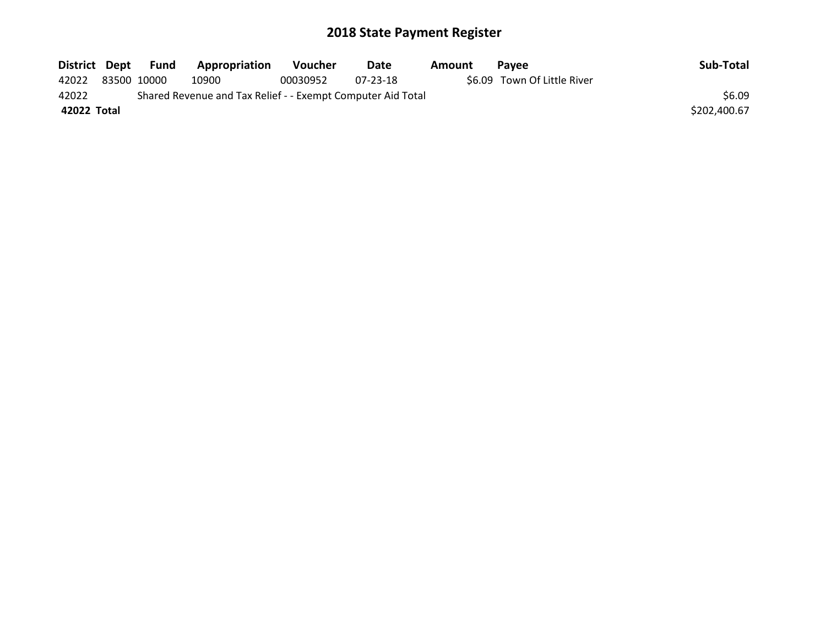|             | District Dept Fund | <b>Appropriation</b>                                        | <b>Voucher</b> | Date     | Amount | Pavee                       | Sub-Total    |
|-------------|--------------------|-------------------------------------------------------------|----------------|----------|--------|-----------------------------|--------------|
| 42022       | 83500 10000        | 10900                                                       | 00030952       | 07-23-18 |        | \$6.09 Town Of Little River |              |
| 42022       |                    | Shared Revenue and Tax Relief - - Exempt Computer Aid Total |                |          |        |                             | \$6.09       |
| 42022 Total |                    |                                                             |                |          |        |                             | \$202,400.67 |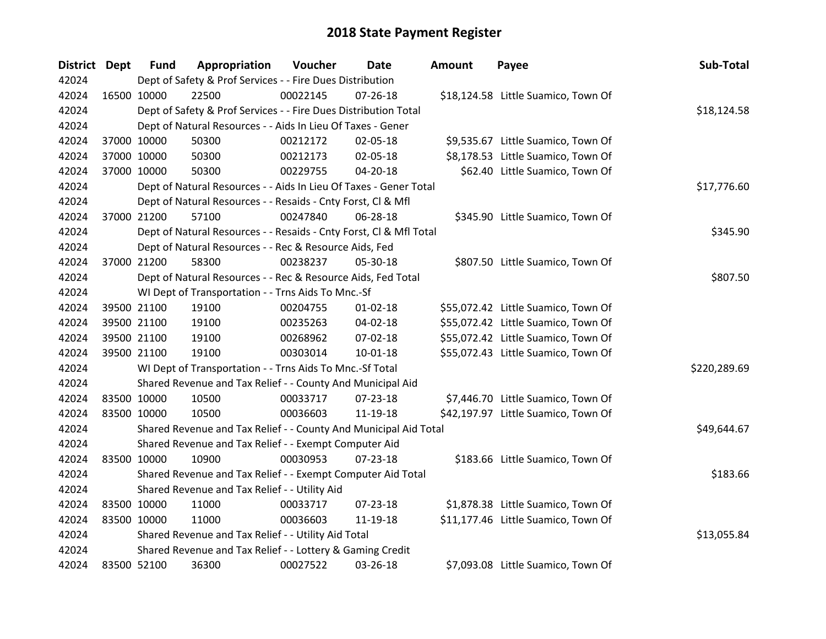| District Dept | <b>Fund</b> | Appropriation                                                      | Voucher  | <b>Date</b>    | <b>Amount</b> | Payee                               | Sub-Total    |
|---------------|-------------|--------------------------------------------------------------------|----------|----------------|---------------|-------------------------------------|--------------|
| 42024         |             | Dept of Safety & Prof Services - - Fire Dues Distribution          |          |                |               |                                     |              |
| 42024         | 16500 10000 | 22500                                                              | 00022145 | $07 - 26 - 18$ |               | \$18,124.58 Little Suamico, Town Of |              |
| 42024         |             | Dept of Safety & Prof Services - - Fire Dues Distribution Total    |          |                |               |                                     | \$18,124.58  |
| 42024         |             | Dept of Natural Resources - - Aids In Lieu Of Taxes - Gener        |          |                |               |                                     |              |
| 42024         | 37000 10000 | 50300                                                              | 00212172 | 02-05-18       |               | \$9,535.67 Little Suamico, Town Of  |              |
| 42024         | 37000 10000 | 50300                                                              | 00212173 | 02-05-18       |               | \$8,178.53 Little Suamico, Town Of  |              |
| 42024         | 37000 10000 | 50300                                                              | 00229755 | 04-20-18       |               | \$62.40 Little Suamico, Town Of     |              |
| 42024         |             | Dept of Natural Resources - - Aids In Lieu Of Taxes - Gener Total  |          |                |               |                                     | \$17,776.60  |
| 42024         |             | Dept of Natural Resources - - Resaids - Cnty Forst, CI & Mfl       |          |                |               |                                     |              |
| 42024         | 37000 21200 | 57100                                                              | 00247840 | 06-28-18       |               | \$345.90 Little Suamico, Town Of    |              |
| 42024         |             | Dept of Natural Resources - - Resaids - Cnty Forst, Cl & Mfl Total |          |                |               |                                     | \$345.90     |
| 42024         |             | Dept of Natural Resources - - Rec & Resource Aids, Fed             |          |                |               |                                     |              |
| 42024         | 37000 21200 | 58300                                                              | 00238237 | 05-30-18       |               | \$807.50 Little Suamico, Town Of    |              |
| 42024         |             | Dept of Natural Resources - - Rec & Resource Aids, Fed Total       |          |                |               |                                     | \$807.50     |
| 42024         |             | WI Dept of Transportation - - Trns Aids To Mnc.-Sf                 |          |                |               |                                     |              |
| 42024         | 39500 21100 | 19100                                                              | 00204755 | $01 - 02 - 18$ |               | \$55,072.42 Little Suamico, Town Of |              |
| 42024         | 39500 21100 | 19100                                                              | 00235263 | 04-02-18       |               | \$55,072.42 Little Suamico, Town Of |              |
| 42024         | 39500 21100 | 19100                                                              | 00268962 | 07-02-18       |               | \$55,072.42 Little Suamico, Town Of |              |
| 42024         | 39500 21100 | 19100                                                              | 00303014 | 10-01-18       |               | \$55,072.43 Little Suamico, Town Of |              |
| 42024         |             | WI Dept of Transportation - - Trns Aids To Mnc.-Sf Total           |          |                |               |                                     | \$220,289.69 |
| 42024         |             | Shared Revenue and Tax Relief - - County And Municipal Aid         |          |                |               |                                     |              |
| 42024         | 83500 10000 | 10500                                                              | 00033717 | 07-23-18       |               | \$7,446.70 Little Suamico, Town Of  |              |
| 42024         | 83500 10000 | 10500                                                              | 00036603 | 11-19-18       |               | \$42,197.97 Little Suamico, Town Of |              |
| 42024         |             | Shared Revenue and Tax Relief - - County And Municipal Aid Total   |          |                |               |                                     | \$49,644.67  |
| 42024         |             | Shared Revenue and Tax Relief - - Exempt Computer Aid              |          |                |               |                                     |              |
| 42024         | 83500 10000 | 10900                                                              | 00030953 | $07 - 23 - 18$ |               | \$183.66 Little Suamico, Town Of    |              |
| 42024         |             | Shared Revenue and Tax Relief - - Exempt Computer Aid Total        |          |                |               |                                     | \$183.66     |
| 42024         |             | Shared Revenue and Tax Relief - - Utility Aid                      |          |                |               |                                     |              |
| 42024         | 83500 10000 | 11000                                                              | 00033717 | 07-23-18       |               | \$1,878.38 Little Suamico, Town Of  |              |
| 42024         | 83500 10000 | 11000                                                              | 00036603 | 11-19-18       |               | \$11,177.46 Little Suamico, Town Of |              |
| 42024         |             | Shared Revenue and Tax Relief - - Utility Aid Total                |          |                |               |                                     | \$13,055.84  |
| 42024         |             | Shared Revenue and Tax Relief - - Lottery & Gaming Credit          |          |                |               |                                     |              |
| 42024         | 83500 52100 | 36300                                                              | 00027522 | 03-26-18       |               | \$7,093.08 Little Suamico, Town Of  |              |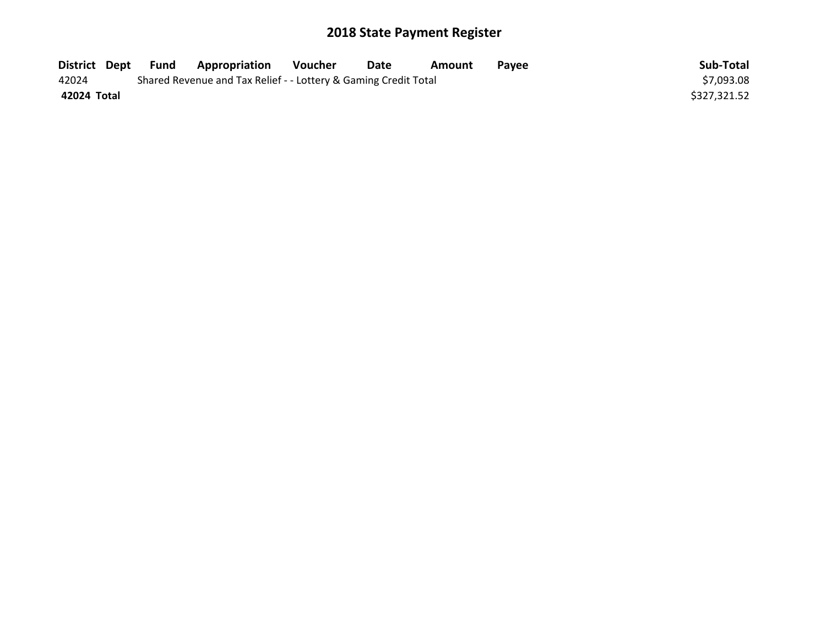| District Dept | Fund | Appropriation                                                   | Voucher | Date | Amount | Pavee | Sub-Total    |
|---------------|------|-----------------------------------------------------------------|---------|------|--------|-------|--------------|
| 42024         |      | Shared Revenue and Tax Relief - - Lottery & Gaming Credit Total |         |      |        |       | \$7,093.08   |
| 42024 Total   |      |                                                                 |         |      |        |       | \$327,321.52 |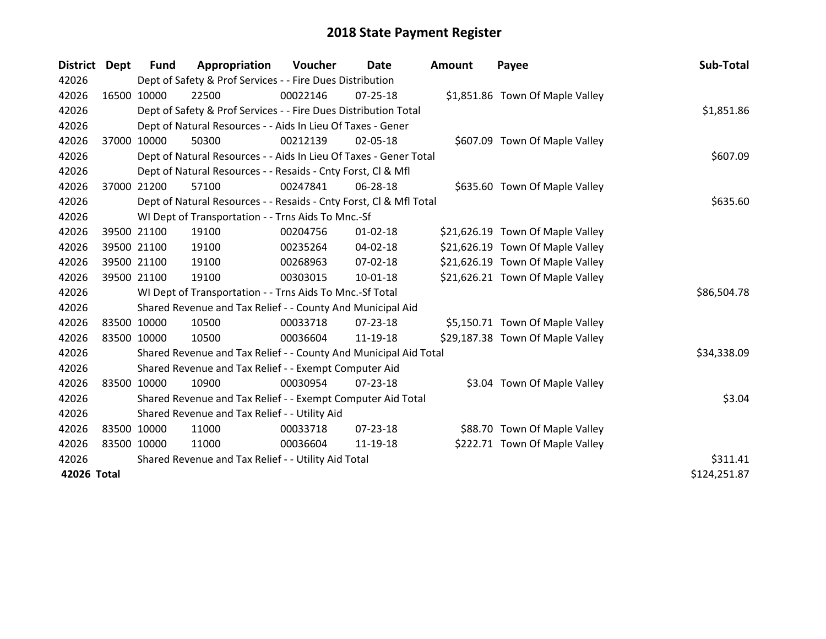| District Dept | <b>Fund</b> | Appropriation                                                      | Voucher  | Date           | <b>Amount</b> | Payee                            | Sub-Total    |
|---------------|-------------|--------------------------------------------------------------------|----------|----------------|---------------|----------------------------------|--------------|
| 42026         |             | Dept of Safety & Prof Services - - Fire Dues Distribution          |          |                |               |                                  |              |
| 42026         | 16500 10000 | 22500                                                              | 00022146 | 07-25-18       |               | \$1,851.86 Town Of Maple Valley  |              |
| 42026         |             | Dept of Safety & Prof Services - - Fire Dues Distribution Total    |          |                |               |                                  | \$1,851.86   |
| 42026         |             | Dept of Natural Resources - - Aids In Lieu Of Taxes - Gener        |          |                |               |                                  |              |
| 42026         | 37000 10000 | 50300                                                              | 00212139 | 02-05-18       |               | \$607.09 Town Of Maple Valley    |              |
| 42026         |             | Dept of Natural Resources - - Aids In Lieu Of Taxes - Gener Total  | \$607.09 |                |               |                                  |              |
| 42026         |             | Dept of Natural Resources - - Resaids - Cnty Forst, CI & Mfl       |          |                |               |                                  |              |
| 42026         | 37000 21200 | 57100                                                              | 00247841 | 06-28-18       |               | \$635.60 Town Of Maple Valley    |              |
| 42026         |             | Dept of Natural Resources - - Resaids - Cnty Forst, CI & Mfl Total |          |                |               |                                  | \$635.60     |
| 42026         |             | WI Dept of Transportation - - Trns Aids To Mnc.-Sf                 |          |                |               |                                  |              |
| 42026         | 39500 21100 | 19100                                                              | 00204756 | $01 - 02 - 18$ |               | \$21,626.19 Town Of Maple Valley |              |
| 42026         | 39500 21100 | 19100                                                              | 00235264 | $04 - 02 - 18$ |               | \$21,626.19 Town Of Maple Valley |              |
| 42026         | 39500 21100 | 19100                                                              | 00268963 | 07-02-18       |               | \$21,626.19 Town Of Maple Valley |              |
| 42026         | 39500 21100 | 19100                                                              | 00303015 | $10 - 01 - 18$ |               | \$21,626.21 Town Of Maple Valley |              |
| 42026         |             | WI Dept of Transportation - - Trns Aids To Mnc.-Sf Total           |          |                |               |                                  | \$86,504.78  |
| 42026         |             | Shared Revenue and Tax Relief - - County And Municipal Aid         |          |                |               |                                  |              |
| 42026         | 83500 10000 | 10500                                                              | 00033718 | $07 - 23 - 18$ |               | \$5,150.71 Town Of Maple Valley  |              |
| 42026         | 83500 10000 | 10500                                                              | 00036604 | 11-19-18       |               | \$29,187.38 Town Of Maple Valley |              |
| 42026         |             | Shared Revenue and Tax Relief - - County And Municipal Aid Total   |          |                |               |                                  | \$34,338.09  |
| 42026         |             | Shared Revenue and Tax Relief - - Exempt Computer Aid              |          |                |               |                                  |              |
| 42026         | 83500 10000 | 10900                                                              | 00030954 | 07-23-18       |               | \$3.04 Town Of Maple Valley      |              |
| 42026         |             | Shared Revenue and Tax Relief - - Exempt Computer Aid Total        |          |                |               |                                  | \$3.04       |
| 42026         |             | Shared Revenue and Tax Relief - - Utility Aid                      |          |                |               |                                  |              |
| 42026         | 83500 10000 | 11000                                                              | 00033718 | $07 - 23 - 18$ |               | \$88.70 Town Of Maple Valley     |              |
| 42026         | 83500 10000 | 11000                                                              | 00036604 | 11-19-18       |               | \$222.71 Town Of Maple Valley    |              |
| 42026         |             | Shared Revenue and Tax Relief - - Utility Aid Total                |          |                |               |                                  | \$311.41     |
| 42026 Total   |             |                                                                    |          |                |               |                                  | \$124,251.87 |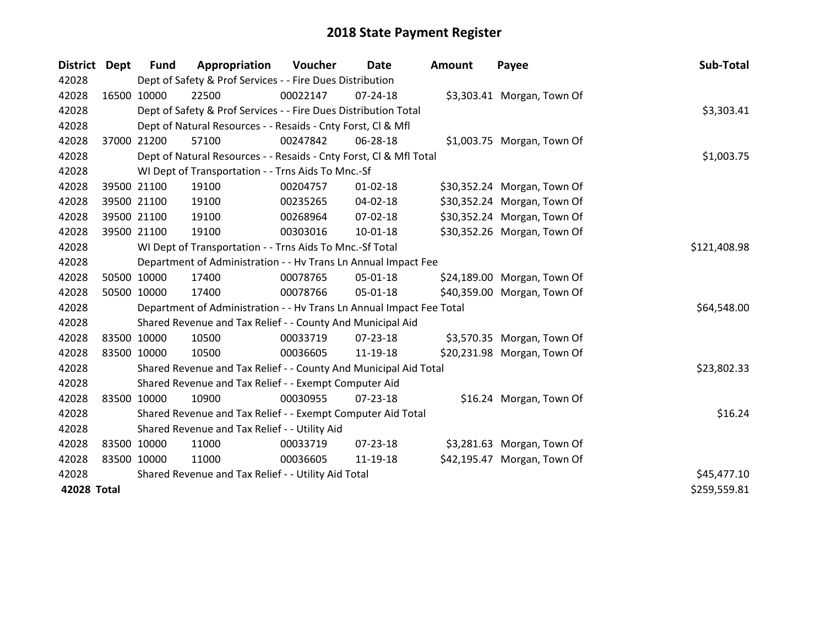| District Dept |             | <b>Fund</b> | Appropriation                                                        | <b>Voucher</b> | Date           | <b>Amount</b> | Payee                       | Sub-Total    |
|---------------|-------------|-------------|----------------------------------------------------------------------|----------------|----------------|---------------|-----------------------------|--------------|
| 42028         |             |             | Dept of Safety & Prof Services - - Fire Dues Distribution            |                |                |               |                             |              |
| 42028         |             | 16500 10000 | 22500                                                                | 00022147       | $07 - 24 - 18$ |               | \$3,303.41 Morgan, Town Of  |              |
| 42028         |             |             | Dept of Safety & Prof Services - - Fire Dues Distribution Total      |                |                |               |                             | \$3,303.41   |
| 42028         |             |             | Dept of Natural Resources - - Resaids - Cnty Forst, CI & Mfl         |                |                |               |                             |              |
| 42028         |             | 37000 21200 | 57100                                                                | 00247842       | 06-28-18       |               | \$1,003.75 Morgan, Town Of  |              |
| 42028         |             |             | Dept of Natural Resources - - Resaids - Cnty Forst, CI & Mfl Total   |                | \$1,003.75     |               |                             |              |
| 42028         |             |             | WI Dept of Transportation - - Trns Aids To Mnc.-Sf                   |                |                |               |                             |              |
| 42028         |             | 39500 21100 | 19100                                                                | 00204757       | $01 - 02 - 18$ |               | \$30,352.24 Morgan, Town Of |              |
| 42028         |             | 39500 21100 | 19100                                                                | 00235265       | 04-02-18       |               | \$30,352.24 Morgan, Town Of |              |
| 42028         |             | 39500 21100 | 19100                                                                | 00268964       | $07 - 02 - 18$ |               | \$30,352.24 Morgan, Town Of |              |
| 42028         |             | 39500 21100 | 19100                                                                | 00303016       | $10-01-18$     |               | \$30,352.26 Morgan, Town Of |              |
| 42028         |             |             | WI Dept of Transportation - - Trns Aids To Mnc.-Sf Total             |                |                |               |                             | \$121,408.98 |
| 42028         |             |             | Department of Administration - - Hv Trans Ln Annual Impact Fee       |                |                |               |                             |              |
| 42028         |             | 50500 10000 | 17400                                                                | 00078765       | 05-01-18       |               | \$24,189.00 Morgan, Town Of |              |
| 42028         |             | 50500 10000 | 17400                                                                | 00078766       | 05-01-18       |               | \$40,359.00 Morgan, Town Of |              |
| 42028         |             |             | Department of Administration - - Hv Trans Ln Annual Impact Fee Total |                |                |               |                             | \$64,548.00  |
| 42028         |             |             | Shared Revenue and Tax Relief - - County And Municipal Aid           |                |                |               |                             |              |
| 42028         |             | 83500 10000 | 10500                                                                | 00033719       | 07-23-18       |               | \$3,570.35 Morgan, Town Of  |              |
| 42028         |             | 83500 10000 | 10500                                                                | 00036605       | 11-19-18       |               | \$20,231.98 Morgan, Town Of |              |
| 42028         |             |             | Shared Revenue and Tax Relief - - County And Municipal Aid Total     |                |                |               |                             | \$23,802.33  |
| 42028         |             |             | Shared Revenue and Tax Relief - - Exempt Computer Aid                |                |                |               |                             |              |
| 42028         | 83500 10000 |             | 10900                                                                | 00030955       | $07 - 23 - 18$ |               | \$16.24 Morgan, Town Of     |              |
| 42028         |             |             | Shared Revenue and Tax Relief - - Exempt Computer Aid Total          |                | \$16.24        |               |                             |              |
| 42028         |             |             | Shared Revenue and Tax Relief - - Utility Aid                        |                |                |               |                             |              |
| 42028         |             | 83500 10000 | 11000                                                                | 00033719       | 07-23-18       |               | \$3,281.63 Morgan, Town Of  |              |
| 42028         | 83500 10000 |             | 11000                                                                | 00036605       | 11-19-18       |               | \$42,195.47 Morgan, Town Of |              |
| 42028         |             |             | Shared Revenue and Tax Relief - - Utility Aid Total                  |                | \$45,477.10    |               |                             |              |
| 42028 Total   |             |             |                                                                      |                |                |               |                             | \$259,559.81 |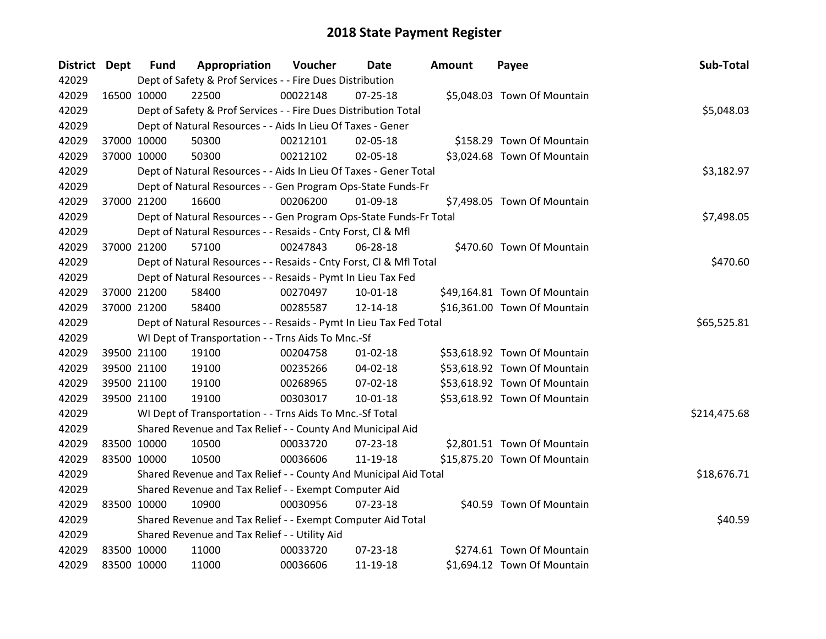| District Dept | <b>Fund</b> | Appropriation                                                      | Voucher  | Date           | <b>Amount</b> | Payee                        | Sub-Total    |
|---------------|-------------|--------------------------------------------------------------------|----------|----------------|---------------|------------------------------|--------------|
| 42029         |             | Dept of Safety & Prof Services - - Fire Dues Distribution          |          |                |               |                              |              |
| 42029         | 16500 10000 | 22500                                                              | 00022148 | $07 - 25 - 18$ |               | \$5,048.03 Town Of Mountain  |              |
| 42029         |             | Dept of Safety & Prof Services - - Fire Dues Distribution Total    |          |                |               |                              | \$5,048.03   |
| 42029         |             | Dept of Natural Resources - - Aids In Lieu Of Taxes - Gener        |          |                |               |                              |              |
| 42029         | 37000 10000 | 50300                                                              | 00212101 | 02-05-18       |               | \$158.29 Town Of Mountain    |              |
| 42029         | 37000 10000 | 50300                                                              | 00212102 | 02-05-18       |               | \$3,024.68 Town Of Mountain  |              |
| 42029         |             | Dept of Natural Resources - - Aids In Lieu Of Taxes - Gener Total  |          |                |               |                              | \$3,182.97   |
| 42029         |             | Dept of Natural Resources - - Gen Program Ops-State Funds-Fr       |          |                |               |                              |              |
| 42029         | 37000 21200 | 16600                                                              | 00206200 | 01-09-18       |               | \$7,498.05 Town Of Mountain  |              |
| 42029         |             | Dept of Natural Resources - - Gen Program Ops-State Funds-Fr Total |          |                |               |                              | \$7,498.05   |
| 42029         |             | Dept of Natural Resources - - Resaids - Cnty Forst, Cl & Mfl       |          |                |               |                              |              |
| 42029         | 37000 21200 | 57100                                                              | 00247843 | 06-28-18       |               | \$470.60 Town Of Mountain    |              |
| 42029         |             | Dept of Natural Resources - - Resaids - Cnty Forst, Cl & Mfl Total |          |                |               |                              | \$470.60     |
| 42029         |             | Dept of Natural Resources - - Resaids - Pymt In Lieu Tax Fed       |          |                |               |                              |              |
| 42029         | 37000 21200 | 58400                                                              | 00270497 | $10-01-18$     |               | \$49,164.81 Town Of Mountain |              |
| 42029         | 37000 21200 | 58400                                                              | 00285587 | 12-14-18       |               | \$16,361.00 Town Of Mountain |              |
| 42029         |             | Dept of Natural Resources - - Resaids - Pymt In Lieu Tax Fed Total |          |                |               |                              | \$65,525.81  |
| 42029         |             | WI Dept of Transportation - - Trns Aids To Mnc.-Sf                 |          |                |               |                              |              |
| 42029         | 39500 21100 | 19100                                                              | 00204758 | $01 - 02 - 18$ |               | \$53,618.92 Town Of Mountain |              |
| 42029         | 39500 21100 | 19100                                                              | 00235266 | 04-02-18       |               | \$53,618.92 Town Of Mountain |              |
| 42029         | 39500 21100 | 19100                                                              | 00268965 | 07-02-18       |               | \$53,618.92 Town Of Mountain |              |
| 42029         | 39500 21100 | 19100                                                              | 00303017 | $10 - 01 - 18$ |               | \$53,618.92 Town Of Mountain |              |
| 42029         |             | WI Dept of Transportation - - Trns Aids To Mnc.-Sf Total           |          |                |               |                              | \$214,475.68 |
| 42029         |             | Shared Revenue and Tax Relief - - County And Municipal Aid         |          |                |               |                              |              |
| 42029         | 83500 10000 | 10500                                                              | 00033720 | 07-23-18       |               | \$2,801.51 Town Of Mountain  |              |
| 42029         | 83500 10000 | 10500                                                              | 00036606 | 11-19-18       |               | \$15,875.20 Town Of Mountain |              |
| 42029         |             | Shared Revenue and Tax Relief - - County And Municipal Aid Total   |          |                |               |                              | \$18,676.71  |
| 42029         |             | Shared Revenue and Tax Relief - - Exempt Computer Aid              |          |                |               |                              |              |
| 42029         | 83500 10000 | 10900                                                              | 00030956 | $07 - 23 - 18$ |               | \$40.59 Town Of Mountain     |              |
| 42029         |             | Shared Revenue and Tax Relief - - Exempt Computer Aid Total        |          |                |               |                              | \$40.59      |
| 42029         |             | Shared Revenue and Tax Relief - - Utility Aid                      |          |                |               |                              |              |
| 42029         | 83500 10000 | 11000                                                              | 00033720 | $07 - 23 - 18$ |               | \$274.61 Town Of Mountain    |              |
| 42029         | 83500 10000 | 11000                                                              | 00036606 | 11-19-18       |               | \$1,694.12 Town Of Mountain  |              |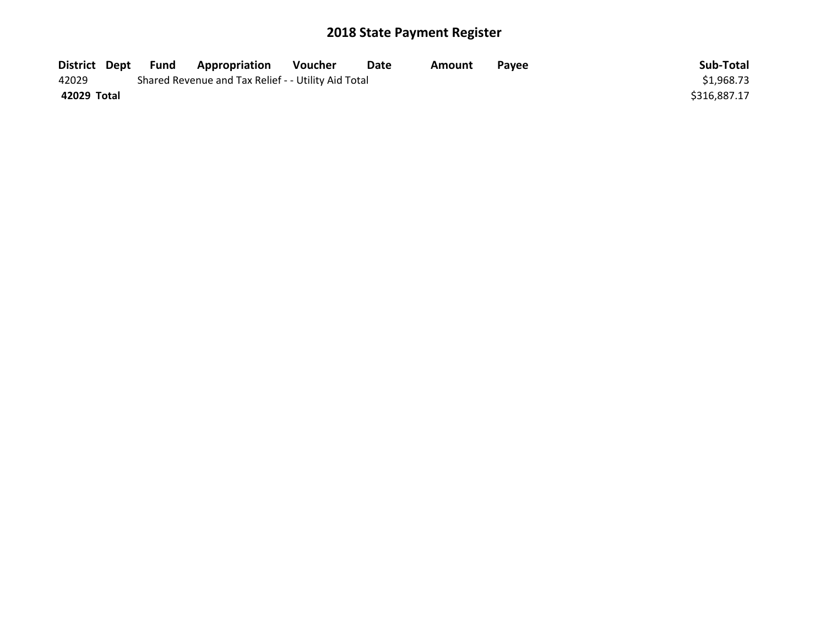|             | District Dept Fund | <b>Appropriation</b>                                | Voucher | Date | Amount | <b>Pavee</b> | Sub-Total    |
|-------------|--------------------|-----------------------------------------------------|---------|------|--------|--------------|--------------|
| 42029       |                    | Shared Revenue and Tax Relief - - Utility Aid Total |         |      |        |              | \$1,968.73   |
| 42029 Total |                    |                                                     |         |      |        |              | \$316,887.17 |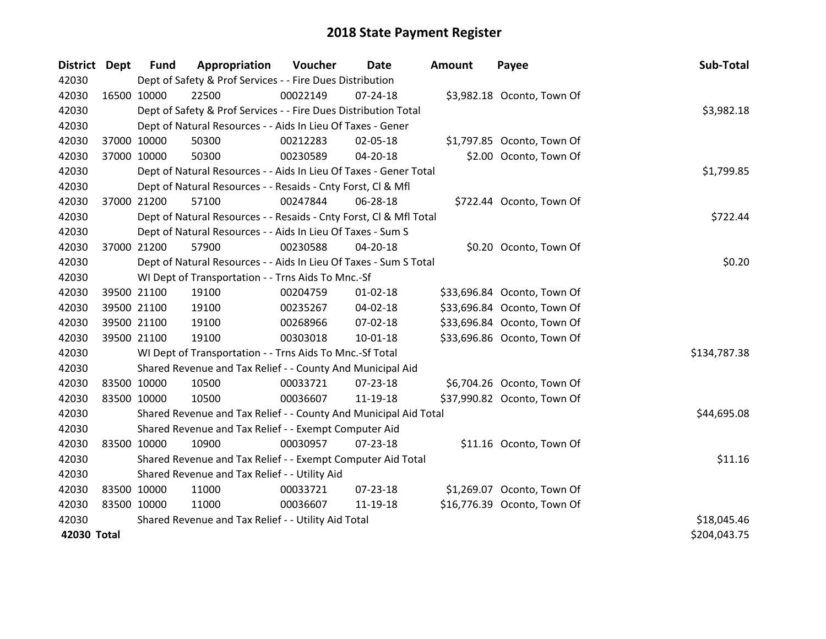| <b>District</b> | <b>Dept</b> | <b>Fund</b> | Appropriation                                                      | Voucher  | Date           | <b>Amount</b> | Payee                       | Sub-Total    |
|-----------------|-------------|-------------|--------------------------------------------------------------------|----------|----------------|---------------|-----------------------------|--------------|
| 42030           |             |             | Dept of Safety & Prof Services - - Fire Dues Distribution          |          |                |               |                             |              |
| 42030           | 16500 10000 |             | 22500                                                              | 00022149 | 07-24-18       |               | \$3,982.18 Oconto, Town Of  |              |
| 42030           |             |             | Dept of Safety & Prof Services - - Fire Dues Distribution Total    |          |                |               |                             | \$3,982.18   |
| 42030           |             |             | Dept of Natural Resources - - Aids In Lieu Of Taxes - Gener        |          |                |               |                             |              |
| 42030           | 37000 10000 |             | 50300                                                              | 00212283 | 02-05-18       |               | \$1,797.85 Oconto, Town Of  |              |
| 42030           |             | 37000 10000 | 50300                                                              | 00230589 | 04-20-18       |               | \$2.00 Oconto, Town Of      |              |
| 42030           |             |             | Dept of Natural Resources - - Aids In Lieu Of Taxes - Gener Total  |          | \$1,799.85     |               |                             |              |
| 42030           |             |             | Dept of Natural Resources - - Resaids - Cnty Forst, CI & Mfl       |          |                |               |                             |              |
| 42030           |             | 37000 21200 | 57100                                                              | 00247844 | 06-28-18       |               | \$722.44 Oconto, Town Of    |              |
| 42030           |             |             | Dept of Natural Resources - - Resaids - Cnty Forst, CI & Mfl Total |          |                |               |                             | \$722.44     |
| 42030           |             |             | Dept of Natural Resources - - Aids In Lieu Of Taxes - Sum S        |          |                |               |                             |              |
| 42030           |             | 37000 21200 | 57900                                                              | 00230588 | $04 - 20 - 18$ |               | \$0.20 Oconto, Town Of      |              |
| 42030           |             |             | Dept of Natural Resources - - Aids In Lieu Of Taxes - Sum S Total  |          |                |               |                             | \$0.20       |
| 42030           |             |             | WI Dept of Transportation - - Trns Aids To Mnc.-Sf                 |          |                |               |                             |              |
| 42030           |             | 39500 21100 | 19100                                                              | 00204759 | $01 - 02 - 18$ |               | \$33,696.84 Oconto, Town Of |              |
| 42030           |             | 39500 21100 | 19100                                                              | 00235267 | 04-02-18       |               | \$33,696.84 Oconto, Town Of |              |
| 42030           |             | 39500 21100 | 19100                                                              | 00268966 | 07-02-18       |               | \$33,696.84 Oconto, Town Of |              |
| 42030           |             | 39500 21100 | 19100                                                              | 00303018 | 10-01-18       |               | \$33,696.86 Oconto, Town Of |              |
| 42030           |             |             | WI Dept of Transportation - - Trns Aids To Mnc.-Sf Total           |          |                |               |                             | \$134,787.38 |
| 42030           |             |             | Shared Revenue and Tax Relief - - County And Municipal Aid         |          |                |               |                             |              |
| 42030           | 83500 10000 |             | 10500                                                              | 00033721 | 07-23-18       |               | \$6,704.26 Oconto, Town Of  |              |
| 42030           | 83500 10000 |             | 10500                                                              | 00036607 | 11-19-18       |               | \$37,990.82 Oconto, Town Of |              |
| 42030           |             |             | Shared Revenue and Tax Relief - - County And Municipal Aid Total   |          |                |               |                             | \$44,695.08  |
| 42030           |             |             | Shared Revenue and Tax Relief - - Exempt Computer Aid              |          |                |               |                             |              |
| 42030           | 83500 10000 |             | 10900                                                              | 00030957 | $07 - 23 - 18$ |               | \$11.16 Oconto, Town Of     |              |
| 42030           |             |             | Shared Revenue and Tax Relief - - Exempt Computer Aid Total        |          |                |               |                             | \$11.16      |
| 42030           |             |             | Shared Revenue and Tax Relief - - Utility Aid                      |          |                |               |                             |              |
| 42030           | 83500 10000 |             | 11000                                                              | 00033721 | 07-23-18       |               | \$1,269.07 Oconto, Town Of  |              |
| 42030           | 83500 10000 |             | 11000                                                              | 00036607 | 11-19-18       |               | \$16,776.39 Oconto, Town Of |              |
| 42030           |             |             | Shared Revenue and Tax Relief - - Utility Aid Total                |          |                |               |                             | \$18,045.46  |
| 42030 Total     |             |             |                                                                    |          |                |               |                             | \$204,043.75 |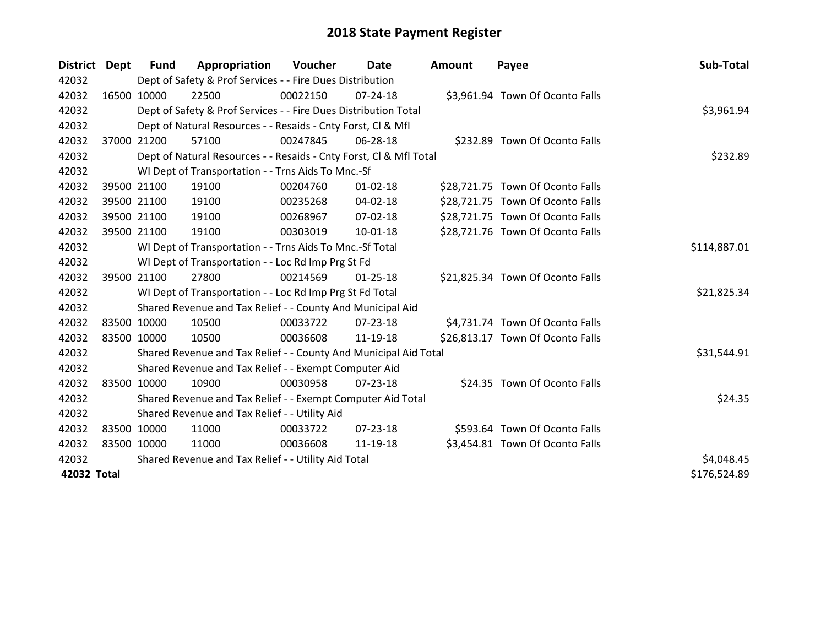| District Dept | <b>Fund</b> | Appropriation                                                      | <b>Voucher</b> | Date           | Amount | Payee                            | Sub-Total    |
|---------------|-------------|--------------------------------------------------------------------|----------------|----------------|--------|----------------------------------|--------------|
| 42032         |             | Dept of Safety & Prof Services - - Fire Dues Distribution          |                |                |        |                                  |              |
| 42032         | 16500 10000 | 22500                                                              | 00022150       | $07 - 24 - 18$ |        | \$3,961.94 Town Of Oconto Falls  |              |
| 42032         |             | Dept of Safety & Prof Services - - Fire Dues Distribution Total    |                |                |        |                                  | \$3,961.94   |
| 42032         |             | Dept of Natural Resources - - Resaids - Cnty Forst, CI & Mfl       |                |                |        |                                  |              |
| 42032         | 37000 21200 | 57100                                                              | 00247845       | 06-28-18       |        | \$232.89 Town Of Oconto Falls    |              |
| 42032         |             | Dept of Natural Resources - - Resaids - Cnty Forst, Cl & Mfl Total |                |                |        |                                  | \$232.89     |
| 42032         |             | WI Dept of Transportation - - Trns Aids To Mnc.-Sf                 |                |                |        |                                  |              |
| 42032         | 39500 21100 | 19100                                                              | 00204760       | $01 - 02 - 18$ |        | \$28,721.75 Town Of Oconto Falls |              |
| 42032         | 39500 21100 | 19100                                                              | 00235268       | $04 - 02 - 18$ |        | \$28,721.75 Town Of Oconto Falls |              |
| 42032         | 39500 21100 | 19100                                                              | 00268967       | 07-02-18       |        | \$28,721.75 Town Of Oconto Falls |              |
| 42032         | 39500 21100 | 19100                                                              | 00303019       | $10-01-18$     |        | \$28,721.76 Town Of Oconto Falls |              |
| 42032         |             | WI Dept of Transportation - - Trns Aids To Mnc.-Sf Total           |                |                |        |                                  | \$114,887.01 |
| 42032         |             | WI Dept of Transportation - - Loc Rd Imp Prg St Fd                 |                |                |        |                                  |              |
| 42032         | 39500 21100 | 27800                                                              | 00214569       | $01 - 25 - 18$ |        | \$21,825.34 Town Of Oconto Falls |              |
| 42032         |             | WI Dept of Transportation - - Loc Rd Imp Prg St Fd Total           |                |                |        |                                  | \$21,825.34  |
| 42032         |             | Shared Revenue and Tax Relief - - County And Municipal Aid         |                |                |        |                                  |              |
| 42032         | 83500 10000 | 10500                                                              | 00033722       | $07 - 23 - 18$ |        | \$4,731.74 Town Of Oconto Falls  |              |
| 42032         | 83500 10000 | 10500                                                              | 00036608       | 11-19-18       |        | \$26,813.17 Town Of Oconto Falls |              |
| 42032         |             | Shared Revenue and Tax Relief - - County And Municipal Aid Total   |                |                |        |                                  | \$31,544.91  |
| 42032         |             | Shared Revenue and Tax Relief - - Exempt Computer Aid              |                |                |        |                                  |              |
| 42032         | 83500 10000 | 10900                                                              | 00030958       | 07-23-18       |        | \$24.35 Town Of Oconto Falls     |              |
| 42032         |             | Shared Revenue and Tax Relief - - Exempt Computer Aid Total        |                |                |        |                                  | \$24.35      |
| 42032         |             | Shared Revenue and Tax Relief - - Utility Aid                      |                |                |        |                                  |              |
| 42032         | 83500 10000 | 11000                                                              | 00033722       | $07 - 23 - 18$ |        | \$593.64 Town Of Oconto Falls    |              |
| 42032         | 83500 10000 | 11000                                                              | 00036608       | 11-19-18       |        | \$3,454.81 Town Of Oconto Falls  |              |
| 42032         |             | Shared Revenue and Tax Relief - - Utility Aid Total                |                |                |        |                                  | \$4,048.45   |
| 42032 Total   |             |                                                                    |                |                |        |                                  | \$176,524.89 |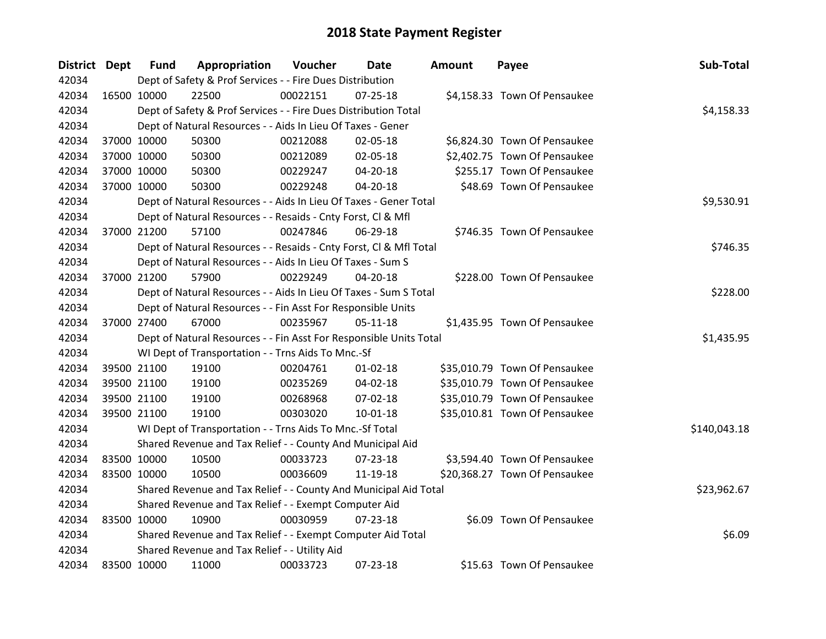| <b>District Dept</b> | <b>Fund</b> | Appropriation                                                      | Voucher  | Date           | <b>Amount</b> | Payee                         | Sub-Total    |
|----------------------|-------------|--------------------------------------------------------------------|----------|----------------|---------------|-------------------------------|--------------|
| 42034                |             | Dept of Safety & Prof Services - - Fire Dues Distribution          |          |                |               |                               |              |
| 42034                | 16500 10000 | 22500                                                              | 00022151 | $07 - 25 - 18$ |               | \$4,158.33 Town Of Pensaukee  |              |
| 42034                |             | Dept of Safety & Prof Services - - Fire Dues Distribution Total    |          |                |               |                               | \$4,158.33   |
| 42034                |             | Dept of Natural Resources - - Aids In Lieu Of Taxes - Gener        |          |                |               |                               |              |
| 42034                | 37000 10000 | 50300                                                              | 00212088 | 02-05-18       |               | \$6,824.30 Town Of Pensaukee  |              |
| 42034                | 37000 10000 | 50300                                                              | 00212089 | 02-05-18       |               | \$2,402.75 Town Of Pensaukee  |              |
| 42034                | 37000 10000 | 50300                                                              | 00229247 | 04-20-18       |               | \$255.17 Town Of Pensaukee    |              |
| 42034                | 37000 10000 | 50300                                                              | 00229248 | $04 - 20 - 18$ |               | \$48.69 Town Of Pensaukee     |              |
| 42034                |             | Dept of Natural Resources - - Aids In Lieu Of Taxes - Gener Total  |          |                |               |                               | \$9,530.91   |
| 42034                |             | Dept of Natural Resources - - Resaids - Cnty Forst, Cl & Mfl       |          |                |               |                               |              |
| 42034                | 37000 21200 | 57100                                                              | 00247846 | 06-29-18       |               | \$746.35 Town Of Pensaukee    |              |
| 42034                |             | Dept of Natural Resources - - Resaids - Cnty Forst, Cl & Mfl Total |          |                |               |                               | \$746.35     |
| 42034                |             | Dept of Natural Resources - - Aids In Lieu Of Taxes - Sum S        |          |                |               |                               |              |
| 42034                | 37000 21200 | 57900                                                              | 00229249 | $04 - 20 - 18$ |               | \$228.00 Town Of Pensaukee    |              |
| 42034                |             | Dept of Natural Resources - - Aids In Lieu Of Taxes - Sum S Total  |          |                |               |                               | \$228.00     |
| 42034                |             | Dept of Natural Resources - - Fin Asst For Responsible Units       |          |                |               |                               |              |
| 42034                | 37000 27400 | 67000                                                              | 00235967 | $05-11-18$     |               | \$1,435.95 Town Of Pensaukee  |              |
| 42034                |             | Dept of Natural Resources - - Fin Asst For Responsible Units Total |          |                |               |                               | \$1,435.95   |
| 42034                |             | WI Dept of Transportation - - Trns Aids To Mnc.-Sf                 |          |                |               |                               |              |
| 42034                | 39500 21100 | 19100                                                              | 00204761 | $01 - 02 - 18$ |               | \$35,010.79 Town Of Pensaukee |              |
| 42034                | 39500 21100 | 19100                                                              | 00235269 | 04-02-18       |               | \$35,010.79 Town Of Pensaukee |              |
| 42034                | 39500 21100 | 19100                                                              | 00268968 | 07-02-18       |               | \$35,010.79 Town Of Pensaukee |              |
| 42034                | 39500 21100 | 19100                                                              | 00303020 | $10-01-18$     |               | \$35,010.81 Town Of Pensaukee |              |
| 42034                |             | WI Dept of Transportation - - Trns Aids To Mnc.-Sf Total           |          |                |               |                               | \$140,043.18 |
| 42034                |             | Shared Revenue and Tax Relief - - County And Municipal Aid         |          |                |               |                               |              |
| 42034                | 83500 10000 | 10500                                                              | 00033723 | $07 - 23 - 18$ |               | \$3,594.40 Town Of Pensaukee  |              |
| 42034                | 83500 10000 | 10500                                                              | 00036609 | 11-19-18       |               | \$20,368.27 Town Of Pensaukee |              |
| 42034                |             | Shared Revenue and Tax Relief - - County And Municipal Aid Total   |          |                |               |                               | \$23,962.67  |
| 42034                |             | Shared Revenue and Tax Relief - - Exempt Computer Aid              |          |                |               |                               |              |
| 42034                | 83500 10000 | 10900                                                              | 00030959 | $07 - 23 - 18$ |               | \$6.09 Town Of Pensaukee      |              |
| 42034                |             | Shared Revenue and Tax Relief - - Exempt Computer Aid Total        |          |                |               |                               | \$6.09       |
| 42034                |             | Shared Revenue and Tax Relief - - Utility Aid                      |          |                |               |                               |              |
| 42034                | 83500 10000 | 11000                                                              | 00033723 | 07-23-18       |               | \$15.63 Town Of Pensaukee     |              |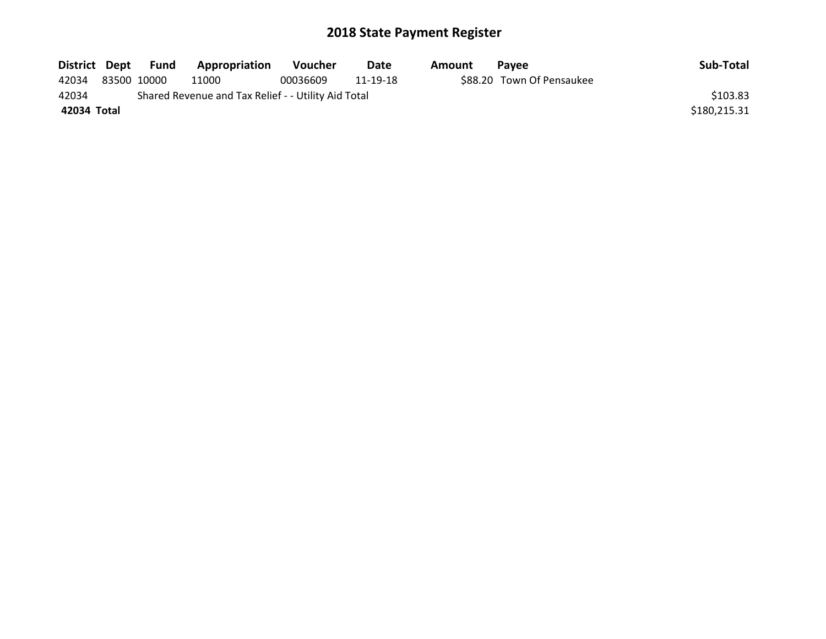| District Dept |             | Fund | Appropriation                                       | <b>Voucher</b> | Date     | Amount | <b>Pavee</b>              | Sub-Total    |
|---------------|-------------|------|-----------------------------------------------------|----------------|----------|--------|---------------------------|--------------|
| 42034         | 83500 10000 |      | 11000                                               | 00036609       | 11-19-18 |        | \$88.20 Town Of Pensaukee |              |
| 42034         |             |      | Shared Revenue and Tax Relief - - Utility Aid Total |                |          |        |                           | \$103.83     |
| 42034 Total   |             |      |                                                     |                |          |        |                           | \$180.215.31 |
|               |             |      |                                                     |                |          |        |                           |              |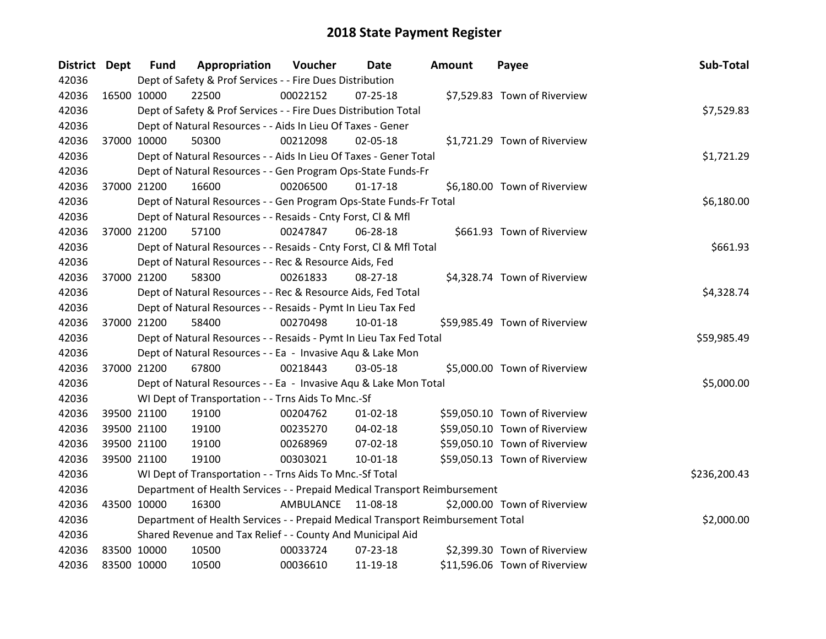| <b>District Dept</b> |             | <b>Fund</b> | Appropriation                                                                   | Voucher   | Date           | <b>Amount</b> | Payee                         | Sub-Total    |
|----------------------|-------------|-------------|---------------------------------------------------------------------------------|-----------|----------------|---------------|-------------------------------|--------------|
| 42036                |             |             | Dept of Safety & Prof Services - - Fire Dues Distribution                       |           |                |               |                               |              |
| 42036                | 16500 10000 |             | 22500                                                                           | 00022152  | $07 - 25 - 18$ |               | \$7,529.83 Town of Riverview  |              |
| 42036                |             |             | Dept of Safety & Prof Services - - Fire Dues Distribution Total                 |           |                |               |                               | \$7,529.83   |
| 42036                |             |             | Dept of Natural Resources - - Aids In Lieu Of Taxes - Gener                     |           |                |               |                               |              |
| 42036                |             | 37000 10000 | 50300                                                                           | 00212098  | $02 - 05 - 18$ |               | \$1,721.29 Town of Riverview  |              |
| 42036                |             |             | Dept of Natural Resources - - Aids In Lieu Of Taxes - Gener Total               |           |                |               |                               | \$1,721.29   |
| 42036                |             |             | Dept of Natural Resources - - Gen Program Ops-State Funds-Fr                    |           |                |               |                               |              |
| 42036                |             | 37000 21200 | 16600                                                                           | 00206500  | $01-17-18$     |               | \$6,180.00 Town of Riverview  |              |
| 42036                |             |             | Dept of Natural Resources - - Gen Program Ops-State Funds-Fr Total              |           |                |               |                               | \$6,180.00   |
| 42036                |             |             | Dept of Natural Resources - - Resaids - Cnty Forst, Cl & Mfl                    |           |                |               |                               |              |
| 42036                |             | 37000 21200 | 57100                                                                           | 00247847  | 06-28-18       |               | \$661.93 Town of Riverview    |              |
| 42036                |             |             | Dept of Natural Resources - - Resaids - Cnty Forst, CI & Mfl Total              |           |                |               |                               | \$661.93     |
| 42036                |             |             | Dept of Natural Resources - - Rec & Resource Aids, Fed                          |           |                |               |                               |              |
| 42036                |             | 37000 21200 | 58300                                                                           | 00261833  | $08-27-18$     |               | \$4,328.74 Town of Riverview  |              |
| 42036                |             |             | Dept of Natural Resources - - Rec & Resource Aids, Fed Total                    |           |                |               |                               | \$4,328.74   |
| 42036                |             |             | Dept of Natural Resources - - Resaids - Pymt In Lieu Tax Fed                    |           |                |               |                               |              |
| 42036                |             | 37000 21200 | 58400                                                                           | 00270498  | $10-01-18$     |               | \$59,985.49 Town of Riverview |              |
| 42036                |             |             | Dept of Natural Resources - - Resaids - Pymt In Lieu Tax Fed Total              |           |                |               |                               | \$59,985.49  |
| 42036                |             |             | Dept of Natural Resources - - Ea - Invasive Aqu & Lake Mon                      |           |                |               |                               |              |
| 42036                | 37000 21200 |             | 67800                                                                           | 00218443  | 03-05-18       |               | \$5,000.00 Town of Riverview  |              |
| 42036                |             |             | Dept of Natural Resources - - Ea - Invasive Aqu & Lake Mon Total                |           |                |               |                               | \$5,000.00   |
| 42036                |             |             | WI Dept of Transportation - - Trns Aids To Mnc.-Sf                              |           |                |               |                               |              |
| 42036                |             | 39500 21100 | 19100                                                                           | 00204762  | $01 - 02 - 18$ |               | \$59,050.10 Town of Riverview |              |
| 42036                |             | 39500 21100 | 19100                                                                           | 00235270  | 04-02-18       |               | \$59,050.10 Town of Riverview |              |
| 42036                |             | 39500 21100 | 19100                                                                           | 00268969  | 07-02-18       |               | \$59,050.10 Town of Riverview |              |
| 42036                |             | 39500 21100 | 19100                                                                           | 00303021  | 10-01-18       |               | \$59,050.13 Town of Riverview |              |
| 42036                |             |             | WI Dept of Transportation - - Trns Aids To Mnc.-Sf Total                        |           |                |               |                               | \$236,200.43 |
| 42036                |             |             | Department of Health Services - - Prepaid Medical Transport Reimbursement       |           |                |               |                               |              |
| 42036                | 43500 10000 |             | 16300                                                                           | AMBULANCE | 11-08-18       |               | \$2,000.00 Town of Riverview  |              |
| 42036                |             |             | Department of Health Services - - Prepaid Medical Transport Reimbursement Total |           |                |               |                               | \$2,000.00   |
| 42036                |             |             | Shared Revenue and Tax Relief - - County And Municipal Aid                      |           |                |               |                               |              |
| 42036                | 83500 10000 |             | 10500                                                                           | 00033724  | 07-23-18       |               | \$2,399.30 Town of Riverview  |              |
| 42036                | 83500 10000 |             | 10500                                                                           | 00036610  | 11-19-18       |               | \$11,596.06 Town of Riverview |              |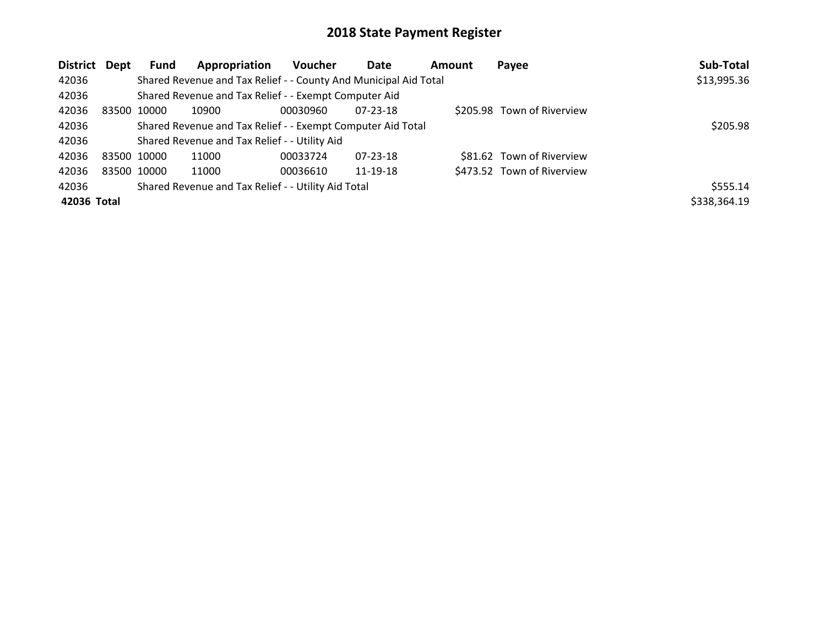| <b>District</b> | Dept  | <b>Fund</b> | Appropriation                                                    | <b>Voucher</b> | Date           | <b>Amount</b> | Payee                      | Sub-Total    |
|-----------------|-------|-------------|------------------------------------------------------------------|----------------|----------------|---------------|----------------------------|--------------|
| 42036           |       |             | Shared Revenue and Tax Relief - - County And Municipal Aid Total |                |                |               |                            | \$13,995.36  |
| 42036           |       |             | Shared Revenue and Tax Relief - - Exempt Computer Aid            |                |                |               |                            |              |
| 42036           | 83500 | 10000       | 10900                                                            | 00030960       | $07 - 23 - 18$ |               | \$205.98 Town of Riverview |              |
| 42036           |       |             | Shared Revenue and Tax Relief - - Exempt Computer Aid Total      |                | \$205.98       |               |                            |              |
| 42036           |       |             | Shared Revenue and Tax Relief - - Utility Aid                    |                |                |               |                            |              |
| 42036           |       | 83500 10000 | 11000                                                            | 00033724       | $07 - 23 - 18$ |               | \$81.62 Town of Riverview  |              |
| 42036           |       | 83500 10000 | 11000                                                            | 00036610       | 11-19-18       |               | \$473.52 Town of Riverview |              |
| 42036           |       |             | Shared Revenue and Tax Relief - - Utility Aid Total              |                |                |               |                            | \$555.14     |
| 42036 Total     |       |             |                                                                  |                |                |               |                            | \$338,364.19 |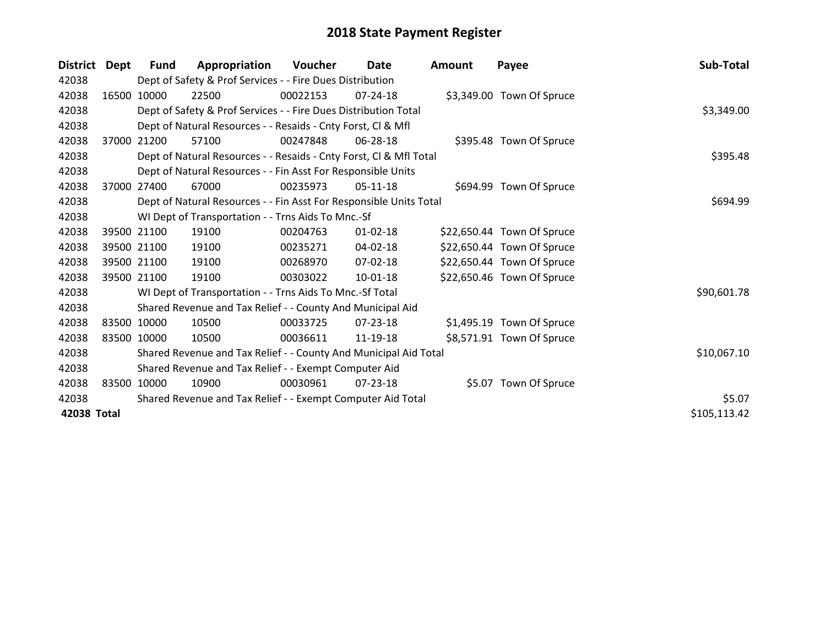| <b>District</b> | Dept  | Fund        | Appropriation                                                      | <b>Voucher</b> | Date           | <b>Amount</b> | Payee                      | Sub-Total    |
|-----------------|-------|-------------|--------------------------------------------------------------------|----------------|----------------|---------------|----------------------------|--------------|
| 42038           |       |             | Dept of Safety & Prof Services - - Fire Dues Distribution          |                |                |               |                            |              |
| 42038           |       | 16500 10000 | 22500                                                              | 00022153       | $07 - 24 - 18$ |               | \$3,349.00 Town Of Spruce  |              |
| 42038           |       |             | Dept of Safety & Prof Services - - Fire Dues Distribution Total    |                | \$3,349.00     |               |                            |              |
| 42038           |       |             | Dept of Natural Resources - - Resaids - Cnty Forst, CI & Mfl       |                |                |               |                            |              |
| 42038           | 37000 | 21200       | 57100                                                              | 00247848       | 06-28-18       |               | \$395.48 Town Of Spruce    |              |
| 42038           |       |             | Dept of Natural Resources - - Resaids - Cnty Forst, Cl & Mfl Total |                |                |               |                            | \$395.48     |
| 42038           |       |             | Dept of Natural Resources - - Fin Asst For Responsible Units       |                |                |               |                            |              |
| 42038           | 37000 | 27400       | 67000                                                              | 00235973       | 05-11-18       |               | \$694.99 Town Of Spruce    |              |
| 42038           |       |             | Dept of Natural Resources - - Fin Asst For Responsible Units Total |                |                |               |                            | \$694.99     |
| 42038           |       |             | WI Dept of Transportation - - Trns Aids To Mnc.-Sf                 |                |                |               |                            |              |
| 42038           |       | 39500 21100 | 19100                                                              | 00204763       | $01 - 02 - 18$ |               | \$22,650.44 Town Of Spruce |              |
| 42038           |       | 39500 21100 | 19100                                                              | 00235271       | 04-02-18       |               | \$22,650.44 Town Of Spruce |              |
| 42038           |       | 39500 21100 | 19100                                                              | 00268970       | 07-02-18       |               | \$22,650.44 Town Of Spruce |              |
| 42038           |       | 39500 21100 | 19100                                                              | 00303022       | $10 - 01 - 18$ |               | \$22,650.46 Town Of Spruce |              |
| 42038           |       |             | WI Dept of Transportation - - Trns Aids To Mnc.-Sf Total           |                |                |               |                            | \$90,601.78  |
| 42038           |       |             | Shared Revenue and Tax Relief - - County And Municipal Aid         |                |                |               |                            |              |
| 42038           |       | 83500 10000 | 10500                                                              | 00033725       | 07-23-18       |               | \$1,495.19 Town Of Spruce  |              |
| 42038           |       | 83500 10000 | 10500                                                              | 00036611       | 11-19-18       |               | \$8,571.91 Town Of Spruce  |              |
| 42038           |       |             | Shared Revenue and Tax Relief - - County And Municipal Aid Total   |                |                |               |                            | \$10,067.10  |
| 42038           |       |             | Shared Revenue and Tax Relief - - Exempt Computer Aid              |                |                |               |                            |              |
| 42038           |       | 83500 10000 | 10900                                                              | 00030961       | 07-23-18       |               | \$5.07 Town Of Spruce      |              |
| 42038           |       |             | Shared Revenue and Tax Relief - - Exempt Computer Aid Total        |                |                |               |                            | \$5.07       |
| 42038 Total     |       |             |                                                                    |                |                |               |                            | \$105,113.42 |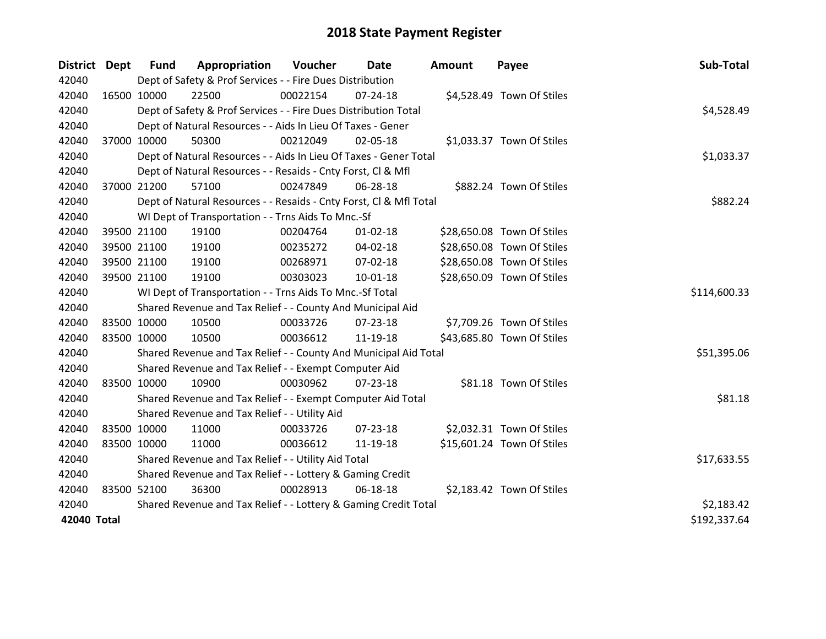| <b>District Dept</b> |             | <b>Fund</b> | Appropriation                                                      | Voucher  | Date           | <b>Amount</b> | Payee                      | Sub-Total    |
|----------------------|-------------|-------------|--------------------------------------------------------------------|----------|----------------|---------------|----------------------------|--------------|
| 42040                |             |             | Dept of Safety & Prof Services - - Fire Dues Distribution          |          |                |               |                            |              |
| 42040                |             | 16500 10000 | 22500                                                              | 00022154 | $07 - 24 - 18$ |               | \$4,528.49 Town Of Stiles  |              |
| 42040                |             |             | Dept of Safety & Prof Services - - Fire Dues Distribution Total    |          |                |               |                            | \$4,528.49   |
| 42040                |             |             | Dept of Natural Resources - - Aids In Lieu Of Taxes - Gener        |          |                |               |                            |              |
| 42040                |             | 37000 10000 | 50300                                                              | 00212049 | 02-05-18       |               | \$1,033.37 Town Of Stiles  |              |
| 42040                |             |             | Dept of Natural Resources - - Aids In Lieu Of Taxes - Gener Total  |          |                |               |                            | \$1,033.37   |
| 42040                |             |             | Dept of Natural Resources - - Resaids - Cnty Forst, CI & Mfl       |          |                |               |                            |              |
| 42040                |             | 37000 21200 | 57100                                                              | 00247849 | 06-28-18       |               | \$882.24 Town Of Stiles    |              |
| 42040                |             |             | Dept of Natural Resources - - Resaids - Cnty Forst, Cl & Mfl Total |          |                |               |                            | \$882.24     |
| 42040                |             |             | WI Dept of Transportation - - Trns Aids To Mnc.-Sf                 |          |                |               |                            |              |
| 42040                |             | 39500 21100 | 19100                                                              | 00204764 | $01 - 02 - 18$ |               | \$28,650.08 Town Of Stiles |              |
| 42040                |             | 39500 21100 | 19100                                                              | 00235272 | 04-02-18       |               | \$28,650.08 Town Of Stiles |              |
| 42040                |             | 39500 21100 | 19100                                                              | 00268971 | 07-02-18       |               | \$28,650.08 Town Of Stiles |              |
| 42040                |             | 39500 21100 | 19100                                                              | 00303023 | $10 - 01 - 18$ |               | \$28,650.09 Town Of Stiles |              |
| 42040                |             |             | WI Dept of Transportation - - Trns Aids To Mnc.-Sf Total           |          |                |               |                            | \$114,600.33 |
| 42040                |             |             | Shared Revenue and Tax Relief - - County And Municipal Aid         |          |                |               |                            |              |
| 42040                |             | 83500 10000 | 10500                                                              | 00033726 | 07-23-18       |               | \$7,709.26 Town Of Stiles  |              |
| 42040                |             | 83500 10000 | 10500                                                              | 00036612 | 11-19-18       |               | \$43,685.80 Town Of Stiles |              |
| 42040                |             |             | Shared Revenue and Tax Relief - - County And Municipal Aid Total   |          |                |               |                            | \$51,395.06  |
| 42040                |             |             | Shared Revenue and Tax Relief - - Exempt Computer Aid              |          |                |               |                            |              |
| 42040                |             | 83500 10000 | 10900                                                              | 00030962 | $07 - 23 - 18$ |               | \$81.18 Town Of Stiles     |              |
| 42040                |             |             | Shared Revenue and Tax Relief - - Exempt Computer Aid Total        |          |                |               |                            | \$81.18      |
| 42040                |             |             | Shared Revenue and Tax Relief - - Utility Aid                      |          |                |               |                            |              |
| 42040                |             | 83500 10000 | 11000                                                              | 00033726 | 07-23-18       |               | \$2,032.31 Town Of Stiles  |              |
| 42040                |             | 83500 10000 | 11000                                                              | 00036612 | 11-19-18       |               | \$15,601.24 Town Of Stiles |              |
| 42040                |             |             | Shared Revenue and Tax Relief - - Utility Aid Total                |          |                |               |                            | \$17,633.55  |
| 42040                |             |             | Shared Revenue and Tax Relief - - Lottery & Gaming Credit          |          |                |               |                            |              |
| 42040                | 83500 52100 |             | 36300                                                              | 00028913 | 06-18-18       |               | \$2,183.42 Town Of Stiles  |              |
| 42040                |             |             | Shared Revenue and Tax Relief - - Lottery & Gaming Credit Total    |          |                |               |                            | \$2,183.42   |
| 42040 Total          |             |             |                                                                    |          |                |               |                            | \$192,337.64 |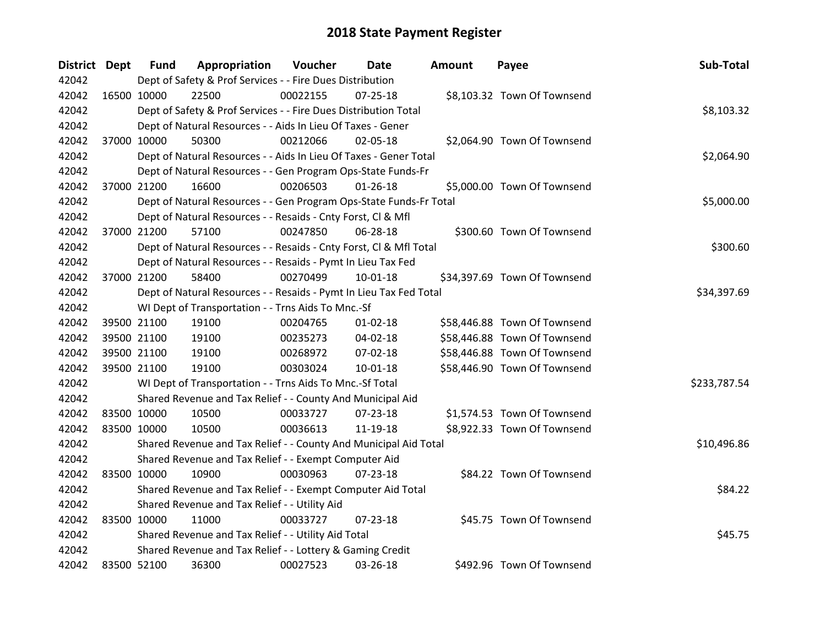| <b>District Dept</b> | <b>Fund</b> | Appropriation                                                      | Voucher  | Date           | <b>Amount</b> | Payee                        | Sub-Total    |
|----------------------|-------------|--------------------------------------------------------------------|----------|----------------|---------------|------------------------------|--------------|
| 42042                |             | Dept of Safety & Prof Services - - Fire Dues Distribution          |          |                |               |                              |              |
| 42042                | 16500 10000 | 22500                                                              | 00022155 | 07-25-18       |               | \$8,103.32 Town Of Townsend  |              |
| 42042                |             | Dept of Safety & Prof Services - - Fire Dues Distribution Total    |          |                |               |                              | \$8,103.32   |
| 42042                |             | Dept of Natural Resources - - Aids In Lieu Of Taxes - Gener        |          |                |               |                              |              |
| 42042                | 37000 10000 | 50300                                                              | 00212066 | 02-05-18       |               | \$2,064.90 Town Of Townsend  |              |
| 42042                |             | Dept of Natural Resources - - Aids In Lieu Of Taxes - Gener Total  |          |                |               |                              | \$2,064.90   |
| 42042                |             | Dept of Natural Resources - - Gen Program Ops-State Funds-Fr       |          |                |               |                              |              |
| 42042                | 37000 21200 | 16600                                                              | 00206503 | $01 - 26 - 18$ |               | \$5,000.00 Town Of Townsend  |              |
| 42042                |             | Dept of Natural Resources - - Gen Program Ops-State Funds-Fr Total |          |                |               |                              | \$5,000.00   |
| 42042                |             | Dept of Natural Resources - - Resaids - Cnty Forst, Cl & Mfl       |          |                |               |                              |              |
| 42042                | 37000 21200 | 57100                                                              | 00247850 | 06-28-18       |               | \$300.60 Town Of Townsend    |              |
| 42042                |             | Dept of Natural Resources - - Resaids - Cnty Forst, CI & Mfl Total |          |                |               |                              | \$300.60     |
| 42042                |             | Dept of Natural Resources - - Resaids - Pymt In Lieu Tax Fed       |          |                |               |                              |              |
| 42042                | 37000 21200 | 58400                                                              | 00270499 | 10-01-18       |               | \$34,397.69 Town Of Townsend |              |
| 42042                |             | Dept of Natural Resources - - Resaids - Pymt In Lieu Tax Fed Total |          |                |               |                              | \$34,397.69  |
| 42042                |             | WI Dept of Transportation - - Trns Aids To Mnc.-Sf                 |          |                |               |                              |              |
| 42042                | 39500 21100 | 19100                                                              | 00204765 | $01 - 02 - 18$ |               | \$58,446.88 Town Of Townsend |              |
| 42042                | 39500 21100 | 19100                                                              | 00235273 | $04 - 02 - 18$ |               | \$58,446.88 Town Of Townsend |              |
| 42042                | 39500 21100 | 19100                                                              | 00268972 | 07-02-18       |               | \$58,446.88 Town Of Townsend |              |
| 42042                | 39500 21100 | 19100                                                              | 00303024 | $10 - 01 - 18$ |               | \$58,446.90 Town Of Townsend |              |
| 42042                |             | WI Dept of Transportation - - Trns Aids To Mnc.-Sf Total           |          |                |               |                              | \$233,787.54 |
| 42042                |             | Shared Revenue and Tax Relief - - County And Municipal Aid         |          |                |               |                              |              |
| 42042                | 83500 10000 | 10500                                                              | 00033727 | 07-23-18       |               | \$1,574.53 Town Of Townsend  |              |
| 42042                | 83500 10000 | 10500                                                              | 00036613 | 11-19-18       |               | \$8,922.33 Town Of Townsend  |              |
| 42042                |             | Shared Revenue and Tax Relief - - County And Municipal Aid Total   |          |                |               |                              | \$10,496.86  |
| 42042                |             | Shared Revenue and Tax Relief - - Exempt Computer Aid              |          |                |               |                              |              |
| 42042                | 83500 10000 | 10900                                                              | 00030963 | $07 - 23 - 18$ |               | \$84.22 Town Of Townsend     |              |
| 42042                |             | Shared Revenue and Tax Relief - - Exempt Computer Aid Total        |          |                |               |                              | \$84.22      |
| 42042                |             | Shared Revenue and Tax Relief - - Utility Aid                      |          |                |               |                              |              |
| 42042                | 83500 10000 | 11000                                                              | 00033727 | 07-23-18       |               | \$45.75 Town Of Townsend     |              |
| 42042                |             | Shared Revenue and Tax Relief - - Utility Aid Total                |          |                |               |                              | \$45.75      |
| 42042                |             | Shared Revenue and Tax Relief - - Lottery & Gaming Credit          |          |                |               |                              |              |
| 42042                | 83500 52100 | 36300                                                              | 00027523 | 03-26-18       |               | \$492.96 Town Of Townsend    |              |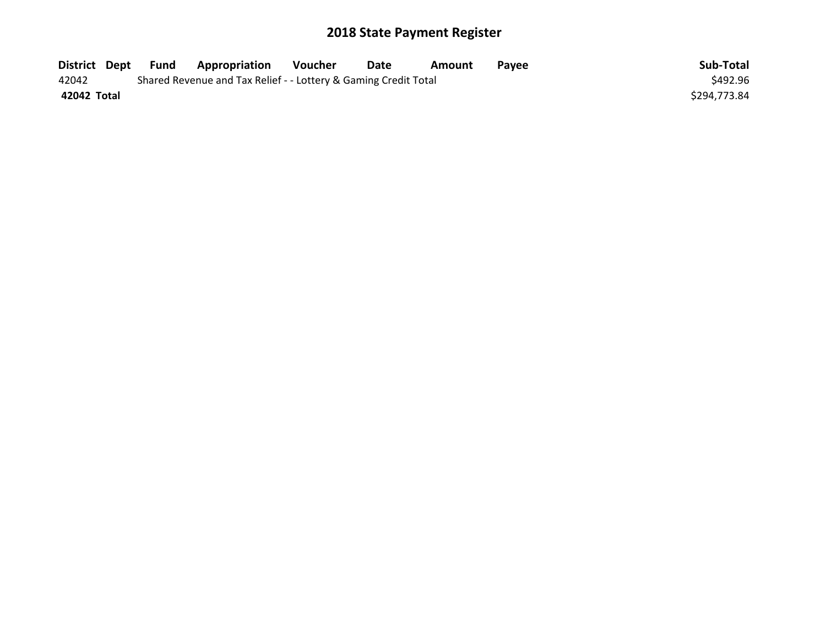| District Dept | Fund | <b>Appropriation</b>                                            | Voucher | <b>Date</b> | Amount | <b>Pavee</b> | Sub-Total    |
|---------------|------|-----------------------------------------------------------------|---------|-------------|--------|--------------|--------------|
| 42042         |      | Shared Revenue and Tax Relief - - Lottery & Gaming Credit Total |         |             |        |              | \$492.96     |
| 42042 Total   |      |                                                                 |         |             |        |              | \$294,773.84 |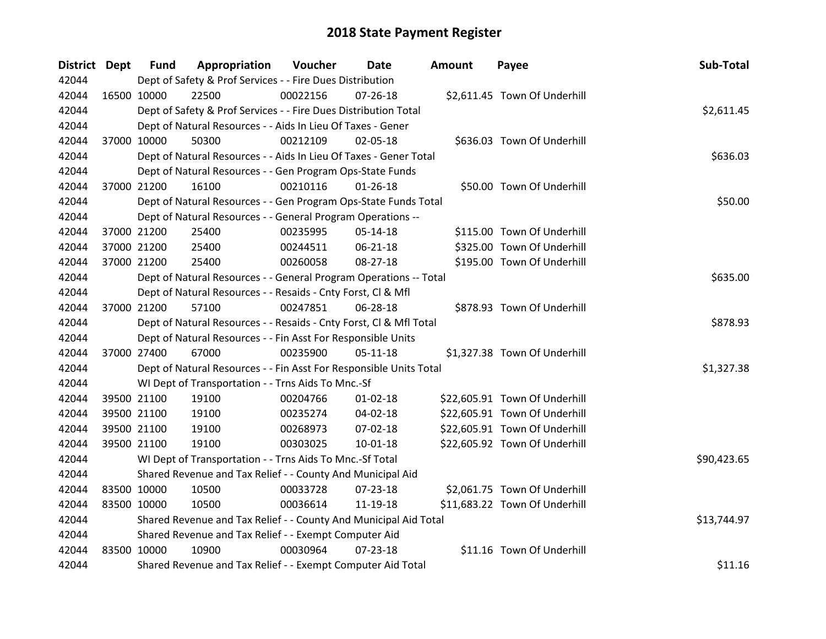| District Dept | <b>Fund</b> | Appropriation                                                      | Voucher     | <b>Date</b>    | <b>Amount</b> | Payee                         | Sub-Total   |
|---------------|-------------|--------------------------------------------------------------------|-------------|----------------|---------------|-------------------------------|-------------|
| 42044         |             | Dept of Safety & Prof Services - - Fire Dues Distribution          |             |                |               |                               |             |
| 42044         | 16500 10000 | 22500                                                              | 00022156    | $07 - 26 - 18$ |               | \$2,611.45 Town Of Underhill  |             |
| 42044         |             | Dept of Safety & Prof Services - - Fire Dues Distribution Total    |             |                |               |                               | \$2,611.45  |
| 42044         |             | Dept of Natural Resources - - Aids In Lieu Of Taxes - Gener        |             |                |               |                               |             |
| 42044         | 37000 10000 | 50300                                                              | 00212109    | 02-05-18       |               | \$636.03 Town Of Underhill    |             |
| 42044         |             | Dept of Natural Resources - - Aids In Lieu Of Taxes - Gener Total  |             |                |               |                               | \$636.03    |
| 42044         |             | Dept of Natural Resources - - Gen Program Ops-State Funds          |             |                |               |                               |             |
| 42044         | 37000 21200 | 16100                                                              | 00210116    | $01 - 26 - 18$ |               | \$50.00 Town Of Underhill     |             |
| 42044         |             | Dept of Natural Resources - - Gen Program Ops-State Funds Total    |             |                |               |                               | \$50.00     |
| 42044         |             | Dept of Natural Resources - - General Program Operations --        |             |                |               |                               |             |
| 42044         | 37000 21200 | 25400                                                              | 00235995    | 05-14-18       |               | \$115.00 Town Of Underhill    |             |
| 42044         | 37000 21200 | 25400                                                              | 00244511    | $06 - 21 - 18$ |               | \$325.00 Town Of Underhill    |             |
| 42044         | 37000 21200 | 25400                                                              | 00260058    | 08-27-18       |               | \$195.00 Town Of Underhill    |             |
| 42044         |             | Dept of Natural Resources - - General Program Operations -- Total  |             |                |               |                               | \$635.00    |
| 42044         |             | Dept of Natural Resources - - Resaids - Cnty Forst, CI & Mfl       |             |                |               |                               |             |
| 42044         | 37000 21200 | 57100                                                              | 00247851    | 06-28-18       |               | \$878.93 Town Of Underhill    |             |
| 42044         |             | Dept of Natural Resources - - Resaids - Cnty Forst, Cl & Mfl Total |             |                |               |                               | \$878.93    |
| 42044         |             | Dept of Natural Resources - - Fin Asst For Responsible Units       |             |                |               |                               |             |
| 42044         | 37000 27400 | 67000                                                              | 00235900    | $05 - 11 - 18$ |               | \$1,327.38 Town Of Underhill  |             |
| 42044         |             | Dept of Natural Resources - - Fin Asst For Responsible Units Total |             |                |               |                               | \$1,327.38  |
| 42044         |             | WI Dept of Transportation - - Trns Aids To Mnc.-Sf                 |             |                |               |                               |             |
| 42044         | 39500 21100 | 19100                                                              | 00204766    | $01 - 02 - 18$ |               | \$22,605.91 Town Of Underhill |             |
| 42044         | 39500 21100 | 19100                                                              | 00235274    | 04-02-18       |               | \$22,605.91 Town Of Underhill |             |
| 42044         | 39500 21100 | 19100                                                              | 00268973    | 07-02-18       |               | \$22,605.91 Town Of Underhill |             |
| 42044         | 39500 21100 | 19100                                                              | 00303025    | $10 - 01 - 18$ |               | \$22,605.92 Town Of Underhill |             |
| 42044         |             | WI Dept of Transportation - - Trns Aids To Mnc.-Sf Total           |             |                |               |                               | \$90,423.65 |
| 42044         |             | Shared Revenue and Tax Relief - - County And Municipal Aid         |             |                |               |                               |             |
| 42044         | 83500 10000 | 10500                                                              | 00033728    | 07-23-18       |               | \$2,061.75 Town Of Underhill  |             |
| 42044         | 83500 10000 | 10500                                                              | 00036614    | 11-19-18       |               | \$11,683.22 Town Of Underhill |             |
| 42044         |             | Shared Revenue and Tax Relief - - County And Municipal Aid Total   | \$13,744.97 |                |               |                               |             |
| 42044         |             | Shared Revenue and Tax Relief - - Exempt Computer Aid              |             |                |               |                               |             |
| 42044         | 83500 10000 | 10900                                                              | 00030964    | $07 - 23 - 18$ |               | \$11.16 Town Of Underhill     |             |
| 42044         |             | Shared Revenue and Tax Relief - - Exempt Computer Aid Total        |             |                |               |                               | \$11.16     |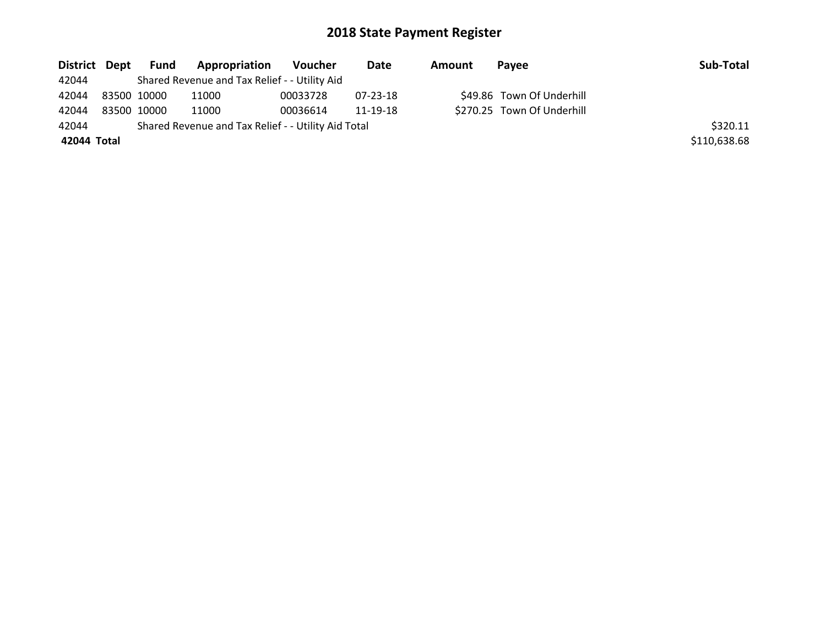| District Dept | Fund        | Appropriation                                       | Voucher  | Date           | Amount | Pavee                      | Sub-Total    |
|---------------|-------------|-----------------------------------------------------|----------|----------------|--------|----------------------------|--------------|
| 42044         |             | Shared Revenue and Tax Relief - - Utility Aid       |          |                |        |                            |              |
| 42044         | 83500 10000 | 11000                                               | 00033728 | $07 - 23 - 18$ |        | \$49.86 Town Of Underhill  |              |
| 42044         | 83500 10000 | 11000                                               | 00036614 | 11-19-18       |        | \$270.25 Town Of Underhill |              |
| 42044         |             | Shared Revenue and Tax Relief - - Utility Aid Total |          |                |        |                            | \$320.11     |
| 42044 Total   |             |                                                     |          |                |        |                            | \$110,638.68 |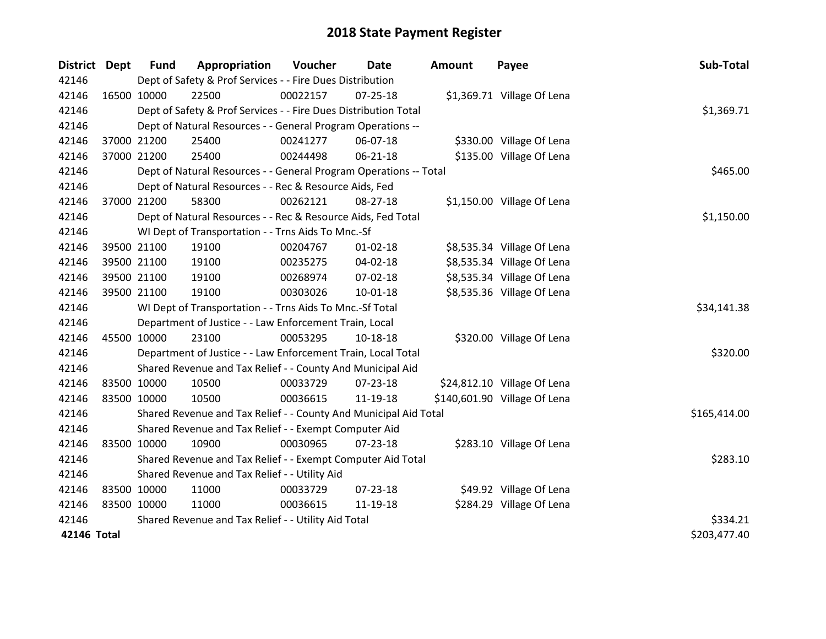| District Dept |             | <b>Fund</b> | Appropriation                                                     | Voucher  | <b>Date</b>    | <b>Amount</b> | Payee                        | Sub-Total    |
|---------------|-------------|-------------|-------------------------------------------------------------------|----------|----------------|---------------|------------------------------|--------------|
| 42146         |             |             | Dept of Safety & Prof Services - - Fire Dues Distribution         |          |                |               |                              |              |
| 42146         | 16500 10000 |             | 22500                                                             | 00022157 | 07-25-18       |               | \$1,369.71 Village Of Lena   |              |
| 42146         |             |             | Dept of Safety & Prof Services - - Fire Dues Distribution Total   |          |                |               |                              | \$1,369.71   |
| 42146         |             |             | Dept of Natural Resources - - General Program Operations --       |          |                |               |                              |              |
| 42146         |             | 37000 21200 | 25400                                                             | 00241277 | 06-07-18       |               | \$330.00 Village Of Lena     |              |
| 42146         |             | 37000 21200 | 25400                                                             | 00244498 | $06 - 21 - 18$ |               | \$135.00 Village Of Lena     |              |
| 42146         |             |             | Dept of Natural Resources - - General Program Operations -- Total | \$465.00 |                |               |                              |              |
| 42146         |             |             | Dept of Natural Resources - - Rec & Resource Aids, Fed            |          |                |               |                              |              |
| 42146         |             | 37000 21200 | 58300                                                             | 00262121 | $08-27-18$     |               | \$1,150.00 Village Of Lena   |              |
| 42146         |             |             | Dept of Natural Resources - - Rec & Resource Aids, Fed Total      |          |                |               |                              | \$1,150.00   |
| 42146         |             |             | WI Dept of Transportation - - Trns Aids To Mnc.-Sf                |          |                |               |                              |              |
| 42146         |             | 39500 21100 | 19100                                                             | 00204767 | $01 - 02 - 18$ |               | \$8,535.34 Village Of Lena   |              |
| 42146         |             | 39500 21100 | 19100                                                             | 00235275 | 04-02-18       |               | \$8,535.34 Village Of Lena   |              |
| 42146         |             | 39500 21100 | 19100                                                             | 00268974 | 07-02-18       |               | \$8,535.34 Village Of Lena   |              |
| 42146         |             | 39500 21100 | 19100                                                             | 00303026 | $10 - 01 - 18$ |               | \$8,535.36 Village Of Lena   |              |
| 42146         |             |             | WI Dept of Transportation - - Trns Aids To Mnc.-Sf Total          |          |                |               |                              | \$34,141.38  |
| 42146         |             |             | Department of Justice - - Law Enforcement Train, Local            |          |                |               |                              |              |
| 42146         | 45500 10000 |             | 23100                                                             | 00053295 | $10 - 18 - 18$ |               | \$320.00 Village Of Lena     |              |
| 42146         |             |             | Department of Justice - - Law Enforcement Train, Local Total      |          |                |               |                              | \$320.00     |
| 42146         |             |             | Shared Revenue and Tax Relief - - County And Municipal Aid        |          |                |               |                              |              |
| 42146         | 83500 10000 |             | 10500                                                             | 00033729 | 07-23-18       |               | \$24,812.10 Village Of Lena  |              |
| 42146         |             | 83500 10000 | 10500                                                             | 00036615 | 11-19-18       |               | \$140,601.90 Village Of Lena |              |
| 42146         |             |             | Shared Revenue and Tax Relief - - County And Municipal Aid Total  |          |                |               |                              | \$165,414.00 |
| 42146         |             |             | Shared Revenue and Tax Relief - - Exempt Computer Aid             |          |                |               |                              |              |
| 42146         |             | 83500 10000 | 10900                                                             | 00030965 | 07-23-18       |               | \$283.10 Village Of Lena     |              |
| 42146         |             |             | Shared Revenue and Tax Relief - - Exempt Computer Aid Total       |          |                |               |                              | \$283.10     |
| 42146         |             |             | Shared Revenue and Tax Relief - - Utility Aid                     |          |                |               |                              |              |
| 42146         | 83500 10000 |             | 11000                                                             | 00033729 | 07-23-18       |               | \$49.92 Village Of Lena      |              |
| 42146         | 83500 10000 |             | 11000                                                             | 00036615 | 11-19-18       |               | \$284.29 Village Of Lena     |              |
| 42146         |             |             | Shared Revenue and Tax Relief - - Utility Aid Total               |          |                |               |                              | \$334.21     |
| 42146 Total   |             |             |                                                                   |          |                |               |                              | \$203,477.40 |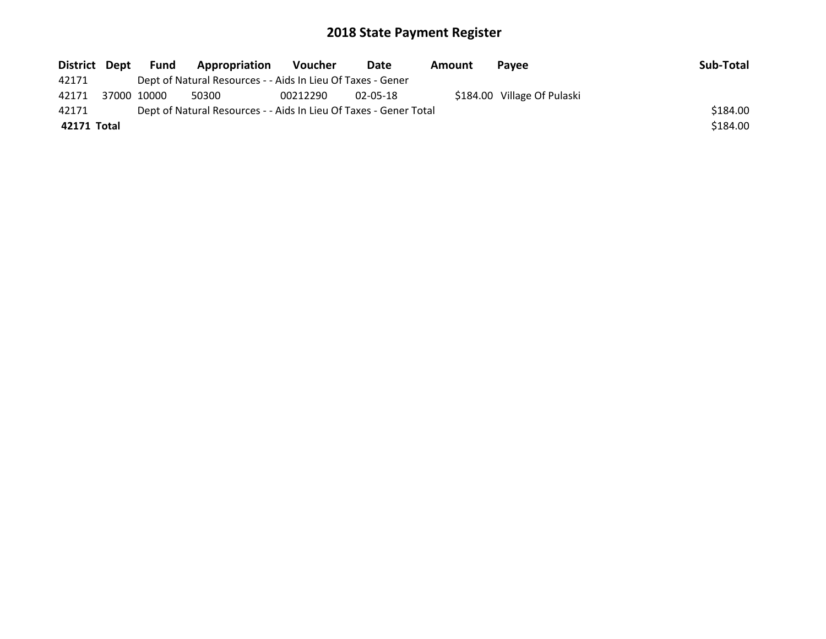|             | District Dept Fund | <b>Appropriation</b>                                              | Voucher  | Date     | Amount | Pavee                       | Sub-Total |
|-------------|--------------------|-------------------------------------------------------------------|----------|----------|--------|-----------------------------|-----------|
| 42171       |                    | Dept of Natural Resources - - Aids In Lieu Of Taxes - Gener       |          |          |        |                             |           |
| 42171       | 37000 10000        | 50300                                                             | 00212290 | 02-05-18 |        | \$184.00 Village Of Pulaski |           |
| 42171       |                    | Dept of Natural Resources - - Aids In Lieu Of Taxes - Gener Total |          |          |        |                             | \$184.00  |
| 42171 Total |                    |                                                                   |          |          |        |                             | \$184.00  |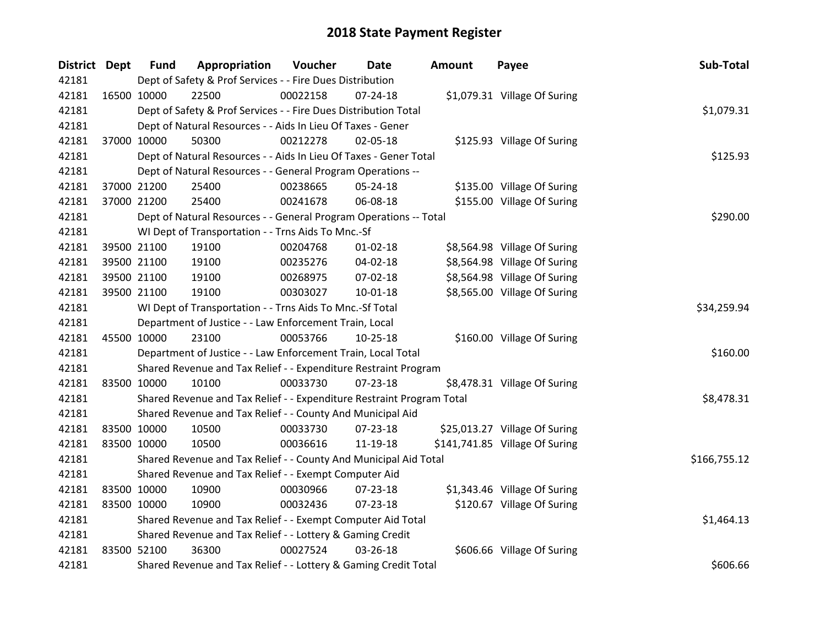| District Dept | <b>Fund</b>                                                 | Appropriation                                                         | Voucher     | <b>Date</b>    | <b>Amount</b> | Payee                          | Sub-Total    |
|---------------|-------------------------------------------------------------|-----------------------------------------------------------------------|-------------|----------------|---------------|--------------------------------|--------------|
| 42181         |                                                             | Dept of Safety & Prof Services - - Fire Dues Distribution             |             |                |               |                                |              |
| 42181         | 16500 10000                                                 | 22500                                                                 | 00022158    | $07 - 24 - 18$ |               | \$1,079.31 Village Of Suring   |              |
| 42181         |                                                             | Dept of Safety & Prof Services - - Fire Dues Distribution Total       |             |                |               |                                | \$1,079.31   |
| 42181         |                                                             | Dept of Natural Resources - - Aids In Lieu Of Taxes - Gener           |             |                |               |                                |              |
| 42181         | 37000 10000                                                 | 50300                                                                 | 00212278    | 02-05-18       |               | \$125.93 Village Of Suring     |              |
| 42181         |                                                             | Dept of Natural Resources - - Aids In Lieu Of Taxes - Gener Total     |             |                |               |                                | \$125.93     |
| 42181         |                                                             | Dept of Natural Resources - - General Program Operations --           |             |                |               |                                |              |
| 42181         | 37000 21200                                                 | 25400                                                                 | 00238665    | $05 - 24 - 18$ |               | \$135.00 Village Of Suring     |              |
| 42181         | 37000 21200                                                 | 25400                                                                 | 00241678    | 06-08-18       |               | \$155.00 Village Of Suring     |              |
| 42181         |                                                             | Dept of Natural Resources - - General Program Operations -- Total     |             |                |               |                                | \$290.00     |
| 42181         |                                                             | WI Dept of Transportation - - Trns Aids To Mnc.-Sf                    |             |                |               |                                |              |
| 42181         | 39500 21100                                                 | 19100                                                                 | 00204768    | $01 - 02 - 18$ |               | \$8,564.98 Village Of Suring   |              |
| 42181         | 39500 21100                                                 | 19100                                                                 | 00235276    | 04-02-18       |               | \$8,564.98 Village Of Suring   |              |
| 42181         | 39500 21100                                                 | 19100                                                                 | 00268975    | 07-02-18       |               | \$8,564.98 Village Of Suring   |              |
| 42181         | 39500 21100                                                 | 19100                                                                 | 00303027    | $10 - 01 - 18$ |               | \$8,565.00 Village Of Suring   |              |
| 42181         |                                                             | WI Dept of Transportation - - Trns Aids To Mnc.-Sf Total              | \$34,259.94 |                |               |                                |              |
| 42181         |                                                             | Department of Justice - - Law Enforcement Train, Local                |             |                |               |                                |              |
| 42181         | 45500 10000                                                 | 23100                                                                 | 00053766    | $10 - 25 - 18$ |               | \$160.00 Village Of Suring     |              |
| 42181         |                                                             | Department of Justice - - Law Enforcement Train, Local Total          |             |                |               |                                | \$160.00     |
| 42181         |                                                             | Shared Revenue and Tax Relief - - Expenditure Restraint Program       |             |                |               |                                |              |
| 42181         | 83500 10000                                                 | 10100                                                                 | 00033730    | $07 - 23 - 18$ |               | \$8,478.31 Village Of Suring   |              |
| 42181         |                                                             | Shared Revenue and Tax Relief - - Expenditure Restraint Program Total |             |                |               |                                | \$8,478.31   |
| 42181         |                                                             | Shared Revenue and Tax Relief - - County And Municipal Aid            |             |                |               |                                |              |
| 42181         | 83500 10000                                                 | 10500                                                                 | 00033730    | 07-23-18       |               | \$25,013.27 Village Of Suring  |              |
| 42181         | 83500 10000                                                 | 10500                                                                 | 00036616    | 11-19-18       |               | \$141,741.85 Village Of Suring |              |
| 42181         |                                                             | Shared Revenue and Tax Relief - - County And Municipal Aid Total      |             |                |               |                                | \$166,755.12 |
| 42181         |                                                             | Shared Revenue and Tax Relief - - Exempt Computer Aid                 |             |                |               |                                |              |
| 42181         | 83500 10000                                                 | 10900                                                                 | 00030966    | 07-23-18       |               | \$1,343.46 Village Of Suring   |              |
| 42181         | 83500 10000                                                 | 10900                                                                 | 00032436    | 07-23-18       |               | \$120.67 Village Of Suring     |              |
| 42181         | Shared Revenue and Tax Relief - - Exempt Computer Aid Total |                                                                       |             |                |               |                                | \$1,464.13   |
| 42181         |                                                             | Shared Revenue and Tax Relief - - Lottery & Gaming Credit             |             |                |               |                                |              |
| 42181         | 83500 52100                                                 | 36300                                                                 | 00027524    | 03-26-18       |               | \$606.66 Village Of Suring     |              |
| 42181         |                                                             | Shared Revenue and Tax Relief - - Lottery & Gaming Credit Total       |             |                |               |                                | \$606.66     |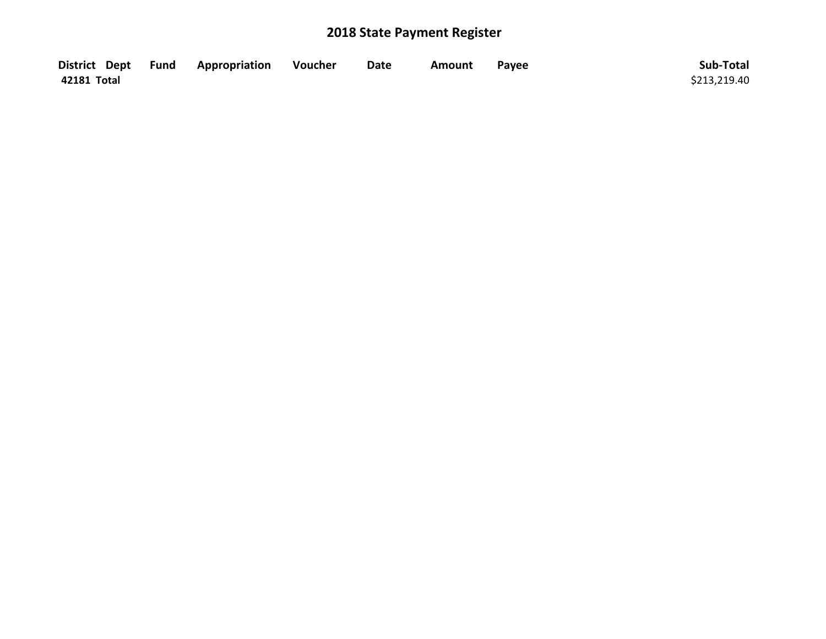| District Dept | <b>Fund Appropriation</b> | Voucher | <b>Date</b> | Amount | Pavee | Sub-Total    |
|---------------|---------------------------|---------|-------------|--------|-------|--------------|
| 42181 Total   |                           |         |             |        |       | \$213,219.40 |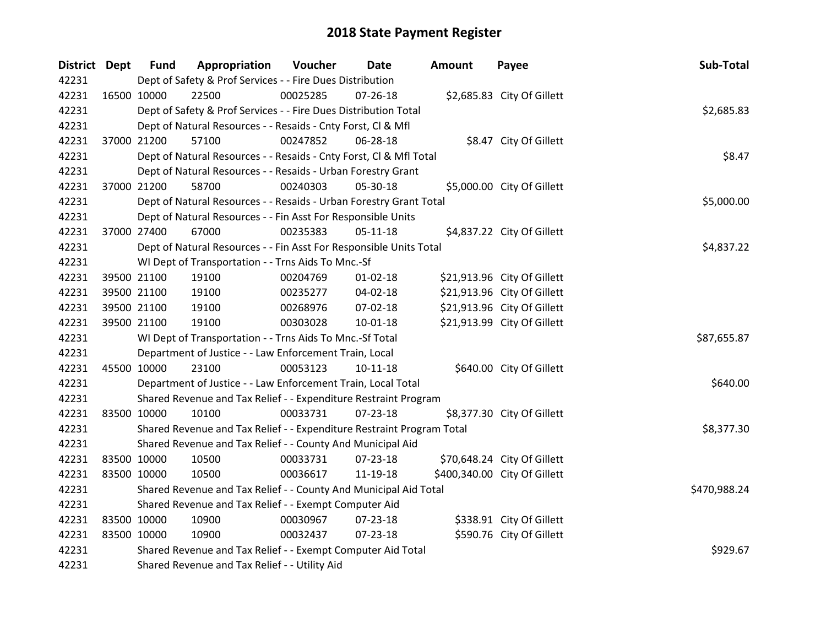| <b>District Dept</b> | <b>Fund</b> | Appropriation                                                         | Voucher  | Date           | Amount | Payee                        | Sub-Total    |
|----------------------|-------------|-----------------------------------------------------------------------|----------|----------------|--------|------------------------------|--------------|
| 42231                |             | Dept of Safety & Prof Services - - Fire Dues Distribution             |          |                |        |                              |              |
| 42231                | 16500 10000 | 22500                                                                 | 00025285 | 07-26-18       |        | \$2,685.83 City Of Gillett   |              |
| 42231                |             | Dept of Safety & Prof Services - - Fire Dues Distribution Total       |          |                |        |                              | \$2,685.83   |
| 42231                |             | Dept of Natural Resources - - Resaids - Cnty Forst, Cl & Mfl          |          |                |        |                              |              |
| 42231                | 37000 21200 | 57100                                                                 | 00247852 | 06-28-18       |        | \$8.47 City Of Gillett       |              |
| 42231                |             | Dept of Natural Resources - - Resaids - Cnty Forst, Cl & Mfl Total    |          |                |        |                              | \$8.47       |
| 42231                |             | Dept of Natural Resources - - Resaids - Urban Forestry Grant          |          |                |        |                              |              |
| 42231                | 37000 21200 | 58700                                                                 | 00240303 | 05-30-18       |        | \$5,000.00 City Of Gillett   |              |
| 42231                |             | Dept of Natural Resources - - Resaids - Urban Forestry Grant Total    |          |                |        |                              | \$5,000.00   |
| 42231                |             | Dept of Natural Resources - - Fin Asst For Responsible Units          |          |                |        |                              |              |
| 42231                | 37000 27400 | 67000                                                                 | 00235383 | $05 - 11 - 18$ |        | \$4,837.22 City Of Gillett   |              |
| 42231                |             | Dept of Natural Resources - - Fin Asst For Responsible Units Total    |          |                |        |                              | \$4,837.22   |
| 42231                |             | WI Dept of Transportation - - Trns Aids To Mnc.-Sf                    |          |                |        |                              |              |
| 42231                | 39500 21100 | 19100                                                                 | 00204769 | $01 - 02 - 18$ |        | \$21,913.96 City Of Gillett  |              |
| 42231                | 39500 21100 | 19100                                                                 | 00235277 | 04-02-18       |        | \$21,913.96 City Of Gillett  |              |
| 42231                | 39500 21100 | 19100                                                                 | 00268976 | 07-02-18       |        | \$21,913.96 City Of Gillett  |              |
| 42231                | 39500 21100 | 19100                                                                 | 00303028 | 10-01-18       |        | \$21,913.99 City Of Gillett  |              |
| 42231                |             | WI Dept of Transportation - - Trns Aids To Mnc.-Sf Total              |          |                |        |                              | \$87,655.87  |
| 42231                |             | Department of Justice - - Law Enforcement Train, Local                |          |                |        |                              |              |
| 42231                | 45500 10000 | 23100                                                                 | 00053123 | $10-11-18$     |        | \$640.00 City Of Gillett     |              |
| 42231                |             | Department of Justice - - Law Enforcement Train, Local Total          |          |                |        |                              | \$640.00     |
| 42231                |             | Shared Revenue and Tax Relief - - Expenditure Restraint Program       |          |                |        |                              |              |
| 42231                | 83500 10000 | 10100                                                                 | 00033731 | 07-23-18       |        | \$8,377.30 City Of Gillett   |              |
| 42231                |             | Shared Revenue and Tax Relief - - Expenditure Restraint Program Total |          |                |        |                              | \$8,377.30   |
| 42231                |             | Shared Revenue and Tax Relief - - County And Municipal Aid            |          |                |        |                              |              |
| 42231                | 83500 10000 | 10500                                                                 | 00033731 | $07 - 23 - 18$ |        | \$70,648.24 City Of Gillett  |              |
| 42231                | 83500 10000 | 10500                                                                 | 00036617 | 11-19-18       |        | \$400,340.00 City Of Gillett |              |
| 42231                |             | Shared Revenue and Tax Relief - - County And Municipal Aid Total      |          |                |        |                              | \$470,988.24 |
| 42231                |             | Shared Revenue and Tax Relief - - Exempt Computer Aid                 |          |                |        |                              |              |
| 42231                | 83500 10000 | 10900                                                                 | 00030967 | 07-23-18       |        | \$338.91 City Of Gillett     |              |
| 42231                | 83500 10000 | 10900                                                                 | 00032437 | 07-23-18       |        | \$590.76 City Of Gillett     |              |
| 42231                |             | Shared Revenue and Tax Relief - - Exempt Computer Aid Total           |          |                |        |                              | \$929.67     |
| 42231                |             | Shared Revenue and Tax Relief - - Utility Aid                         |          |                |        |                              |              |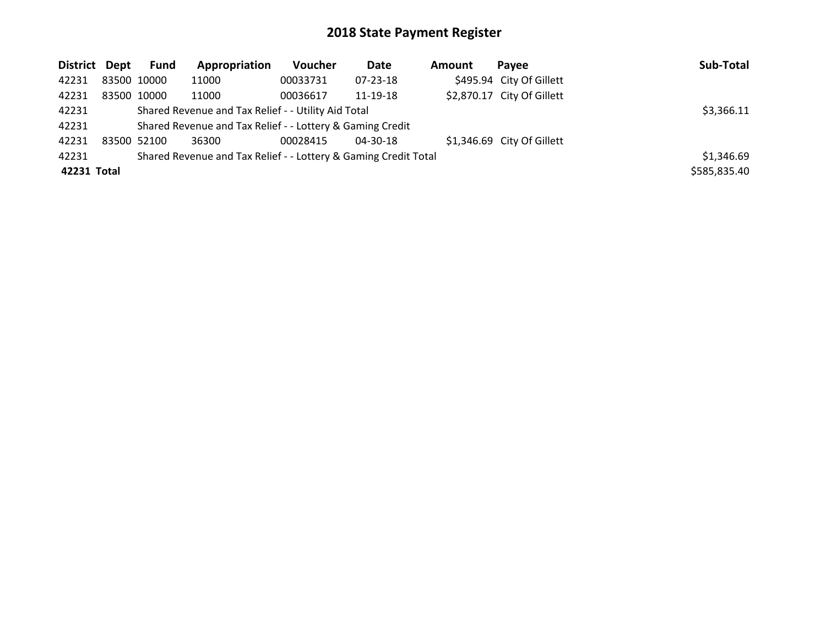| District Dept |             | <b>Fund</b> | Appropriation                                             | Voucher  | Date     | Amount | Pavee                      | Sub-Total    |
|---------------|-------------|-------------|-----------------------------------------------------------|----------|----------|--------|----------------------------|--------------|
| 42231         | 83500 10000 |             | 11000                                                     | 00033731 | 07-23-18 |        | \$495.94 City Of Gillett   |              |
| 42231         | 83500 10000 |             | 11000                                                     | 00036617 | 11-19-18 |        | \$2,870.17 City Of Gillett |              |
| 42231         |             | \$3,366.11  |                                                           |          |          |        |                            |              |
| 42231         |             |             | Shared Revenue and Tax Relief - - Lottery & Gaming Credit |          |          |        |                            |              |
| 42231         |             | 83500 52100 | 36300                                                     | 00028415 | 04-30-18 |        | \$1,346.69 City Of Gillett |              |
| 42231         |             | \$1,346.69  |                                                           |          |          |        |                            |              |
| 42231 Total   |             |             |                                                           |          |          |        |                            | \$585,835.40 |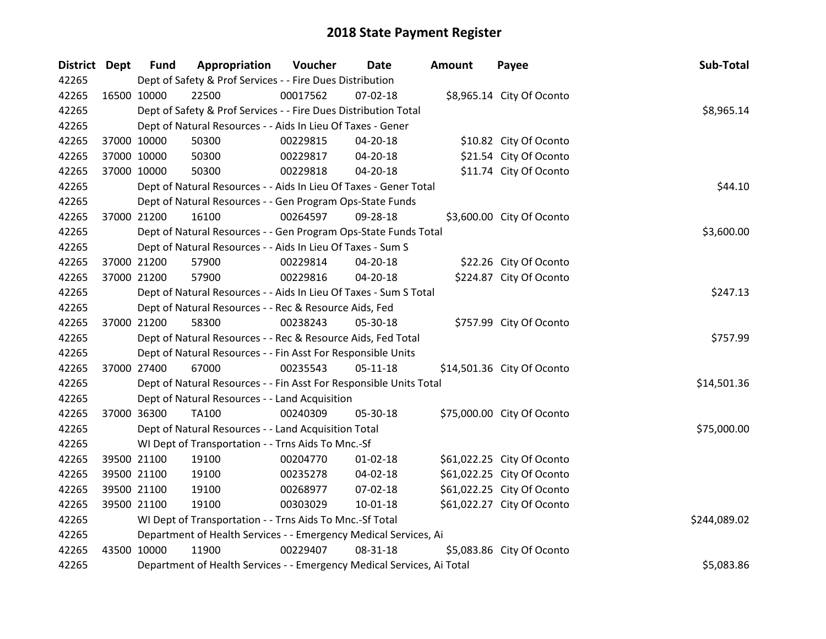| District Dept | <b>Fund</b> | Appropriation                                                          | Voucher  | <b>Date</b>    | <b>Amount</b> | Payee                      | Sub-Total    |
|---------------|-------------|------------------------------------------------------------------------|----------|----------------|---------------|----------------------------|--------------|
| 42265         |             | Dept of Safety & Prof Services - - Fire Dues Distribution              |          |                |               |                            |              |
| 42265         | 16500 10000 | 22500                                                                  | 00017562 | $07 - 02 - 18$ |               | \$8,965.14 City Of Oconto  |              |
| 42265         |             | Dept of Safety & Prof Services - - Fire Dues Distribution Total        |          |                |               |                            | \$8,965.14   |
| 42265         |             | Dept of Natural Resources - - Aids In Lieu Of Taxes - Gener            |          |                |               |                            |              |
| 42265         | 37000 10000 | 50300                                                                  | 00229815 | 04-20-18       |               | \$10.82 City Of Oconto     |              |
| 42265         | 37000 10000 | 50300                                                                  | 00229817 | 04-20-18       |               | \$21.54 City Of Oconto     |              |
| 42265         | 37000 10000 | 50300                                                                  | 00229818 | 04-20-18       |               | \$11.74 City Of Oconto     |              |
| 42265         |             | Dept of Natural Resources - - Aids In Lieu Of Taxes - Gener Total      |          |                |               |                            | \$44.10      |
| 42265         |             | Dept of Natural Resources - - Gen Program Ops-State Funds              |          |                |               |                            |              |
| 42265         | 37000 21200 | 16100                                                                  | 00264597 | 09-28-18       |               | \$3,600.00 City Of Oconto  |              |
| 42265         |             | Dept of Natural Resources - - Gen Program Ops-State Funds Total        |          |                |               |                            | \$3,600.00   |
| 42265         |             | Dept of Natural Resources - - Aids In Lieu Of Taxes - Sum S            |          |                |               |                            |              |
| 42265         | 37000 21200 | 57900                                                                  | 00229814 | 04-20-18       |               | \$22.26 City Of Oconto     |              |
| 42265         | 37000 21200 | 57900                                                                  | 00229816 | 04-20-18       |               | \$224.87 City Of Oconto    |              |
| 42265         |             | Dept of Natural Resources - - Aids In Lieu Of Taxes - Sum S Total      | \$247.13 |                |               |                            |              |
| 42265         |             | Dept of Natural Resources - - Rec & Resource Aids, Fed                 |          |                |               |                            |              |
| 42265         | 37000 21200 | 58300                                                                  | 00238243 | 05-30-18       |               | \$757.99 City Of Oconto    |              |
| 42265         |             | Dept of Natural Resources - - Rec & Resource Aids, Fed Total           |          |                |               |                            | \$757.99     |
| 42265         |             | Dept of Natural Resources - - Fin Asst For Responsible Units           |          |                |               |                            |              |
| 42265         | 37000 27400 | 67000                                                                  | 00235543 | $05-11-18$     |               | \$14,501.36 City Of Oconto |              |
| 42265         |             | Dept of Natural Resources - - Fin Asst For Responsible Units Total     |          |                |               |                            | \$14,501.36  |
| 42265         |             | Dept of Natural Resources - - Land Acquisition                         |          |                |               |                            |              |
| 42265         | 37000 36300 | <b>TA100</b>                                                           | 00240309 | 05-30-18       |               | \$75,000.00 City Of Oconto |              |
| 42265         |             | Dept of Natural Resources - - Land Acquisition Total                   |          |                |               |                            | \$75,000.00  |
| 42265         |             | WI Dept of Transportation - - Trns Aids To Mnc.-Sf                     |          |                |               |                            |              |
| 42265         | 39500 21100 | 19100                                                                  | 00204770 | $01 - 02 - 18$ |               | \$61,022.25 City Of Oconto |              |
| 42265         | 39500 21100 | 19100                                                                  | 00235278 | 04-02-18       |               | \$61,022.25 City Of Oconto |              |
| 42265         | 39500 21100 | 19100                                                                  | 00268977 | 07-02-18       |               | \$61,022.25 City Of Oconto |              |
| 42265         | 39500 21100 | 19100                                                                  | 00303029 | 10-01-18       |               | \$61,022.27 City Of Oconto |              |
| 42265         |             | WI Dept of Transportation - - Trns Aids To Mnc.-Sf Total               |          |                |               |                            | \$244,089.02 |
| 42265         |             | Department of Health Services - - Emergency Medical Services, Ai       |          |                |               |                            |              |
| 42265         | 43500 10000 | 11900                                                                  | 00229407 | 08-31-18       |               | \$5,083.86 City Of Oconto  |              |
| 42265         |             | Department of Health Services - - Emergency Medical Services, Ai Total |          |                |               |                            | \$5,083.86   |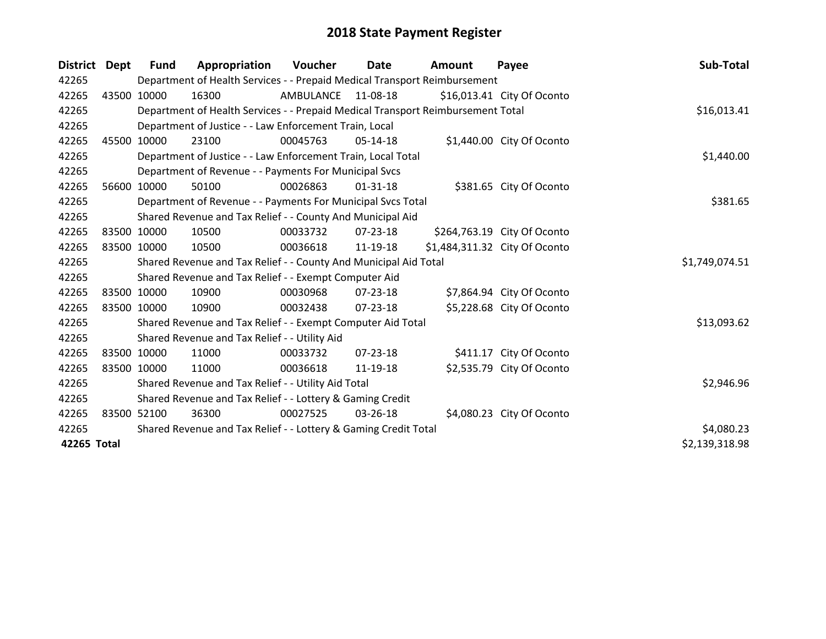| District Dept |       | <b>Fund</b> | Appropriation                                                                   | Voucher    | Date           | <b>Amount</b> | Payee                         | Sub-Total      |
|---------------|-------|-------------|---------------------------------------------------------------------------------|------------|----------------|---------------|-------------------------------|----------------|
| 42265         |       |             | Department of Health Services - - Prepaid Medical Transport Reimbursement       |            |                |               |                               |                |
| 42265         |       | 43500 10000 | 16300                                                                           | AMBULANCE  | 11-08-18       |               | \$16,013.41 City Of Oconto    |                |
| 42265         |       |             | Department of Health Services - - Prepaid Medical Transport Reimbursement Total |            |                |               |                               | \$16,013.41    |
| 42265         |       |             | Department of Justice - - Law Enforcement Train, Local                          |            |                |               |                               |                |
| 42265         | 45500 | 10000       | 23100                                                                           | 00045763   | 05-14-18       |               | \$1,440.00 City Of Oconto     |                |
| 42265         |       |             | Department of Justice - - Law Enforcement Train, Local Total                    | \$1,440.00 |                |               |                               |                |
| 42265         |       |             | Department of Revenue - - Payments For Municipal Svcs                           |            |                |               |                               |                |
| 42265         | 56600 | 10000       | 50100                                                                           | 00026863   | $01 - 31 - 18$ |               | \$381.65 City Of Oconto       |                |
| 42265         |       |             | Department of Revenue - - Payments For Municipal Svcs Total                     | \$381.65   |                |               |                               |                |
| 42265         |       |             | Shared Revenue and Tax Relief - - County And Municipal Aid                      |            |                |               |                               |                |
| 42265         |       | 83500 10000 | 10500                                                                           | 00033732   | $07 - 23 - 18$ |               | \$264,763.19 City Of Oconto   |                |
| 42265         |       | 83500 10000 | 10500                                                                           | 00036618   | 11-19-18       |               | \$1,484,311.32 City Of Oconto |                |
| 42265         |       |             | Shared Revenue and Tax Relief - - County And Municipal Aid Total                |            |                |               |                               | \$1,749,074.51 |
| 42265         |       |             | Shared Revenue and Tax Relief - - Exempt Computer Aid                           |            |                |               |                               |                |
| 42265         |       | 83500 10000 | 10900                                                                           | 00030968   | $07 - 23 - 18$ |               | \$7,864.94 City Of Oconto     |                |
| 42265         |       | 83500 10000 | 10900                                                                           | 00032438   | $07 - 23 - 18$ |               | \$5,228.68 City Of Oconto     |                |
| 42265         |       |             | Shared Revenue and Tax Relief - - Exempt Computer Aid Total                     |            |                |               |                               | \$13,093.62    |
| 42265         |       |             | Shared Revenue and Tax Relief - - Utility Aid                                   |            |                |               |                               |                |
| 42265         |       | 83500 10000 | 11000                                                                           | 00033732   | $07 - 23 - 18$ |               | \$411.17 City Of Oconto       |                |
| 42265         |       | 83500 10000 | 11000                                                                           | 00036618   | 11-19-18       |               | \$2,535.79 City Of Oconto     |                |
| 42265         |       |             | Shared Revenue and Tax Relief - - Utility Aid Total                             |            |                |               |                               | \$2,946.96     |
| 42265         |       |             | Shared Revenue and Tax Relief - - Lottery & Gaming Credit                       |            |                |               |                               |                |
| 42265         |       | 83500 52100 | 36300                                                                           | 00027525   | 03-26-18       |               | \$4,080.23 City Of Oconto     |                |
| 42265         |       |             | Shared Revenue and Tax Relief - - Lottery & Gaming Credit Total                 |            |                |               |                               | \$4,080.23     |
| 42265 Total   |       |             |                                                                                 |            |                |               |                               | \$2,139,318.98 |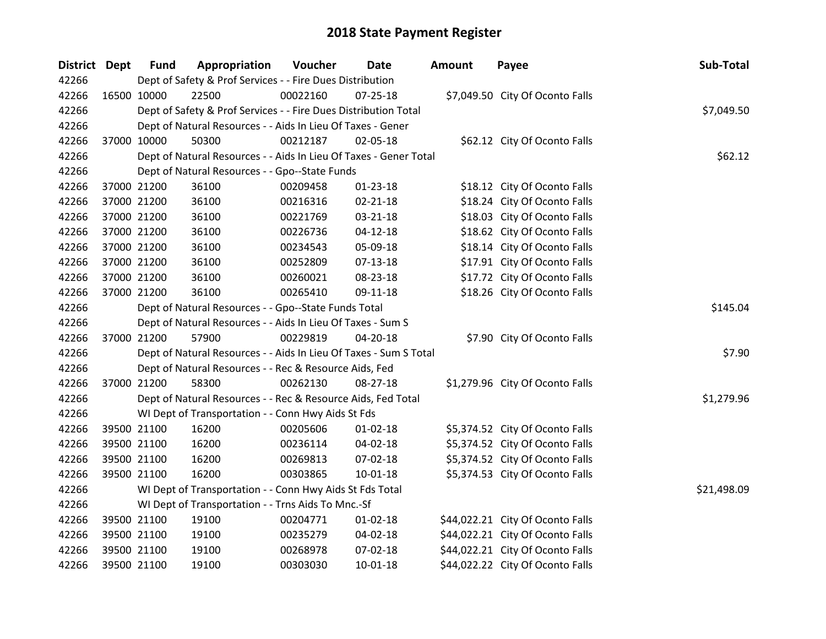| District Dept | <b>Fund</b>                                          | Appropriation                                                     | Voucher  | Date           | Amount | Payee                            | Sub-Total   |
|---------------|------------------------------------------------------|-------------------------------------------------------------------|----------|----------------|--------|----------------------------------|-------------|
| 42266         |                                                      | Dept of Safety & Prof Services - - Fire Dues Distribution         |          |                |        |                                  |             |
| 42266         | 16500 10000                                          | 22500                                                             | 00022160 | $07 - 25 - 18$ |        | \$7,049.50 City Of Oconto Falls  |             |
| 42266         |                                                      | Dept of Safety & Prof Services - - Fire Dues Distribution Total   |          |                |        |                                  | \$7,049.50  |
| 42266         |                                                      | Dept of Natural Resources - - Aids In Lieu Of Taxes - Gener       |          |                |        |                                  |             |
| 42266         | 37000 10000                                          | 50300                                                             | 00212187 | 02-05-18       |        | \$62.12 City Of Oconto Falls     |             |
| 42266         |                                                      | Dept of Natural Resources - - Aids In Lieu Of Taxes - Gener Total |          |                |        |                                  | \$62.12     |
| 42266         |                                                      | Dept of Natural Resources - - Gpo--State Funds                    |          |                |        |                                  |             |
| 42266         | 37000 21200                                          | 36100                                                             | 00209458 | $01-23-18$     |        | \$18.12 City Of Oconto Falls     |             |
| 42266         | 37000 21200                                          | 36100                                                             | 00216316 | $02 - 21 - 18$ |        | \$18.24 City Of Oconto Falls     |             |
| 42266         | 37000 21200                                          | 36100                                                             | 00221769 | $03 - 21 - 18$ |        | \$18.03 City Of Oconto Falls     |             |
| 42266         | 37000 21200                                          | 36100                                                             | 00226736 | $04-12-18$     |        | \$18.62 City Of Oconto Falls     |             |
| 42266         | 37000 21200                                          | 36100                                                             | 00234543 | 05-09-18       |        | \$18.14 City Of Oconto Falls     |             |
| 42266         | 37000 21200                                          | 36100                                                             | 00252809 | 07-13-18       |        | \$17.91 City Of Oconto Falls     |             |
| 42266         | 37000 21200                                          | 36100                                                             | 00260021 | 08-23-18       |        | \$17.72 City Of Oconto Falls     |             |
| 42266         | 37000 21200                                          | 36100                                                             | 00265410 | 09-11-18       |        | \$18.26 City Of Oconto Falls     |             |
| 42266         | Dept of Natural Resources - - Gpo--State Funds Total | \$145.04                                                          |          |                |        |                                  |             |
| 42266         |                                                      | Dept of Natural Resources - - Aids In Lieu Of Taxes - Sum S       |          |                |        |                                  |             |
| 42266         | 37000 21200                                          | 57900                                                             | 00229819 | $04 - 20 - 18$ |        | \$7.90 City Of Oconto Falls      |             |
| 42266         |                                                      | Dept of Natural Resources - - Aids In Lieu Of Taxes - Sum S Total |          |                |        |                                  | \$7.90      |
| 42266         |                                                      | Dept of Natural Resources - - Rec & Resource Aids, Fed            |          |                |        |                                  |             |
| 42266         | 37000 21200                                          | 58300                                                             | 00262130 | 08-27-18       |        | \$1,279.96 City Of Oconto Falls  |             |
| 42266         |                                                      | Dept of Natural Resources - - Rec & Resource Aids, Fed Total      |          |                |        |                                  | \$1,279.96  |
| 42266         |                                                      | WI Dept of Transportation - - Conn Hwy Aids St Fds                |          |                |        |                                  |             |
| 42266         | 39500 21100                                          | 16200                                                             | 00205606 | $01 - 02 - 18$ |        | \$5,374.52 City Of Oconto Falls  |             |
| 42266         | 39500 21100                                          | 16200                                                             | 00236114 | 04-02-18       |        | \$5,374.52 City Of Oconto Falls  |             |
| 42266         | 39500 21100                                          | 16200                                                             | 00269813 | 07-02-18       |        | \$5,374.52 City Of Oconto Falls  |             |
| 42266         | 39500 21100                                          | 16200                                                             | 00303865 | $10 - 01 - 18$ |        | \$5,374.53 City Of Oconto Falls  |             |
| 42266         |                                                      | WI Dept of Transportation - - Conn Hwy Aids St Fds Total          |          |                |        |                                  | \$21,498.09 |
| 42266         | WI Dept of Transportation - - Trns Aids To Mnc.-Sf   |                                                                   |          |                |        |                                  |             |
| 42266         | 39500 21100                                          | 19100                                                             | 00204771 | $01 - 02 - 18$ |        | \$44,022.21 City Of Oconto Falls |             |
| 42266         | 39500 21100                                          | 19100                                                             | 00235279 | 04-02-18       |        | \$44,022.21 City Of Oconto Falls |             |
| 42266         | 39500 21100                                          | 19100                                                             | 00268978 | 07-02-18       |        | \$44,022.21 City Of Oconto Falls |             |
| 42266         | 39500 21100                                          | 19100                                                             | 00303030 | 10-01-18       |        | \$44,022.22 City Of Oconto Falls |             |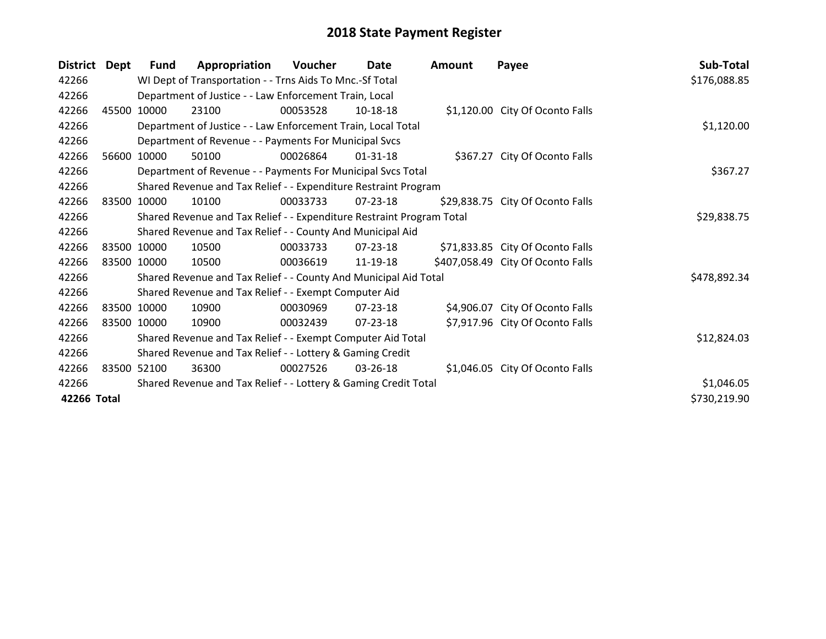| <b>District</b> | Dept  | Fund        | Appropriation                                                         | <b>Voucher</b> | Date           | Amount | Payee                             | Sub-Total    |
|-----------------|-------|-------------|-----------------------------------------------------------------------|----------------|----------------|--------|-----------------------------------|--------------|
| 42266           |       |             | WI Dept of Transportation - - Trns Aids To Mnc.-Sf Total              |                |                |        |                                   | \$176,088.85 |
| 42266           |       |             | Department of Justice - - Law Enforcement Train, Local                |                |                |        |                                   |              |
| 42266           | 45500 | 10000       | 23100                                                                 | 00053528       | 10-18-18       |        | \$1,120.00 City Of Oconto Falls   |              |
| 42266           |       |             | Department of Justice - - Law Enforcement Train, Local Total          |                |                |        |                                   | \$1,120.00   |
| 42266           |       |             | Department of Revenue - - Payments For Municipal Svcs                 |                |                |        |                                   |              |
| 42266           | 56600 | 10000       | 50100                                                                 | 00026864       | $01 - 31 - 18$ |        | \$367.27 City Of Oconto Falls     |              |
| 42266           |       |             | Department of Revenue - - Payments For Municipal Svcs Total           |                |                |        |                                   | \$367.27     |
| 42266           |       |             | Shared Revenue and Tax Relief - - Expenditure Restraint Program       |                |                |        |                                   |              |
| 42266           |       | 83500 10000 | 10100                                                                 | 00033733       | $07 - 23 - 18$ |        | \$29,838.75 City Of Oconto Falls  |              |
| 42266           |       |             | Shared Revenue and Tax Relief - - Expenditure Restraint Program Total |                |                |        |                                   | \$29,838.75  |
| 42266           |       |             | Shared Revenue and Tax Relief - - County And Municipal Aid            |                |                |        |                                   |              |
| 42266           |       | 83500 10000 | 10500                                                                 | 00033733       | $07 - 23 - 18$ |        | \$71,833.85 City Of Oconto Falls  |              |
| 42266           |       | 83500 10000 | 10500                                                                 | 00036619       | 11-19-18       |        | \$407,058.49 City Of Oconto Falls |              |
| 42266           |       |             | Shared Revenue and Tax Relief - - County And Municipal Aid Total      |                |                |        |                                   | \$478,892.34 |
| 42266           |       |             | Shared Revenue and Tax Relief - - Exempt Computer Aid                 |                |                |        |                                   |              |
| 42266           |       | 83500 10000 | 10900                                                                 | 00030969       | $07 - 23 - 18$ |        | \$4,906.07 City Of Oconto Falls   |              |
| 42266           |       | 83500 10000 | 10900                                                                 | 00032439       | $07 - 23 - 18$ |        | \$7,917.96 City Of Oconto Falls   |              |
| 42266           |       |             | Shared Revenue and Tax Relief - - Exempt Computer Aid Total           |                |                |        |                                   | \$12,824.03  |
| 42266           |       |             | Shared Revenue and Tax Relief - - Lottery & Gaming Credit             |                |                |        |                                   |              |
| 42266           |       | 83500 52100 | 36300                                                                 | 00027526       | 03-26-18       |        | \$1,046.05 City Of Oconto Falls   |              |
| 42266           |       |             | Shared Revenue and Tax Relief - - Lottery & Gaming Credit Total       |                |                |        |                                   | \$1,046.05   |
| 42266 Total     |       |             |                                                                       |                |                |        |                                   | \$730,219.90 |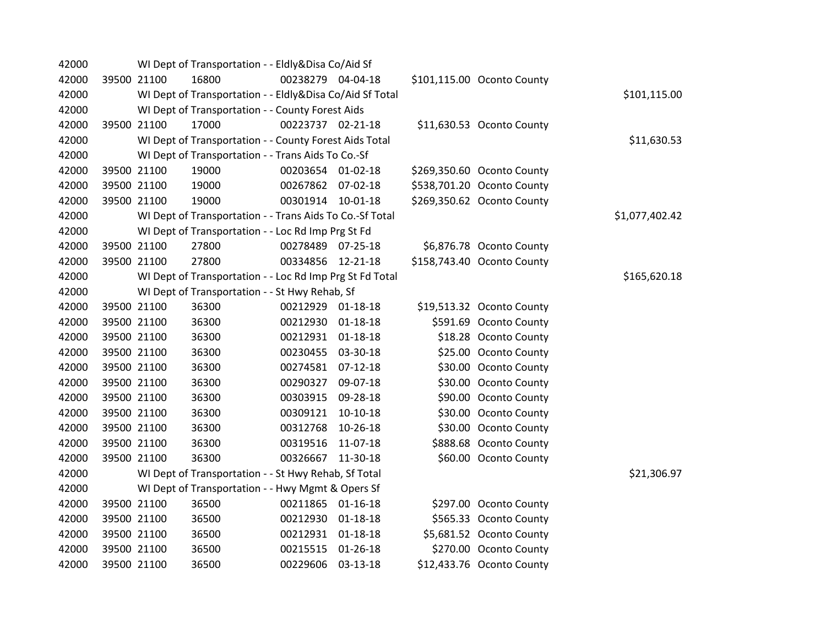| 42000 |             | WI Dept of Transportation - - Eldly&Disa Co/Aid Sf       |                   |                |                            |                |
|-------|-------------|----------------------------------------------------------|-------------------|----------------|----------------------------|----------------|
| 42000 | 39500 21100 | 16800                                                    | 00238279 04-04-18 |                | \$101,115.00 Oconto County |                |
| 42000 |             | WI Dept of Transportation - - Eldly&Disa Co/Aid Sf Total |                   |                |                            | \$101,115.00   |
| 42000 |             | WI Dept of Transportation - - County Forest Aids         |                   |                |                            |                |
| 42000 | 39500 21100 | 17000                                                    | 00223737 02-21-18 |                | \$11,630.53 Oconto County  |                |
| 42000 |             | WI Dept of Transportation - - County Forest Aids Total   |                   |                |                            | \$11,630.53    |
| 42000 |             | WI Dept of Transportation - - Trans Aids To Co.-Sf       |                   |                |                            |                |
| 42000 | 39500 21100 | 19000                                                    | 00203654 01-02-18 |                | \$269,350.60 Oconto County |                |
| 42000 | 39500 21100 | 19000                                                    | 00267862 07-02-18 |                | \$538,701.20 Oconto County |                |
| 42000 | 39500 21100 | 19000                                                    | 00301914          | $10-01-18$     | \$269,350.62 Oconto County |                |
| 42000 |             | WI Dept of Transportation - - Trans Aids To Co.-Sf Total |                   |                |                            | \$1,077,402.42 |
| 42000 |             | WI Dept of Transportation - - Loc Rd Imp Prg St Fd       |                   |                |                            |                |
| 42000 | 39500 21100 | 27800                                                    | 00278489 07-25-18 |                | \$6,876.78 Oconto County   |                |
| 42000 | 39500 21100 | 27800                                                    | 00334856          | 12-21-18       | \$158,743.40 Oconto County |                |
| 42000 |             | WI Dept of Transportation - - Loc Rd Imp Prg St Fd Total |                   |                |                            | \$165,620.18   |
| 42000 |             | WI Dept of Transportation - - St Hwy Rehab, Sf           |                   |                |                            |                |
| 42000 | 39500 21100 | 36300                                                    | 00212929          | $01 - 18 - 18$ | \$19,513.32 Oconto County  |                |
| 42000 | 39500 21100 | 36300                                                    | 00212930          | $01 - 18 - 18$ | \$591.69 Oconto County     |                |
| 42000 | 39500 21100 | 36300                                                    | 00212931          | $01 - 18 - 18$ | \$18.28 Oconto County      |                |
| 42000 | 39500 21100 | 36300                                                    | 00230455          | 03-30-18       | \$25.00 Oconto County      |                |
| 42000 | 39500 21100 | 36300                                                    | 00274581          | $07-12-18$     | \$30.00 Oconto County      |                |
| 42000 | 39500 21100 | 36300                                                    | 00290327          | 09-07-18       | \$30.00 Oconto County      |                |
| 42000 | 39500 21100 | 36300                                                    | 00303915          | 09-28-18       | \$90.00 Oconto County      |                |
| 42000 | 39500 21100 | 36300                                                    | 00309121          | 10-10-18       | \$30.00 Oconto County      |                |
| 42000 | 39500 21100 | 36300                                                    | 00312768          | 10-26-18       | \$30.00 Oconto County      |                |
| 42000 | 39500 21100 | 36300                                                    | 00319516          | 11-07-18       | \$888.68 Oconto County     |                |
| 42000 | 39500 21100 | 36300                                                    | 00326667          | 11-30-18       | \$60.00 Oconto County      |                |
| 42000 |             | WI Dept of Transportation - - St Hwy Rehab, Sf Total     |                   |                |                            | \$21,306.97    |
| 42000 |             | WI Dept of Transportation - - Hwy Mgmt & Opers Sf        |                   |                |                            |                |
| 42000 | 39500 21100 | 36500                                                    | 00211865          | $01 - 16 - 18$ | \$297.00 Oconto County     |                |
| 42000 | 39500 21100 | 36500                                                    | 00212930          | $01 - 18 - 18$ | \$565.33 Oconto County     |                |
| 42000 | 39500 21100 | 36500                                                    | 00212931          | 01-18-18       | \$5,681.52 Oconto County   |                |
| 42000 | 39500 21100 | 36500                                                    | 00215515          | 01-26-18       | \$270.00 Oconto County     |                |
| 42000 | 39500 21100 | 36500                                                    | 00229606          | 03-13-18       | \$12,433.76 Oconto County  |                |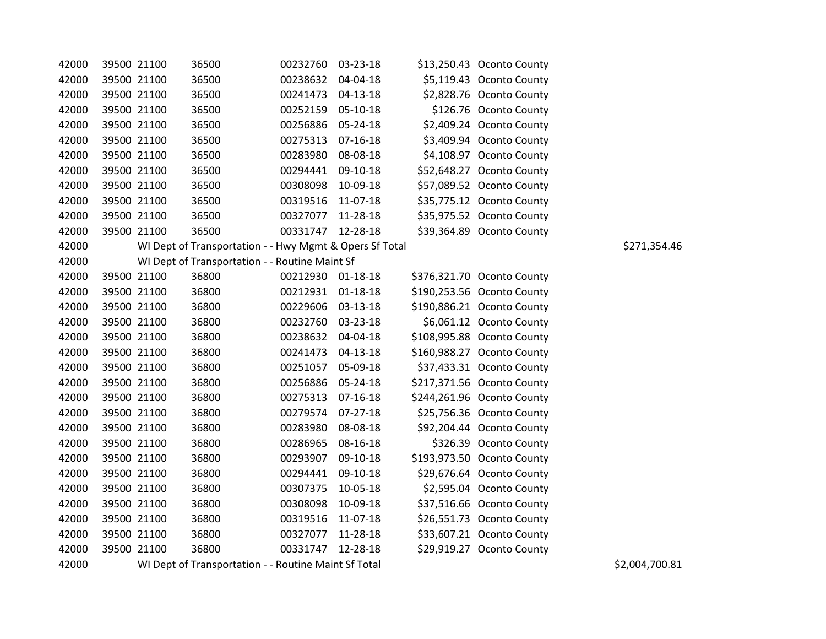| 42000 | 39500 21100 | 36500 | 00232760                                                | 03-23-18       | \$13,250.43 Oconto County  |                |
|-------|-------------|-------|---------------------------------------------------------|----------------|----------------------------|----------------|
| 42000 | 39500 21100 | 36500 | 00238632                                                | 04-04-18       | \$5,119.43 Oconto County   |                |
| 42000 | 39500 21100 | 36500 | 00241473                                                | 04-13-18       | \$2,828.76 Oconto County   |                |
| 42000 | 39500 21100 | 36500 | 00252159                                                | 05-10-18       | \$126.76 Oconto County     |                |
| 42000 | 39500 21100 | 36500 | 00256886                                                | 05-24-18       | \$2,409.24 Oconto County   |                |
| 42000 | 39500 21100 | 36500 | 00275313                                                | 07-16-18       | \$3,409.94 Oconto County   |                |
| 42000 | 39500 21100 | 36500 | 00283980                                                | 08-08-18       | \$4,108.97 Oconto County   |                |
| 42000 | 39500 21100 | 36500 | 00294441                                                | 09-10-18       | \$52,648.27 Oconto County  |                |
| 42000 | 39500 21100 | 36500 | 00308098                                                | 10-09-18       | \$57,089.52 Oconto County  |                |
| 42000 | 39500 21100 | 36500 | 00319516                                                | 11-07-18       | \$35,775.12 Oconto County  |                |
| 42000 | 39500 21100 | 36500 | 00327077                                                | 11-28-18       | \$35,975.52 Oconto County  |                |
| 42000 | 39500 21100 | 36500 | 00331747 12-28-18                                       |                | \$39,364.89 Oconto County  |                |
| 42000 |             |       | WI Dept of Transportation - - Hwy Mgmt & Opers Sf Total |                |                            | \$271,354.46   |
| 42000 |             |       | WI Dept of Transportation - - Routine Maint Sf          |                |                            |                |
| 42000 | 39500 21100 | 36800 | 00212930 01-18-18                                       |                | \$376,321.70 Oconto County |                |
| 42000 | 39500 21100 | 36800 | 00212931                                                | $01 - 18 - 18$ | \$190,253.56 Oconto County |                |
| 42000 | 39500 21100 | 36800 | 00229606                                                | 03-13-18       | \$190,886.21 Oconto County |                |
| 42000 | 39500 21100 | 36800 | 00232760                                                | 03-23-18       | \$6,061.12 Oconto County   |                |
| 42000 | 39500 21100 | 36800 | 00238632                                                | 04-04-18       | \$108,995.88 Oconto County |                |
| 42000 | 39500 21100 | 36800 | 00241473                                                | 04-13-18       | \$160,988.27 Oconto County |                |
| 42000 | 39500 21100 | 36800 | 00251057                                                | 05-09-18       | \$37,433.31 Oconto County  |                |
| 42000 | 39500 21100 | 36800 | 00256886                                                | 05-24-18       | \$217,371.56 Oconto County |                |
| 42000 | 39500 21100 | 36800 | 00275313                                                | 07-16-18       | \$244,261.96 Oconto County |                |
| 42000 | 39500 21100 | 36800 | 00279574                                                | $07 - 27 - 18$ | \$25,756.36 Oconto County  |                |
| 42000 | 39500 21100 | 36800 | 00283980                                                | 08-08-18       | \$92,204.44 Oconto County  |                |
| 42000 | 39500 21100 | 36800 | 00286965                                                | 08-16-18       | \$326.39 Oconto County     |                |
| 42000 | 39500 21100 | 36800 | 00293907                                                | 09-10-18       | \$193,973.50 Oconto County |                |
| 42000 | 39500 21100 | 36800 | 00294441                                                | 09-10-18       | \$29,676.64 Oconto County  |                |
| 42000 | 39500 21100 | 36800 | 00307375                                                | 10-05-18       | \$2,595.04 Oconto County   |                |
| 42000 | 39500 21100 | 36800 | 00308098                                                | 10-09-18       | \$37,516.66 Oconto County  |                |
| 42000 | 39500 21100 | 36800 | 00319516                                                | 11-07-18       | \$26,551.73 Oconto County  |                |
| 42000 | 39500 21100 | 36800 | 00327077                                                | 11-28-18       | \$33,607.21 Oconto County  |                |
| 42000 | 39500 21100 | 36800 | 00331747                                                | 12-28-18       | \$29,919.27 Oconto County  |                |
| 42000 |             |       | WI Dept of Transportation - - Routine Maint Sf Total    |                |                            | \$2,004,700.81 |